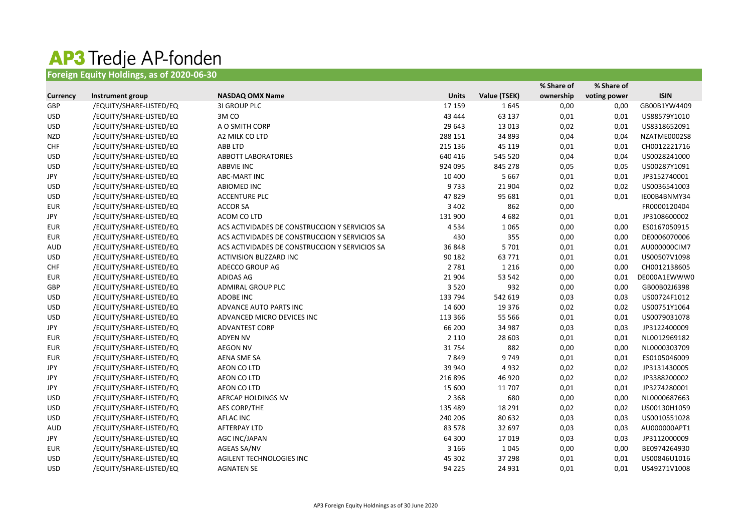## **AP3 Tredje AP-fonden**<br>Foreign Equity Holdings, as of 2020-06-30

|                 |                         |                                                |              |              | % Share of | % Share of   |              |
|-----------------|-------------------------|------------------------------------------------|--------------|--------------|------------|--------------|--------------|
| <b>Currency</b> | Instrument group        | <b>NASDAQ OMX Name</b>                         | <b>Units</b> | Value (TSEK) | ownership  | voting power | <b>ISIN</b>  |
| GBP             | /EQUITY/SHARE-LISTED/EQ | <b>31 GROUP PLC</b>                            | 17 159       | 1645         | 0,00       | 0,00         | GB00B1YW4409 |
| <b>USD</b>      | /EQUITY/SHARE-LISTED/EQ | 3M CO                                          | 43 4 44      | 63 137       | 0,01       | 0,01         | US88579Y1010 |
| <b>USD</b>      | /EQUITY/SHARE-LISTED/EQ | A O SMITH CORP                                 | 29 643       | 13 0 13      | 0,02       | 0,01         | US8318652091 |
| <b>NZD</b>      | /EQUITY/SHARE-LISTED/EQ | A2 MILK CO LTD                                 | 288 151      | 34 893       | 0,04       | 0,04         | NZATME0002S8 |
| <b>CHF</b>      | /EQUITY/SHARE-LISTED/EQ | ABB LTD                                        | 215 136      | 45 119       | 0,01       | 0,01         | CH0012221716 |
| <b>USD</b>      | /EQUITY/SHARE-LISTED/EQ | <b>ABBOTT LABORATORIES</b>                     | 640 416      | 545 520      | 0,04       | 0,04         | US0028241000 |
| <b>USD</b>      | /EQUITY/SHARE-LISTED/EQ | ABBVIE INC                                     | 924 095      | 845 278      | 0,05       | 0,05         | US00287Y1091 |
| JPY             | /EQUITY/SHARE-LISTED/EQ | ABC-MART INC                                   | 10 400       | 5 6 6 7      | 0,01       | 0,01         | JP3152740001 |
| <b>USD</b>      | /EQUITY/SHARE-LISTED/EQ | <b>ABIOMED INC</b>                             | 9733         | 21 904       | 0,02       | 0,02         | US0036541003 |
| <b>USD</b>      | /EQUITY/SHARE-LISTED/EQ | <b>ACCENTURE PLC</b>                           | 47829        | 95 681       | 0,01       | 0,01         | IE00B4BNMY34 |
| <b>EUR</b>      | /EQUITY/SHARE-LISTED/EQ | <b>ACCOR SA</b>                                | 3 4 0 2      | 862          | 0,00       |              | FR0000120404 |
| JPY             | /EQUITY/SHARE-LISTED/EQ | ACOM CO LTD                                    | 131 900      | 4682         | 0,01       | 0,01         | JP3108600002 |
| <b>EUR</b>      | /EQUITY/SHARE-LISTED/EQ | ACS ACTIVIDADES DE CONSTRUCCION Y SERVICIOS SA | 4534         | 1 0 6 5      | 0,00       | 0,00         | ES0167050915 |
| <b>EUR</b>      | /EQUITY/SHARE-LISTED/EQ | ACS ACTIVIDADES DE CONSTRUCCION Y SERVICIOS SA | 430          | 355          | 0,00       | 0,00         | DE0006070006 |
| <b>AUD</b>      | /EQUITY/SHARE-LISTED/EQ | ACS ACTIVIDADES DE CONSTRUCCION Y SERVICIOS SA | 36848        | 5 7 0 1      | 0,01       | 0,01         | AU000000CIM7 |
| <b>USD</b>      | /EQUITY/SHARE-LISTED/EQ | <b>ACTIVISION BLIZZARD INC</b>                 | 90 182       | 63771        | 0,01       | 0,01         | US00507V1098 |
| <b>CHF</b>      | /EQUITY/SHARE-LISTED/EQ | ADECCO GROUP AG                                | 2 7 8 1      | 1 2 1 6      | 0,00       | 0,00         | CH0012138605 |
| <b>EUR</b>      | /EQUITY/SHARE-LISTED/EQ | <b>ADIDAS AG</b>                               | 21 904       | 53 542       | 0,00       | 0,01         | DE000A1EWWW0 |
| GBP             | /EQUITY/SHARE-LISTED/EQ | ADMIRAL GROUP PLC                              | 3520         | 932          | 0,00       | 0,00         | GB00B02J6398 |
| <b>USD</b>      | /EQUITY/SHARE-LISTED/EQ | ADOBE INC                                      | 133 794      | 542 619      | 0,03       | 0,03         | US00724F1012 |
| <b>USD</b>      | /EQUITY/SHARE-LISTED/EQ | ADVANCE AUTO PARTS INC                         | 14 600       | 19 3 76      | 0,02       | 0,02         | US00751Y1064 |
| <b>USD</b>      | /EQUITY/SHARE-LISTED/EQ | ADVANCED MICRO DEVICES INC                     | 113 366      | 55 5 66      | 0,01       | 0,01         | US0079031078 |
| JPY             | /EQUITY/SHARE-LISTED/EQ | ADVANTEST CORP                                 | 66 200       | 34 987       | 0,03       | 0,03         | JP3122400009 |
| <b>EUR</b>      | /EQUITY/SHARE-LISTED/EQ | <b>ADYEN NV</b>                                | 2 1 1 0      | 28 603       | 0,01       | 0,01         | NL0012969182 |
| <b>EUR</b>      | /EQUITY/SHARE-LISTED/EQ | <b>AEGON NV</b>                                | 31754        | 882          | 0,00       | 0,00         | NL0000303709 |
| <b>EUR</b>      | /EQUITY/SHARE-LISTED/EQ | AENA SME SA                                    | 7849         | 9749         | 0,01       | 0,01         | ES0105046009 |
| JPY             | /EQUITY/SHARE-LISTED/EQ | AEON CO LTD                                    | 39 940       | 4932         | 0,02       | 0,02         | JP3131430005 |
| JPY             | /EQUITY/SHARE-LISTED/EQ | AEON CO LTD                                    | 216 896      | 46 9 20      | 0,02       | 0,02         | JP3388200002 |
| <b>JPY</b>      | /EQUITY/SHARE-LISTED/EQ | AEON CO LTD                                    | 15 600       | 11 707       | 0,01       | 0,01         | JP3274280001 |
| <b>USD</b>      | /EQUITY/SHARE-LISTED/EQ | AERCAP HOLDINGS NV                             | 2 3 6 8      | 680          | 0,00       | 0,00         | NL0000687663 |
| <b>USD</b>      | /EQUITY/SHARE-LISTED/EQ | AES CORP/THE                                   | 135 489      | 18 29 1      | 0,02       | 0,02         | US00130H1059 |
| <b>USD</b>      | /EQUITY/SHARE-LISTED/EQ | AFLAC INC                                      | 240 206      | 80 632       | 0,03       | 0,03         | US0010551028 |
| AUD             | /EQUITY/SHARE-LISTED/EQ | <b>AFTERPAY LTD</b>                            | 83 5 78      | 32 697       | 0,03       | 0,03         | AU000000APT1 |
| JPY             | /EQUITY/SHARE-LISTED/EQ | AGC INC/JAPAN                                  | 64 300       | 17019        | 0,03       | 0,03         | JP3112000009 |
| <b>EUR</b>      | /EQUITY/SHARE-LISTED/EQ | AGEAS SA/NV                                    | 3 1 6 6      | 1045         | 0,00       | 0,00         | BE0974264930 |
| <b>USD</b>      | /EQUITY/SHARE-LISTED/EQ | AGILENT TECHNOLOGIES INC                       | 45 302       | 37 298       | 0,01       | 0,01         | US00846U1016 |
| <b>USD</b>      | /EQUITY/SHARE-LISTED/EQ | <b>AGNATEN SE</b>                              | 94 2 2 5     | 24 9 31      | 0,01       | 0,01         | US49271V1008 |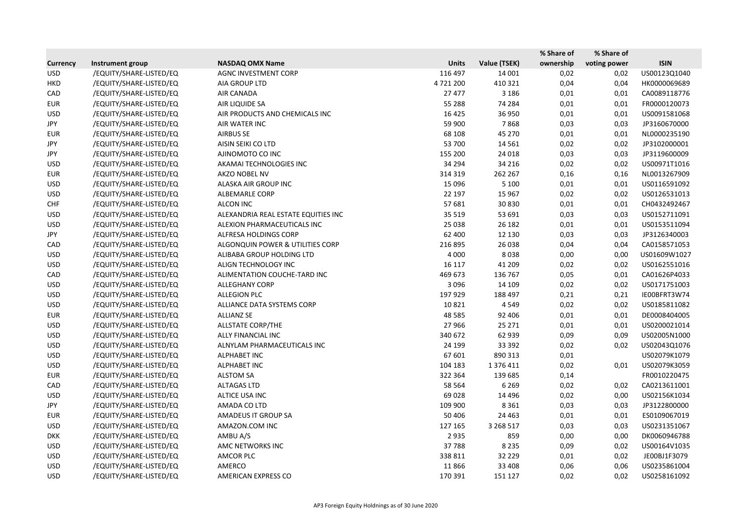|                 |                         |                                     |              |              | % Share of | % Share of   |              |
|-----------------|-------------------------|-------------------------------------|--------------|--------------|------------|--------------|--------------|
| <b>Currency</b> | Instrument group        | <b>NASDAQ OMX Name</b>              | <b>Units</b> | Value (TSEK) | ownership  | voting power | <b>ISIN</b>  |
| <b>USD</b>      | /EQUITY/SHARE-LISTED/EQ | <b>AGNC INVESTMENT CORP</b>         | 116 497      | 14 001       | 0,02       | 0,02         | US00123Q1040 |
| <b>HKD</b>      | /EQUITY/SHARE-LISTED/EQ | AIA GROUP LTD                       | 4721200      | 410 321      | 0,04       | 0,04         | HK0000069689 |
| CAD             | /EQUITY/SHARE-LISTED/EQ | AIR CANADA                          | 27 477       | 3 1 8 6      | 0,01       | 0,01         | CA0089118776 |
| <b>EUR</b>      | /EQUITY/SHARE-LISTED/EQ | AIR LIQUIDE SA                      | 55 288       | 74 284       | 0,01       | 0,01         | FR0000120073 |
| <b>USD</b>      | /EQUITY/SHARE-LISTED/EQ | AIR PRODUCTS AND CHEMICALS INC      | 16 4 25      | 36 950       | 0,01       | 0,01         | US0091581068 |
| JPY             | /EQUITY/SHARE-LISTED/EQ | AIR WATER INC                       | 59 900       | 7868         | 0,03       | 0,03         | JP3160670000 |
| <b>EUR</b>      | /EQUITY/SHARE-LISTED/EQ | <b>AIRBUS SE</b>                    | 68 108       | 45 270       | 0,01       | 0,01         | NL0000235190 |
| JPY             | /EQUITY/SHARE-LISTED/EQ | AISIN SEIKI CO LTD                  | 53 700       | 14 5 61      | 0,02       | 0,02         | JP3102000001 |
| JPY             | /EQUITY/SHARE-LISTED/EQ | AJINOMOTO CO INC                    | 155 200      | 24 018       | 0,03       | 0,03         | JP3119600009 |
| <b>USD</b>      | /EQUITY/SHARE-LISTED/EQ | AKAMAI TECHNOLOGIES INC             | 34 294       | 34 216       | 0,02       | 0,02         | US00971T1016 |
| <b>EUR</b>      | /EQUITY/SHARE-LISTED/EQ | AKZO NOBEL NV                       | 314 319      | 262 267      | 0,16       | 0,16         | NL0013267909 |
| <b>USD</b>      | /EQUITY/SHARE-LISTED/EQ | ALASKA AIR GROUP INC                | 15 0 96      | 5 1 0 0      | 0,01       | 0,01         | US0116591092 |
| <b>USD</b>      | /EQUITY/SHARE-LISTED/EQ | ALBEMARLE CORP                      | 22 197       | 15 9 67      | 0,02       | 0,02         | US0126531013 |
| <b>CHF</b>      | /EQUITY/SHARE-LISTED/EQ | <b>ALCON INC</b>                    | 57 681       | 30 830       | 0,01       | 0,01         | CH0432492467 |
| <b>USD</b>      | /EQUITY/SHARE-LISTED/EQ | ALEXANDRIA REAL ESTATE EQUITIES INC | 35 5 19      | 53 691       | 0,03       | 0,03         | US0152711091 |
| <b>USD</b>      | /EQUITY/SHARE-LISTED/EQ | ALEXION PHARMACEUTICALS INC         | 25 0 38      | 26 182       | 0,01       | 0,01         | US0153511094 |
| JPY             | /EQUITY/SHARE-LISTED/EQ | ALFRESA HOLDINGS CORP               | 62 400       | 12 130       | 0,03       | 0,03         | JP3126340003 |
| CAD             | /EQUITY/SHARE-LISTED/EQ | ALGONQUIN POWER & UTILITIES CORP    | 216 895      | 26 038       | 0,04       | 0,04         | CA0158571053 |
| <b>USD</b>      | /EQUITY/SHARE-LISTED/EQ | ALIBABA GROUP HOLDING LTD           | 4 0 0 0      | 8038         | 0,00       | 0,00         | US01609W1027 |
| <b>USD</b>      | /EQUITY/SHARE-LISTED/EQ | ALIGN TECHNOLOGY INC                | 16 117       | 41 209       | 0,02       | 0,02         | US0162551016 |
| CAD             | /EQUITY/SHARE-LISTED/EQ | ALIMENTATION COUCHE-TARD INC        | 469 673      | 136 767      | 0,05       | 0,01         | CA01626P4033 |
| <b>USD</b>      | /EQUITY/SHARE-LISTED/EQ | <b>ALLEGHANY CORP</b>               | 3 0 9 6      | 14 109       | 0,02       | 0,02         | US0171751003 |
| <b>USD</b>      | /EQUITY/SHARE-LISTED/EQ | <b>ALLEGION PLC</b>                 | 197 929      | 188 497      | 0,21       | 0,21         | IE00BFRT3W74 |
| <b>USD</b>      | /EQUITY/SHARE-LISTED/EQ | ALLIANCE DATA SYSTEMS CORP          | 10821        | 4549         | 0,02       | 0,02         | US0185811082 |
| <b>EUR</b>      | /EQUITY/SHARE-LISTED/EQ | <b>ALLIANZ SE</b>                   | 48 5 8 5     | 92 406       | 0,01       | 0,01         | DE0008404005 |
| <b>USD</b>      | /EQUITY/SHARE-LISTED/EQ | ALLSTATE CORP/THE                   | 27 966       | 25 27 1      | 0,01       | 0,01         | US0200021014 |
| <b>USD</b>      | /EQUITY/SHARE-LISTED/EQ | ALLY FINANCIAL INC                  | 340 672      | 62 939       | 0,09       | 0,09         | US02005N1000 |
| <b>USD</b>      | /EQUITY/SHARE-LISTED/EQ | ALNYLAM PHARMACEUTICALS INC         | 24 199       | 33 392       | 0,02       | 0,02         | US02043Q1076 |
| <b>USD</b>      | /EQUITY/SHARE-LISTED/EQ | <b>ALPHABET INC</b>                 | 67 601       | 890 313      | 0,01       |              | US02079K1079 |
| <b>USD</b>      | /EQUITY/SHARE-LISTED/EQ | <b>ALPHABET INC</b>                 | 104 183      | 1 376 411    | 0,02       | 0,01         | US02079K3059 |
| <b>EUR</b>      | /EQUITY/SHARE-LISTED/EQ | <b>ALSTOM SA</b>                    | 322 364      | 139 685      | 0,14       |              | FR0010220475 |
| CAD             | /EQUITY/SHARE-LISTED/EQ | <b>ALTAGAS LTD</b>                  | 58 5 64      | 6 2 6 9      | 0,02       | 0,02         | CA0213611001 |
| <b>USD</b>      | /EQUITY/SHARE-LISTED/EQ | ALTICE USA INC                      | 69028        | 14 4 9 6     | 0,02       | 0,00         | US02156K1034 |
| JPY             | /EQUITY/SHARE-LISTED/EQ | AMADA CO LTD                        | 109 900      | 8 3 6 1      | 0,03       | 0,03         | JP3122800000 |
| <b>EUR</b>      | /EQUITY/SHARE-LISTED/EQ | <b>AMADEUS IT GROUP SA</b>          | 50 40 6      | 24 4 63      | 0,01       | 0,01         | ES0109067019 |
| <b>USD</b>      | /EQUITY/SHARE-LISTED/EQ | AMAZON.COM INC                      | 127 165      | 3 2 68 5 17  | 0,03       | 0,03         | US0231351067 |
| <b>DKK</b>      | /EQUITY/SHARE-LISTED/EQ | AMBU A/S                            | 2935         | 859          | 0,00       | 0,00         | DK0060946788 |
| <b>USD</b>      | /EQUITY/SHARE-LISTED/EQ | AMC NETWORKS INC                    | 37788        | 8 2 3 5      | 0,09       | 0,02         | US00164V1035 |
| <b>USD</b>      | /EQUITY/SHARE-LISTED/EQ | AMCOR PLC                           | 338 811      | 32 2 2 9     | 0,01       | 0,02         | JE00BJ1F3079 |
| <b>USD</b>      | /EQUITY/SHARE-LISTED/EQ | AMERCO                              | 11866        | 33 408       | 0,06       | 0,06         | US0235861004 |
| <b>USD</b>      | /EQUITY/SHARE-LISTED/EQ | AMERICAN EXPRESS CO                 | 170 391      | 151 127      | 0,02       | 0,02         | US0258161092 |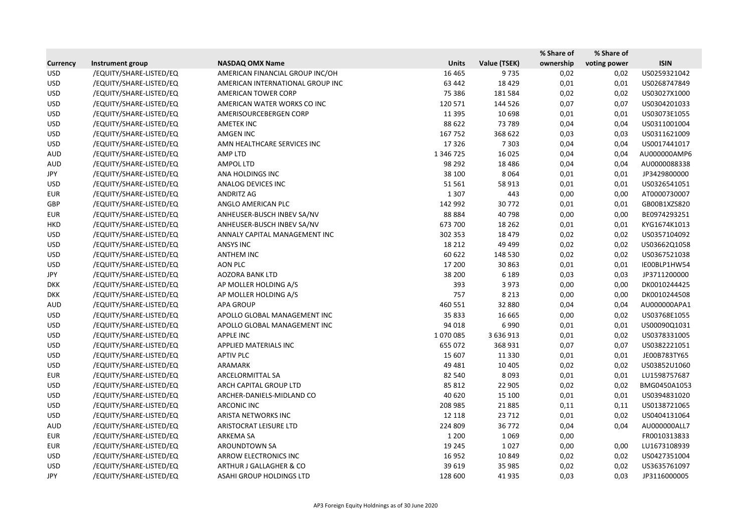|                 |                         |                                  |              |              | % Share of | % Share of   |              |
|-----------------|-------------------------|----------------------------------|--------------|--------------|------------|--------------|--------------|
| <b>Currency</b> | Instrument group        | <b>NASDAQ OMX Name</b>           | <b>Units</b> | Value (TSEK) | ownership  | voting power | <b>ISIN</b>  |
| <b>USD</b>      | /EQUITY/SHARE-LISTED/EQ | AMERICAN FINANCIAL GROUP INC/OH  | 16 4 65      | 9735         | 0,02       | 0,02         | US0259321042 |
| <b>USD</b>      | /EQUITY/SHARE-LISTED/EQ | AMERICAN INTERNATIONAL GROUP INC | 63 442       | 18 4 29      | 0,01       | 0,01         | US0268747849 |
| <b>USD</b>      | /EQUITY/SHARE-LISTED/EQ | <b>AMERICAN TOWER CORP</b>       | 75 386       | 181 584      | 0,02       | 0,02         | US03027X1000 |
| <b>USD</b>      | /EQUITY/SHARE-LISTED/EQ | AMERICAN WATER WORKS CO INC      | 120 571      | 144 526      | 0,07       | 0,07         | US0304201033 |
| <b>USD</b>      | /EQUITY/SHARE-LISTED/EQ | AMERISOURCEBERGEN CORP           | 11 3 95      | 10 698       | 0,01       | 0,01         | US03073E1055 |
| <b>USD</b>      | /EQUITY/SHARE-LISTED/EQ | <b>AMETEK INC</b>                | 88 622       | 73 789       | 0,04       | 0,04         | US0311001004 |
| <b>USD</b>      | /EQUITY/SHARE-LISTED/EQ | AMGEN INC                        | 167752       | 368 622      | 0,03       | 0,03         | US0311621009 |
| <b>USD</b>      | /EQUITY/SHARE-LISTED/EQ | AMN HEALTHCARE SERVICES INC      | 17326        | 7 3 0 3      | 0,04       | 0,04         | US0017441017 |
| <b>AUD</b>      | /EQUITY/SHARE-LISTED/EQ | AMP LTD                          | 1 346 725    | 16 0 25      | 0,04       | 0,04         | AU000000AMP6 |
| <b>AUD</b>      | /EQUITY/SHARE-LISTED/EQ | <b>AMPOL LTD</b>                 | 98 292       | 18 4 8 6     | 0,04       | 0,04         | AU0000088338 |
| JPY             | /EQUITY/SHARE-LISTED/EQ | ANA HOLDINGS INC                 | 38 100       | 8064         | 0,01       | 0,01         | JP3429800000 |
| <b>USD</b>      | /EQUITY/SHARE-LISTED/EQ | ANALOG DEVICES INC               | 51 561       | 58 913       | 0,01       | 0,01         | US0326541051 |
| <b>EUR</b>      | /EQUITY/SHARE-LISTED/EQ | ANDRITZ AG                       | 1 3 0 7      | 443          | 0,00       | 0,00         | AT0000730007 |
| GBP             | /EQUITY/SHARE-LISTED/EQ | ANGLO AMERICAN PLC               | 142 992      | 30772        | 0,01       | 0,01         | GB00B1XZS820 |
| <b>EUR</b>      | /EQUITY/SHARE-LISTED/EQ | ANHEUSER-BUSCH INBEV SA/NV       | 88 8 84      | 40798        | 0,00       | 0,00         | BE0974293251 |
| <b>HKD</b>      | /EQUITY/SHARE-LISTED/EQ | ANHEUSER-BUSCH INBEV SA/NV       | 673 700      | 18 2 6 2     | 0,01       | 0,01         | KYG1674K1013 |
| <b>USD</b>      | /EQUITY/SHARE-LISTED/EQ | ANNALY CAPITAL MANAGEMENT INC    | 302 353      | 18 4 79      | 0,02       | 0,02         | US0357104092 |
| <b>USD</b>      | /EQUITY/SHARE-LISTED/EQ | <b>ANSYS INC</b>                 | 18 2 12      | 49 4 99      | 0,02       | 0,02         | US03662Q1058 |
| <b>USD</b>      | /EQUITY/SHARE-LISTED/EQ | <b>ANTHEM INC</b>                | 60 622       | 148 530      | 0,02       | 0,02         | US0367521038 |
| <b>USD</b>      | /EQUITY/SHARE-LISTED/EQ | <b>AON PLC</b>                   | 17 200       | 30 863       | 0,01       | 0,01         | IE00BLP1HW54 |
| JPY             | /EQUITY/SHARE-LISTED/EQ | <b>AOZORA BANK LTD</b>           | 38 200       | 6 1 8 9      | 0,03       | 0,03         | JP3711200000 |
| <b>DKK</b>      | /EQUITY/SHARE-LISTED/EQ | AP MOLLER HOLDING A/S            | 393          | 3 9 7 3      | 0,00       | 0,00         | DK0010244425 |
| <b>DKK</b>      | /EQUITY/SHARE-LISTED/EQ | AP MOLLER HOLDING A/S            | 757          | 8 2 1 3      | 0,00       | 0,00         | DK0010244508 |
| AUD             | /EQUITY/SHARE-LISTED/EQ | <b>APA GROUP</b>                 | 460 551      | 32 880       | 0,04       | 0,04         | AU000000APA1 |
| <b>USD</b>      | /EQUITY/SHARE-LISTED/EQ | APOLLO GLOBAL MANAGEMENT INC     | 35 833       | 16 6 65      | 0,00       | 0,02         | US03768E1055 |
| <b>USD</b>      | /EQUITY/SHARE-LISTED/EQ | APOLLO GLOBAL MANAGEMENT INC     | 94 018       | 6990         | 0,01       | 0,01         | US00090Q1031 |
| <b>USD</b>      | /EQUITY/SHARE-LISTED/EQ | <b>APPLE INC</b>                 | 1070085      | 3 636 913    | 0,01       | 0,02         | US0378331005 |
| <b>USD</b>      | /EQUITY/SHARE-LISTED/EQ | APPLIED MATERIALS INC            | 655 072      | 368 931      | 0,07       | 0,07         | US0382221051 |
| <b>USD</b>      | /EQUITY/SHARE-LISTED/EQ | <b>APTIV PLC</b>                 | 15 607       | 11 3 3 0     | 0,01       | 0,01         | JE00B783TY65 |
| <b>USD</b>      | /EQUITY/SHARE-LISTED/EQ | ARAMARK                          | 49 4 81      | 10 4 05      | 0,02       | 0,02         | US03852U1060 |
| <b>EUR</b>      | /EQUITY/SHARE-LISTED/EQ | ARCELORMITTAL SA                 | 82 540       | 8093         | 0,01       | 0,01         | LU1598757687 |
| <b>USD</b>      | /EQUITY/SHARE-LISTED/EQ | ARCH CAPITAL GROUP LTD           | 85 812       | 22 905       | 0,02       | 0,02         | BMG0450A1053 |
| <b>USD</b>      | /EQUITY/SHARE-LISTED/EQ | ARCHER-DANIELS-MIDLAND CO        | 40 620       | 15 100       | 0,01       | 0,01         | US0394831020 |
| USD             | /EQUITY/SHARE-LISTED/EQ | <b>ARCONIC INC</b>               | 208 985      | 21885        | 0,11       | 0,11         | US0138721065 |
| <b>USD</b>      | /EQUITY/SHARE-LISTED/EQ | ARISTA NETWORKS INC              | 12 118       | 23 7 12      | 0,01       | 0,02         | US0404131064 |
| <b>AUD</b>      | /EQUITY/SHARE-LISTED/EQ | ARISTOCRAT LEISURE LTD           | 224 809      | 36772        | 0,04       | 0,04         | AU000000ALL7 |
| EUR             | /EQUITY/SHARE-LISTED/EQ | ARKEMA SA                        | 1 2 0 0      | 1069         | 0,00       |              | FR0010313833 |
| EUR             | /EQUITY/SHARE-LISTED/EQ | AROUNDTOWN SA                    | 19 245       | 1027         | 0,00       | 0,00         | LU1673108939 |
| <b>USD</b>      | /EQUITY/SHARE-LISTED/EQ | ARROW ELECTRONICS INC            | 16 9 52      | 10 849       | 0,02       | 0,02         | US0427351004 |
| <b>USD</b>      | /EQUITY/SHARE-LISTED/EQ | ARTHUR J GALLAGHER & CO          | 39 619       | 35 985       | 0,02       | 0,02         | US3635761097 |
| JPY             | /EQUITY/SHARE-LISTED/EQ | ASAHI GROUP HOLDINGS LTD         | 128 600      | 41 935       | 0,03       | 0,03         | JP3116000005 |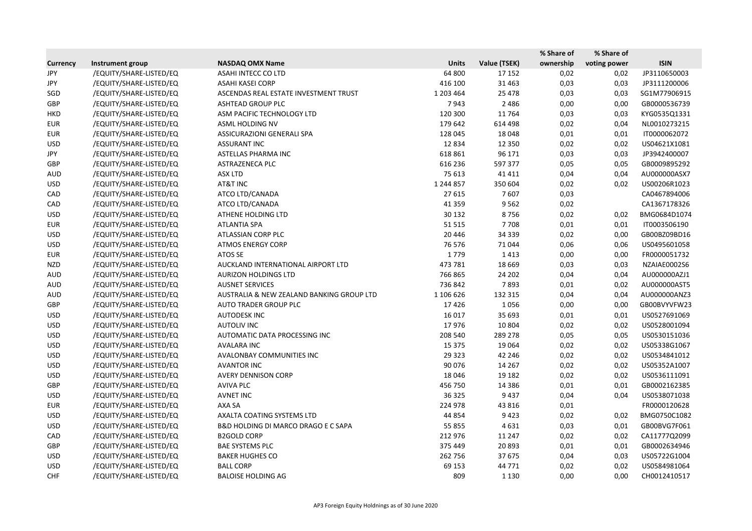|                 |                         |                                           |              |              | % Share of | % Share of   |              |
|-----------------|-------------------------|-------------------------------------------|--------------|--------------|------------|--------------|--------------|
| <b>Currency</b> | Instrument group        | <b>NASDAQ OMX Name</b>                    | <b>Units</b> | Value (TSEK) | ownership  | voting power | <b>ISIN</b>  |
| JPY             | /EQUITY/SHARE-LISTED/EQ | ASAHI INTECC CO LTD                       | 64 800       | 17 15 2      | 0,02       | 0,02         | JP3110650003 |
| JPY             | /EQUITY/SHARE-LISTED/EQ | <b>ASAHI KASEI CORP</b>                   | 416 100      | 31 4 63      | 0,03       | 0,03         | JP3111200006 |
| SGD             | /EQUITY/SHARE-LISTED/EQ | ASCENDAS REAL ESTATE INVESTMENT TRUST     | 1 203 464    | 25 4 78      | 0,03       | 0,03         | SG1M77906915 |
| GBP             | /EQUITY/SHARE-LISTED/EQ | <b>ASHTEAD GROUP PLC</b>                  | 7943         | 2 4 8 6      | 0,00       | 0,00         | GB0000536739 |
| <b>HKD</b>      | /EQUITY/SHARE-LISTED/EQ | ASM PACIFIC TECHNOLOGY LTD                | 120 300      | 11 7 64      | 0,03       | 0,03         | KYG0535Q1331 |
| <b>EUR</b>      | /EQUITY/SHARE-LISTED/EQ | ASML HOLDING NV                           | 179 642      | 614 498      | 0,02       | 0,04         | NL0010273215 |
| <b>EUR</b>      | /EQUITY/SHARE-LISTED/EQ | <b>ASSICURAZIONI GENERALI SPA</b>         | 128 045      | 18048        | 0,01       | 0,01         | IT0000062072 |
| <b>USD</b>      | /EQUITY/SHARE-LISTED/EQ | <b>ASSURANT INC</b>                       | 12834        | 12 3 5 0     | 0,02       | 0,02         | US04621X1081 |
| JPY             | /EQUITY/SHARE-LISTED/EQ | ASTELLAS PHARMA INC                       | 618 861      | 96 171       | 0,03       | 0,03         | JP3942400007 |
| GBP             | /EQUITY/SHARE-LISTED/EQ | ASTRAZENECA PLC                           | 616 236      | 597 377      | 0,05       | 0,05         | GB0009895292 |
| <b>AUD</b>      | /EQUITY/SHARE-LISTED/EQ | <b>ASX LTD</b>                            | 75 613       | 41 4 11      | 0,04       | 0,04         | AU000000ASX7 |
| <b>USD</b>      | /EQUITY/SHARE-LISTED/EQ | AT&T INC                                  | 1 244 857    | 350 604      | 0,02       | 0,02         | US00206R1023 |
| CAD             | /EQUITY/SHARE-LISTED/EQ | ATCO LTD/CANADA                           | 27 615       | 7607         | 0,03       |              | CA0467894006 |
| CAD             | /EQUITY/SHARE-LISTED/EQ | ATCO LTD/CANADA                           | 41 3 5 9     | 9562         | 0,02       |              | CA1367178326 |
| <b>USD</b>      | /EQUITY/SHARE-LISTED/EQ | ATHENE HOLDING LTD                        | 30 132       | 8756         | 0,02       | 0,02         | BMG0684D1074 |
| <b>EUR</b>      | /EQUITY/SHARE-LISTED/EQ | <b>ATLANTIA SPA</b>                       | 51515        | 7708         | 0,01       | 0,01         | IT0003506190 |
| <b>USD</b>      | /EQUITY/SHARE-LISTED/EQ | ATLASSIAN CORP PLC                        | 20 4 46      | 34 3 39      | 0,02       | 0,00         | GB00BZ09BD16 |
| <b>USD</b>      | /EQUITY/SHARE-LISTED/EQ | <b>ATMOS ENERGY CORP</b>                  | 76 576       | 71044        | 0,06       | 0,06         | US0495601058 |
| <b>EUR</b>      | /EQUITY/SHARE-LISTED/EQ | ATOS SE                                   | 1779         | 1413         | 0,00       | 0,00         | FR0000051732 |
| <b>NZD</b>      | /EQUITY/SHARE-LISTED/EQ | AUCKLAND INTERNATIONAL AIRPORT LTD        | 473 781      | 18 6 69      | 0,03       | 0,03         | NZAIAE0002S6 |
| <b>AUD</b>      | /EQUITY/SHARE-LISTED/EQ | <b>AURIZON HOLDINGS LTD</b>               | 766 865      | 24 202       | 0,04       | 0,04         | AU000000AZJ1 |
| <b>AUD</b>      | /EQUITY/SHARE-LISTED/EQ | <b>AUSNET SERVICES</b>                    | 736 842      | 7893         | 0,01       | 0,02         | AU000000AST5 |
| <b>AUD</b>      | /EQUITY/SHARE-LISTED/EQ | AUSTRALIA & NEW ZEALAND BANKING GROUP LTD | 1 106 626    | 132 315      | 0,04       | 0,04         | AU000000ANZ3 |
| GBP             | /EQUITY/SHARE-LISTED/EQ | AUTO TRADER GROUP PLC                     | 17426        | 1056         | 0,00       | 0,00         | GB00BVYVFW23 |
| <b>USD</b>      | /EQUITY/SHARE-LISTED/EQ | <b>AUTODESK INC</b>                       | 16 0 17      | 35 693       | 0,01       | 0,01         | US0527691069 |
| <b>USD</b>      | /EQUITY/SHARE-LISTED/EQ | <b>AUTOLIV INC</b>                        | 17976        | 10 804       | 0,02       | 0,02         | US0528001094 |
| <b>USD</b>      | /EQUITY/SHARE-LISTED/EQ | AUTOMATIC DATA PROCESSING INC             | 208 540      | 289 278      | 0,05       | 0,05         | US0530151036 |
| <b>USD</b>      | /EQUITY/SHARE-LISTED/EQ | <b>AVALARA INC</b>                        | 15 3 7 5     | 19 0 64      | 0,02       | 0,02         | US05338G1067 |
| <b>USD</b>      | /EQUITY/SHARE-LISTED/EQ | AVALONBAY COMMUNITIES INC                 | 29 3 23      | 42 246       | 0,02       | 0,02         | US0534841012 |
| <b>USD</b>      | /EQUITY/SHARE-LISTED/EQ | <b>AVANTOR INC</b>                        | 90 0 76      | 14 2 67      | 0,02       | 0,02         | US05352A1007 |
| <b>USD</b>      | /EQUITY/SHARE-LISTED/EQ | <b>AVERY DENNISON CORP</b>                | 18 04 6      | 19 182       | 0,02       | 0,02         | US0536111091 |
| GBP             | /EQUITY/SHARE-LISTED/EQ | <b>AVIVA PLC</b>                          | 456 750      | 14 3 8 6     | 0,01       | 0,01         | GB0002162385 |
| <b>USD</b>      | /EQUITY/SHARE-LISTED/EQ | <b>AVNET INC</b>                          | 36 325       | 9437         | 0,04       | 0,04         | US0538071038 |
| <b>EUR</b>      | /EQUITY/SHARE-LISTED/EQ | AXA SA                                    | 224 978      | 43 816       | 0,01       |              | FR0000120628 |
| <b>USD</b>      | /EQUITY/SHARE-LISTED/EQ | AXALTA COATING SYSTEMS LTD                | 44 8 54      | 9423         | 0,02       | 0,02         | BMG0750C1082 |
| <b>USD</b>      | /EQUITY/SHARE-LISTED/EQ | B&D HOLDING DI MARCO DRAGO E C SAPA       | 55 855       | 4631         | 0,03       | 0,01         | GB00BVG7F061 |
| CAD             | /EQUITY/SHARE-LISTED/EQ | <b>B2GOLD CORP</b>                        | 212 976      | 11 247       | 0,02       | 0,02         | CA11777Q2099 |
| GBP             | /EQUITY/SHARE-LISTED/EQ | <b>BAE SYSTEMS PLC</b>                    | 375 449      | 20893        | 0,01       | 0,01         | GB0002634946 |
| <b>USD</b>      | /EQUITY/SHARE-LISTED/EQ | <b>BAKER HUGHES CO</b>                    | 262 756      | 37 675       | 0,04       | 0,03         | US05722G1004 |
| <b>USD</b>      | /EQUITY/SHARE-LISTED/EQ | <b>BALL CORP</b>                          | 69 153       | 44 771       | 0,02       | 0,02         | US0584981064 |
| <b>CHF</b>      | /EQUITY/SHARE-LISTED/EQ | <b>BALOISE HOLDING AG</b>                 | 809          | 1 1 3 0      | 0,00       | 0,00         | CH0012410517 |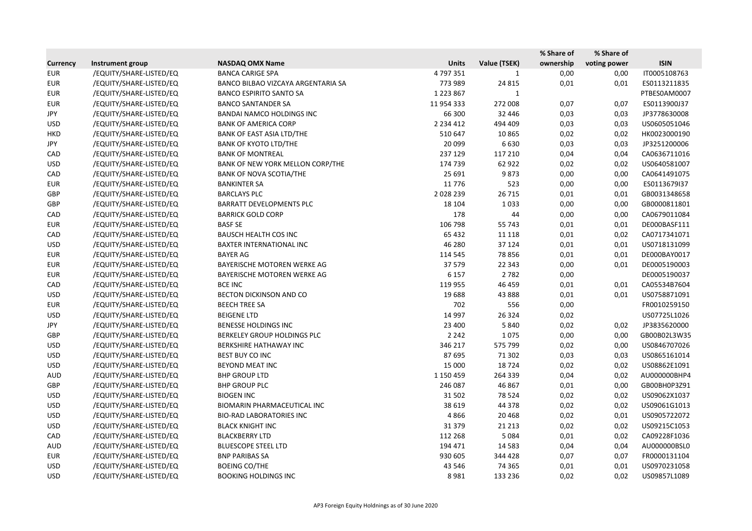|                 |                         |                                    |               |              | % Share of | % Share of   |              |
|-----------------|-------------------------|------------------------------------|---------------|--------------|------------|--------------|--------------|
| <b>Currency</b> | Instrument group        | <b>NASDAQ OMX Name</b>             | <b>Units</b>  | Value (TSEK) | ownership  | voting power | <b>ISIN</b>  |
| <b>EUR</b>      | /EQUITY/SHARE-LISTED/EQ | <b>BANCA CARIGE SPA</b>            | 4797351       | 1            | 0,00       | 0,00         | IT0005108763 |
| <b>EUR</b>      | /EQUITY/SHARE-LISTED/EQ | BANCO BILBAO VIZCAYA ARGENTARIA SA | 773 989       | 24 8 15      | 0,01       | 0,01         | ES0113211835 |
| <b>EUR</b>      | /EQUITY/SHARE-LISTED/EQ | <b>BANCO ESPIRITO SANTO SA</b>     | 1 2 2 3 8 6 7 | 1            |            |              | PTBES0AM0007 |
| <b>EUR</b>      | /EQUITY/SHARE-LISTED/EQ | <b>BANCO SANTANDER SA</b>          | 11 954 333    | 272 008      | 0,07       | 0,07         | ES0113900J37 |
| JPY             | /EQUITY/SHARE-LISTED/EQ | <b>BANDAI NAMCO HOLDINGS INC</b>   | 66 300        | 32 446       | 0,03       | 0,03         | JP3778630008 |
| <b>USD</b>      | /EQUITY/SHARE-LISTED/EQ | <b>BANK OF AMERICA CORP</b>        | 2 2 3 4 4 1 2 | 494 409      | 0,03       | 0,03         | US0605051046 |
| <b>HKD</b>      | /EQUITY/SHARE-LISTED/EQ | BANK OF EAST ASIA LTD/THE          | 510 647       | 10865        | 0,02       | 0,02         | HK0023000190 |
| JPY             | /EQUITY/SHARE-LISTED/EQ | <b>BANK OF KYOTO LTD/THE</b>       | 20 099        | 6630         | 0,03       | 0,03         | JP3251200006 |
| CAD             | /EQUITY/SHARE-LISTED/EQ | <b>BANK OF MONTREAL</b>            | 237 129       | 117 210      | 0,04       | 0,04         | CA0636711016 |
| <b>USD</b>      | /EQUITY/SHARE-LISTED/EQ | BANK OF NEW YORK MELLON CORP/THE   | 174 739       | 62 922       | 0,02       | 0,02         | US0640581007 |
| CAD             | /EQUITY/SHARE-LISTED/EQ | <b>BANK OF NOVA SCOTIA/THE</b>     | 25 691        | 9873         | 0,00       | 0,00         | CA0641491075 |
| <b>EUR</b>      | /EQUITY/SHARE-LISTED/EQ | <b>BANKINTER SA</b>                | 11776         | 523          | 0,00       | 0,00         | ES0113679I37 |
| GBP             | /EQUITY/SHARE-LISTED/EQ | <b>BARCLAYS PLC</b>                | 2028239       | 26 7 15      | 0,01       | 0,01         | GB0031348658 |
| GBP             | /EQUITY/SHARE-LISTED/EQ | <b>BARRATT DEVELOPMENTS PLC</b>    | 18 104        | 1033         | 0,00       | 0,00         | GB0000811801 |
| CAD             | /EQUITY/SHARE-LISTED/EQ | <b>BARRICK GOLD CORP</b>           | 178           | 44           | 0,00       | 0,00         | CA0679011084 |
| <b>EUR</b>      | /EQUITY/SHARE-LISTED/EQ | <b>BASF SE</b>                     | 106 798       | 55 743       | 0,01       | 0,01         | DE000BASF111 |
| CAD             | /EQUITY/SHARE-LISTED/EQ | <b>BAUSCH HEALTH COS INC</b>       | 65 4 32       | 11 1 18      | 0,01       | 0,02         | CA0717341071 |
| <b>USD</b>      | /EQUITY/SHARE-LISTED/EQ | BAXTER INTERNATIONAL INC           | 46 280        | 37 124       | 0,01       | 0,01         | US0718131099 |
| <b>EUR</b>      | /EQUITY/SHARE-LISTED/EQ | <b>BAYER AG</b>                    | 114 545       | 78856        | 0,01       | 0,01         | DE000BAY0017 |
| <b>EUR</b>      | /EQUITY/SHARE-LISTED/EQ | BAYERISCHE MOTOREN WERKE AG        | 37 579        | 22 343       | 0,00       | 0,01         | DE0005190003 |
| <b>EUR</b>      | /EQUITY/SHARE-LISTED/EQ | BAYERISCHE MOTOREN WERKE AG        | 6 1 5 7       | 2782         | 0,00       |              | DE0005190037 |
| CAD             | /EQUITY/SHARE-LISTED/EQ | <b>BCE INC</b>                     | 119 955       | 46 459       | 0,01       | 0,01         | CA05534B7604 |
| <b>USD</b>      | /EQUITY/SHARE-LISTED/EQ | BECTON DICKINSON AND CO            | 19688         | 43 888       | 0,01       | 0,01         | US0758871091 |
| <b>EUR</b>      | /EQUITY/SHARE-LISTED/EQ | <b>BEECH TREE SA</b>               | 702           | 556          | 0,00       |              | FR0010259150 |
| <b>USD</b>      | /EQUITY/SHARE-LISTED/EQ | <b>BEIGENE LTD</b>                 | 14 9 97       | 26 3 24      | 0,02       |              | US07725L1026 |
| JPY             | /EQUITY/SHARE-LISTED/EQ | BENESSE HOLDINGS INC               | 23 400        | 5840         | 0,02       | 0,02         | JP3835620000 |
| GBP             | /EQUITY/SHARE-LISTED/EQ | BERKELEY GROUP HOLDINGS PLC        | 2 2 4 2       | 1075         | 0,00       | 0,00         | GB00B02L3W35 |
| <b>USD</b>      | /EQUITY/SHARE-LISTED/EQ | BERKSHIRE HATHAWAY INC             | 346 217       | 575 799      | 0,02       | 0,00         | US0846707026 |
| <b>USD</b>      | /EQUITY/SHARE-LISTED/EQ | BEST BUY CO INC                    | 87 695        | 71 302       | 0,03       | 0,03         | US0865161014 |
| <b>USD</b>      | /EQUITY/SHARE-LISTED/EQ | BEYOND MEAT INC                    | 15 000        | 18724        | 0,02       | 0,02         | US08862E1091 |
| <b>AUD</b>      | /EQUITY/SHARE-LISTED/EQ | <b>BHP GROUP LTD</b>               | 1 150 459     | 264 339      | 0,04       | 0,02         | AU000000BHP4 |
| GBP             | /EQUITY/SHARE-LISTED/EQ | <b>BHP GROUP PLC</b>               | 246 087       | 46 867       | 0,01       | 0,00         | GB00BH0P3Z91 |
| <b>USD</b>      | /EQUITY/SHARE-LISTED/EQ | <b>BIOGEN INC</b>                  | 31 502        | 78 5 24      | 0,02       | 0,02         | US09062X1037 |
| <b>USD</b>      | /EQUITY/SHARE-LISTED/EQ | BIOMARIN PHARMACEUTICAL INC        | 38 619        | 44 378       | 0,02       | 0,02         | US09061G1013 |
| <b>USD</b>      | /EQUITY/SHARE-LISTED/EQ | <b>BIO-RAD LABORATORIES INC</b>    | 4866          | 20 4 68      | 0,02       | 0,01         | US0905722072 |
| <b>USD</b>      | /EQUITY/SHARE-LISTED/EQ | <b>BLACK KNIGHT INC</b>            | 31 379        | 21 2 13      | 0,02       | 0,02         | US09215C1053 |
| CAD             | /EQUITY/SHARE-LISTED/EQ | <b>BLACKBERRY LTD</b>              | 112 268       | 5084         | 0,01       | 0,02         | CA09228F1036 |
| AUD             | /EQUITY/SHARE-LISTED/EQ | <b>BLUESCOPE STEEL LTD</b>         | 194 471       | 14 5 8 3     | 0,04       | 0,04         | AU000000BSL0 |
| <b>EUR</b>      | /EQUITY/SHARE-LISTED/EQ | <b>BNP PARIBAS SA</b>              | 930 605       | 344 428      | 0,07       | 0,07         | FR0000131104 |
| <b>USD</b>      | /EQUITY/SHARE-LISTED/EQ | <b>BOEING CO/THE</b>               | 43 546        | 74 3 65      | 0,01       | 0,01         | US0970231058 |
| <b>USD</b>      | /EQUITY/SHARE-LISTED/EQ | <b>BOOKING HOLDINGS INC</b>        | 8981          | 133 236      | 0,02       | 0,02         | US09857L1089 |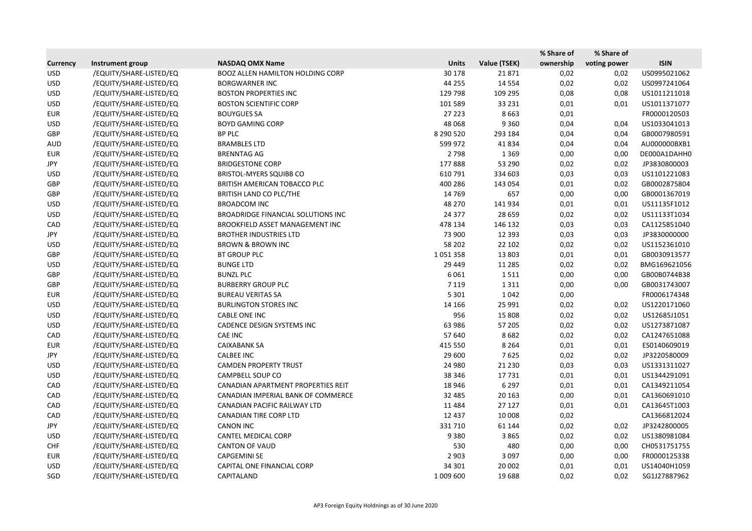|                 |                         |                                           |              |              | % Share of | % Share of   |              |
|-----------------|-------------------------|-------------------------------------------|--------------|--------------|------------|--------------|--------------|
| <b>Currency</b> | Instrument group        | <b>NASDAQ OMX Name</b>                    | <b>Units</b> | Value (TSEK) | ownership  | voting power | <b>ISIN</b>  |
| <b>USD</b>      | /EQUITY/SHARE-LISTED/EQ | <b>BOOZ ALLEN HAMILTON HOLDING CORP</b>   | 30 178       | 21871        | 0,02       | 0,02         | US0995021062 |
| <b>USD</b>      | /EQUITY/SHARE-LISTED/EQ | <b>BORGWARNER INC</b>                     | 44 255       | 14 5 54      | 0,02       | 0,02         | US0997241064 |
| <b>USD</b>      | /EQUITY/SHARE-LISTED/EQ | <b>BOSTON PROPERTIES INC</b>              | 129 798      | 109 295      | 0,08       | 0,08         | US1011211018 |
| <b>USD</b>      | /EQUITY/SHARE-LISTED/EQ | <b>BOSTON SCIENTIFIC CORP</b>             | 101 589      | 33 2 31      | 0,01       | 0,01         | US1011371077 |
| <b>EUR</b>      | /EQUITY/SHARE-LISTED/EQ | <b>BOUYGUES SA</b>                        | 27 223       | 8663         | 0,01       |              | FR0000120503 |
| <b>USD</b>      | /EQUITY/SHARE-LISTED/EQ | <b>BOYD GAMING CORP</b>                   | 48 0 68      | 9 3 6 0      | 0,04       | 0,04         | US1033041013 |
| GBP             | /EQUITY/SHARE-LISTED/EQ | <b>BP PLC</b>                             | 8 290 520    | 293 184      | 0,04       | 0,04         | GB0007980591 |
| <b>AUD</b>      | /EQUITY/SHARE-LISTED/EQ | <b>BRAMBLES LTD</b>                       | 599 972      | 41834        | 0,04       | 0,04         | AU000000BXB1 |
| <b>EUR</b>      | /EQUITY/SHARE-LISTED/EQ | <b>BRENNTAG AG</b>                        | 2798         | 1 3 6 9      | 0,00       | 0,00         | DE000A1DAHH0 |
| JPY             | /EQUITY/SHARE-LISTED/EQ | <b>BRIDGESTONE CORP</b>                   | 177888       | 53 290       | 0,02       | 0,02         | JP3830800003 |
| <b>USD</b>      | /EQUITY/SHARE-LISTED/EQ | <b>BRISTOL-MYERS SQUIBB CO</b>            | 610 791      | 334 603      | 0,03       | 0,03         | US1101221083 |
| GBP             | /EQUITY/SHARE-LISTED/EQ | BRITISH AMERICAN TOBACCO PLC              | 400 286      | 143 054      | 0,01       | 0,02         | GB0002875804 |
| GBP             | /EQUITY/SHARE-LISTED/EQ | BRITISH LAND CO PLC/THE                   | 14 7 69      | 657          | 0,00       | 0,00         | GB0001367019 |
| <b>USD</b>      | /EQUITY/SHARE-LISTED/EQ | <b>BROADCOM INC</b>                       | 48 270       | 141 934      | 0,01       | 0,01         | US11135F1012 |
| <b>USD</b>      | /EQUITY/SHARE-LISTED/EQ | <b>BROADRIDGE FINANCIAL SOLUTIONS INC</b> | 24 377       | 28 659       | 0,02       | 0,02         | US11133T1034 |
| CAD             | /EQUITY/SHARE-LISTED/EQ | BROOKFIELD ASSET MANAGEMENT INC           | 478 134      | 146 132      | 0,03       | 0,03         | CA1125851040 |
| JPY             | /EQUITY/SHARE-LISTED/EQ | <b>BROTHER INDUSTRIES LTD</b>             | 73 900       | 12 3 93      | 0,03       | 0,03         | JP3830000000 |
| <b>USD</b>      | /EQUITY/SHARE-LISTED/EQ | <b>BROWN &amp; BROWN INC</b>              | 58 202       | 22 102       | 0,02       | 0,02         | US1152361010 |
| GBP             | /EQUITY/SHARE-LISTED/EQ | <b>BT GROUP PLC</b>                       | 1051358      | 13 803       | 0,01       | 0,01         | GB0030913577 |
| <b>USD</b>      | /EQUITY/SHARE-LISTED/EQ | <b>BUNGE LTD</b>                          | 29 4 4 9     | 11 2 8 5     | 0,02       | 0,02         | BMG169621056 |
| GBP             | /EQUITY/SHARE-LISTED/EQ | <b>BUNZL PLC</b>                          | 6061         | 1511         | 0,00       | 0,00         | GB00B0744B38 |
| <b>GBP</b>      | /EQUITY/SHARE-LISTED/EQ | <b>BURBERRY GROUP PLC</b>                 | 7 1 1 9      | 1311         | 0,00       | 0,00         | GB0031743007 |
| <b>EUR</b>      | /EQUITY/SHARE-LISTED/EQ | <b>BUREAU VERITAS SA</b>                  | 5 3 0 1      | 1042         | 0,00       |              | FR0006174348 |
| <b>USD</b>      | /EQUITY/SHARE-LISTED/EQ | <b>BURLINGTON STORES INC</b>              | 14 16 6      | 25 991       | 0,02       | 0,02         | US1220171060 |
| <b>USD</b>      | /EQUITY/SHARE-LISTED/EQ | CABLE ONE INC                             | 956          | 15 808       | 0,02       | 0,02         | US12685J1051 |
| <b>USD</b>      | /EQUITY/SHARE-LISTED/EQ | CADENCE DESIGN SYSTEMS INC                | 63 986       | 57 205       | 0,02       | 0,02         | US1273871087 |
| CAD             | /EQUITY/SHARE-LISTED/EQ | CAE INC                                   | 57 640       | 8682         | 0,02       | 0,02         | CA1247651088 |
| <b>EUR</b>      | /EQUITY/SHARE-LISTED/EQ | <b>CAIXABANK SA</b>                       | 415 550      | 8 2 6 4      | 0,01       | 0,01         | ES0140609019 |
| JPY             | /EQUITY/SHARE-LISTED/EQ | <b>CALBEE INC</b>                         | 29 600       | 7625         | 0,02       | 0,02         | JP3220580009 |
| <b>USD</b>      | /EQUITY/SHARE-LISTED/EQ | <b>CAMDEN PROPERTY TRUST</b>              | 24 980       | 21 2 30      | 0,03       | 0,03         | US1331311027 |
| <b>USD</b>      | /EQUITY/SHARE-LISTED/EQ | CAMPBELL SOUP CO                          | 38 346       | 17731        | 0,01       | 0,01         | US1344291091 |
| CAD             | /EQUITY/SHARE-LISTED/EQ | CANADIAN APARTMENT PROPERTIES REIT        | 18 946       | 6 2 9 7      | 0,01       | 0,01         | CA1349211054 |
| CAD             | /EQUITY/SHARE-LISTED/EQ | CANADIAN IMPERIAL BANK OF COMMERCE        | 32 4 8 5     | 20 16 3      | 0,00       | 0,01         | CA1360691010 |
| CAD             | /EQUITY/SHARE-LISTED/EQ | CANADIAN PACIFIC RAILWAY LTD              | 11484        | 27 127       | 0,01       | 0,01         | CA13645T1003 |
| CAD             | /EQUITY/SHARE-LISTED/EQ | CANADIAN TIRE CORP LTD                    | 12 4 3 7     | 10 008       | 0,02       |              | CA1366812024 |
| JPY             | /EQUITY/SHARE-LISTED/EQ | <b>CANON INC</b>                          | 331710       | 61 144       | 0,02       | 0,02         | JP3242800005 |
| <b>USD</b>      | /EQUITY/SHARE-LISTED/EQ | CANTEL MEDICAL CORP                       | 9380         | 3865         | 0,02       | 0,02         | US1380981084 |
| <b>CHF</b>      | /EQUITY/SHARE-LISTED/EQ | <b>CANTON OF VAUD</b>                     | 530          | 480          | 0,00       | 0,00         | CH0531751755 |
| EUR             | /EQUITY/SHARE-LISTED/EQ | <b>CAPGEMINI SE</b>                       | 2 9 0 3      | 3 0 9 7      | 0,00       | 0,00         | FR0000125338 |
| <b>USD</b>      | /EQUITY/SHARE-LISTED/EQ | CAPITAL ONE FINANCIAL CORP                | 34 301       | 20 002       | 0,01       | 0,01         | US14040H1059 |
| SGD             | /EQUITY/SHARE-LISTED/EQ | CAPITALAND                                | 1 009 600    | 19688        | 0,02       | 0,02         | SG1J27887962 |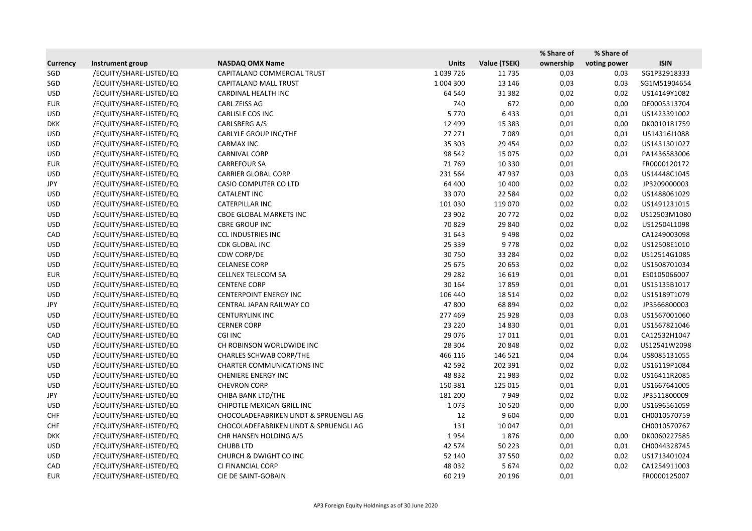|                 |                         |                                        |              |              | % Share of | % Share of   |              |
|-----------------|-------------------------|----------------------------------------|--------------|--------------|------------|--------------|--------------|
| <b>Currency</b> | Instrument group        | <b>NASDAQ OMX Name</b>                 | <b>Units</b> | Value (TSEK) | ownership  | voting power | <b>ISIN</b>  |
| SGD             | /EQUITY/SHARE-LISTED/EQ | CAPITALAND COMMERCIAL TRUST            | 1039726      | 11 7 35      | 0,03       | 0,03         | SG1P32918333 |
| SGD             | /EQUITY/SHARE-LISTED/EQ | <b>CAPITALAND MALL TRUST</b>           | 1 004 300    | 13 14 6      | 0,03       | 0,03         | SG1M51904654 |
| <b>USD</b>      | /EQUITY/SHARE-LISTED/EQ | CARDINAL HEALTH INC                    | 64 540       | 31 382       | 0,02       | 0,02         | US14149Y1082 |
| <b>EUR</b>      | /EQUITY/SHARE-LISTED/EQ | CARL ZEISS AG                          | 740          | 672          | 0,00       | 0,00         | DE0005313704 |
| <b>USD</b>      | /EQUITY/SHARE-LISTED/EQ | CARLISLE COS INC                       | 5770         | 6433         | 0,01       | 0,01         | US1423391002 |
| <b>DKK</b>      | /EQUITY/SHARE-LISTED/EQ | CARLSBERG A/S                          | 12 4 9 9     | 15 3 8 3     | 0,01       | 0,00         | DK0010181759 |
| <b>USD</b>      | /EQUITY/SHARE-LISTED/EQ | CARLYLE GROUP INC/THE                  | 27 27 1      | 7089         | 0,01       | 0,01         | US14316J1088 |
| <b>USD</b>      | /EQUITY/SHARE-LISTED/EQ | <b>CARMAX INC</b>                      | 35 303       | 29 4 54      | 0,02       | 0,02         | US1431301027 |
| <b>USD</b>      | /EQUITY/SHARE-LISTED/EQ | <b>CARNIVAL CORP</b>                   | 98 542       | 15 0 75      | 0,02       | 0,01         | PA1436583006 |
| <b>EUR</b>      | /EQUITY/SHARE-LISTED/EQ | <b>CARREFOUR SA</b>                    | 71769        | 10 3 30      | 0,01       |              | FR0000120172 |
| <b>USD</b>      | /EQUITY/SHARE-LISTED/EQ | <b>CARRIER GLOBAL CORP</b>             | 231 564      | 47937        | 0,03       | 0,03         | US14448C1045 |
| JPY             | /EQUITY/SHARE-LISTED/EQ | CASIO COMPUTER CO LTD                  | 64 400       | 10 400       | 0,02       | 0,02         | JP3209000003 |
| <b>USD</b>      | /EQUITY/SHARE-LISTED/EQ | <b>CATALENT INC</b>                    | 33 0 70      | 22 5 84      | 0,02       | 0,02         | US1488061029 |
| <b>USD</b>      | /EQUITY/SHARE-LISTED/EQ | CATERPILLAR INC                        | 101 030      | 119 070      | 0,02       | 0,02         | US1491231015 |
| <b>USD</b>      | /EQUITY/SHARE-LISTED/EQ | <b>CBOE GLOBAL MARKETS INC</b>         | 23 902       | 20772        | 0,02       | 0,02         | US12503M1080 |
| <b>USD</b>      | /EQUITY/SHARE-LISTED/EQ | <b>CBRE GROUP INC</b>                  | 70829        | 29 840       | 0,02       | 0,02         | US12504L1098 |
| CAD             | /EQUITY/SHARE-LISTED/EQ | <b>CCL INDUSTRIES INC</b>              | 31 643       | 9498         | 0,02       |              | CA1249003098 |
| <b>USD</b>      | /EQUITY/SHARE-LISTED/EQ | CDK GLOBAL INC                         | 25 3 39      | 9778         | 0,02       | 0,02         | US12508E1010 |
| <b>USD</b>      | /EQUITY/SHARE-LISTED/EQ | CDW CORP/DE                            | 30750        | 33 2 84      | 0,02       | 0,02         | US12514G1085 |
| <b>USD</b>      | /EQUITY/SHARE-LISTED/EQ | <b>CELANESE CORP</b>                   | 25 675       | 20 653       | 0,02       | 0,02         | US1508701034 |
| <b>EUR</b>      | /EQUITY/SHARE-LISTED/EQ | CELLNEX TELECOM SA                     | 29 2 8 2     | 16 6 19      | 0,01       | 0,01         | ES0105066007 |
| <b>USD</b>      | /EQUITY/SHARE-LISTED/EQ | <b>CENTENE CORP</b>                    | 30 164       | 17859        | 0,01       | 0,01         | US15135B1017 |
| <b>USD</b>      | /EQUITY/SHARE-LISTED/EQ | <b>CENTERPOINT ENERGY INC</b>          | 106 440      | 18514        | 0,02       | 0,02         | US15189T1079 |
| JPY             | /EQUITY/SHARE-LISTED/EQ | CENTRAL JAPAN RAILWAY CO               | 47800        | 68 894       | 0,02       | 0,02         | JP3566800003 |
| <b>USD</b>      | /EQUITY/SHARE-LISTED/EQ | <b>CENTURYLINK INC</b>                 | 277 469      | 25 9 28      | 0,03       | 0,03         | US1567001060 |
| <b>USD</b>      | /EQUITY/SHARE-LISTED/EQ | <b>CERNER CORP</b>                     | 23 2 20      | 14 8 30      | 0,01       | 0,01         | US1567821046 |
| CAD             | /EQUITY/SHARE-LISTED/EQ | CGI INC                                | 29 0 76      | 17011        | 0,01       | 0,01         | CA12532H1047 |
| <b>USD</b>      | /EQUITY/SHARE-LISTED/EQ | CH ROBINSON WORLDWIDE INC              | 28 304       | 20848        | 0,02       | 0,02         | US12541W2098 |
| <b>USD</b>      | /EQUITY/SHARE-LISTED/EQ | <b>CHARLES SCHWAB CORP/THE</b>         | 466 116      | 146 521      | 0,04       | 0,04         | US8085131055 |
| <b>USD</b>      | /EQUITY/SHARE-LISTED/EQ | <b>CHARTER COMMUNICATIONS INC</b>      | 42 5 92      | 202 391      | 0,02       | 0,02         | US16119P1084 |
| <b>USD</b>      | /EQUITY/SHARE-LISTED/EQ | <b>CHENIERE ENERGY INC</b>             | 48 8 32      | 21 983       | 0,02       | 0,02         | US16411R2085 |
| <b>USD</b>      | /EQUITY/SHARE-LISTED/EQ | <b>CHEVRON CORP</b>                    | 150 381      | 125 015      | 0,01       | 0,01         | US1667641005 |
| JPY             | /EQUITY/SHARE-LISTED/EQ | CHIBA BANK LTD/THE                     | 181 200      | 7949         | 0,02       | 0,02         | JP3511800009 |
| <b>USD</b>      | /EQUITY/SHARE-LISTED/EQ | CHIPOTLE MEXICAN GRILL INC             | 1073         | 10 5 20      | 0,00       | 0,00         | US1696561059 |
| <b>CHF</b>      | /EQUITY/SHARE-LISTED/EQ | CHOCOLADEFABRIKEN LINDT & SPRUENGLI AG | 12           | 9604         | 0,00       | 0,01         | CH0010570759 |
| <b>CHF</b>      | /EQUITY/SHARE-LISTED/EQ | CHOCOLADEFABRIKEN LINDT & SPRUENGLI AG | 131          | 10 047       | 0,01       |              | CH0010570767 |
| <b>DKK</b>      | /EQUITY/SHARE-LISTED/EQ | CHR HANSEN HOLDING A/S                 | 1954         | 1876         | 0,00       | 0,00         | DK0060227585 |
| <b>USD</b>      | /EQUITY/SHARE-LISTED/EQ | <b>CHUBB LTD</b>                       | 42 574       | 50 223       | 0,01       | 0,01         | CH0044328745 |
| <b>USD</b>      | /EQUITY/SHARE-LISTED/EQ | <b>CHURCH &amp; DWIGHT CO INC</b>      | 52 140       | 37 550       | 0,02       | 0,02         | US1713401024 |
| CAD             | /EQUITY/SHARE-LISTED/EQ | CI FINANCIAL CORP                      | 48 0 32      | 5674         | 0,02       | 0,02         | CA1254911003 |
| <b>EUR</b>      | /EQUITY/SHARE-LISTED/EQ | CIE DE SAINT-GOBAIN                    | 60 219       | 20 19 6      | 0,01       |              | FR0000125007 |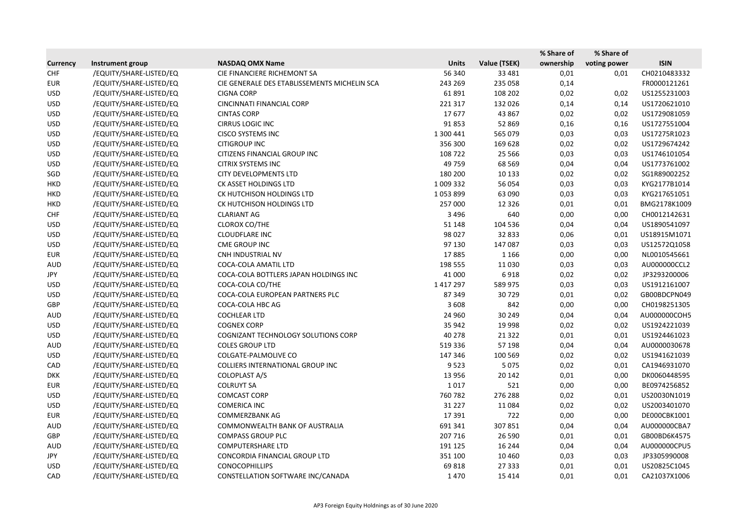|                 |                         |                                              |               |              | % Share of | % Share of   |              |
|-----------------|-------------------------|----------------------------------------------|---------------|--------------|------------|--------------|--------------|
| <b>Currency</b> | Instrument group        | <b>NASDAQ OMX Name</b>                       | <b>Units</b>  | Value (TSEK) | ownership  | voting power | <b>ISIN</b>  |
| <b>CHF</b>      | /EQUITY/SHARE-LISTED/EQ | CIE FINANCIERE RICHEMONT SA                  | 56 340        | 33 4 81      | 0,01       | 0,01         | CH0210483332 |
| <b>EUR</b>      | /EQUITY/SHARE-LISTED/EQ | CIE GENERALE DES ETABLISSEMENTS MICHELIN SCA | 243 269       | 235 058      | 0,14       |              | FR0000121261 |
| <b>USD</b>      | /EQUITY/SHARE-LISTED/EQ | <b>CIGNA CORP</b>                            | 61891         | 108 202      | 0,02       | 0,02         | US1255231003 |
| <b>USD</b>      | /EQUITY/SHARE-LISTED/EQ | <b>CINCINNATI FINANCIAL CORP</b>             | 221 317       | 132 026      | 0,14       | 0,14         | US1720621010 |
| <b>USD</b>      | /EQUITY/SHARE-LISTED/EQ | <b>CINTAS CORP</b>                           | 17677         | 43 867       | 0,02       | 0,02         | US1729081059 |
| <b>USD</b>      | /EQUITY/SHARE-LISTED/EQ | <b>CIRRUS LOGIC INC</b>                      | 91853         | 52 869       | 0,16       | 0,16         | US1727551004 |
| <b>USD</b>      | /EQUITY/SHARE-LISTED/EQ | <b>CISCO SYSTEMS INC</b>                     | 1 300 441     | 565 079      | 0,03       | 0,03         | US17275R1023 |
| <b>USD</b>      | /EQUITY/SHARE-LISTED/EQ | <b>CITIGROUP INC</b>                         | 356 300       | 169 628      | 0,02       | 0,02         | US1729674242 |
| <b>USD</b>      | /EQUITY/SHARE-LISTED/EQ | CITIZENS FINANCIAL GROUP INC                 | 108 722       | 25 5 66      | 0,03       | 0,03         | US1746101054 |
| <b>USD</b>      | /EQUITY/SHARE-LISTED/EQ | <b>CITRIX SYSTEMS INC</b>                    | 49 759        | 68 5 69      | 0,04       | 0,04         | US1773761002 |
| SGD             | /EQUITY/SHARE-LISTED/EQ | <b>CITY DEVELOPMENTS LTD</b>                 | 180 200       | 10 133       | 0,02       | 0,02         | SG1R89002252 |
| <b>HKD</b>      | /EQUITY/SHARE-LISTED/EQ | CK ASSET HOLDINGS LTD                        | 1 009 332     | 56 054       | 0,03       | 0,03         | KYG2177B1014 |
| <b>HKD</b>      | /EQUITY/SHARE-LISTED/EQ | CK HUTCHISON HOLDINGS LTD                    | 1053899       | 63 090       | 0,03       | 0,03         | KYG217651051 |
| <b>HKD</b>      | /EQUITY/SHARE-LISTED/EQ | CK HUTCHISON HOLDINGS LTD                    | 257 000       | 12 3 26      | 0,01       | 0,01         | BMG2178K1009 |
| <b>CHF</b>      | /EQUITY/SHARE-LISTED/EQ | <b>CLARIANT AG</b>                           | 3 4 9 6       | 640          | 0,00       | 0,00         | CH0012142631 |
| <b>USD</b>      | /EQUITY/SHARE-LISTED/EQ | CLOROX CO/THE                                | 51 148        | 104 536      | 0,04       | 0,04         | US1890541097 |
| <b>USD</b>      | /EQUITY/SHARE-LISTED/EQ | <b>CLOUDFLARE INC</b>                        | 98 0 27       | 32 833       | 0,06       | 0,01         | US18915M1071 |
| <b>USD</b>      | /EQUITY/SHARE-LISTED/EQ | CME GROUP INC                                | 97 130        | 147 087      | 0,03       | 0,03         | US12572Q1058 |
| <b>EUR</b>      | /EQUITY/SHARE-LISTED/EQ | CNH INDUSTRIAL NV                            | 17885         | 1 1 6 6      | 0,00       | 0,00         | NL0010545661 |
| <b>AUD</b>      | /EQUITY/SHARE-LISTED/EQ | COCA-COLA AMATIL LTD                         | 198 555       | 11 0 30      | 0,03       | 0,03         | AU000000CCL2 |
| JPY             | /EQUITY/SHARE-LISTED/EQ | COCA-COLA BOTTLERS JAPAN HOLDINGS INC        | 41 000        | 6918         | 0,02       | 0,02         | JP3293200006 |
| <b>USD</b>      | /EQUITY/SHARE-LISTED/EQ | COCA-COLA CO/THE                             | 1 4 1 7 2 9 7 | 589 975      | 0,03       | 0,03         | US1912161007 |
| <b>USD</b>      | /EQUITY/SHARE-LISTED/EQ | COCA-COLA EUROPEAN PARTNERS PLC              | 87 349        | 30729        | 0,01       | 0,02         | GB00BDCPN049 |
| GBP             | /EQUITY/SHARE-LISTED/EQ | COCA-COLA HBC AG                             | 3608          | 842          | 0,00       | 0,00         | CH0198251305 |
| <b>AUD</b>      | /EQUITY/SHARE-LISTED/EQ | <b>COCHLEAR LTD</b>                          | 24 960        | 30 249       | 0,04       | 0,04         | AU000000COH5 |
| <b>USD</b>      | /EQUITY/SHARE-LISTED/EQ | <b>COGNEX CORP</b>                           | 35 942        | 19 9 98      | 0,02       | 0,02         | US1924221039 |
| <b>USD</b>      | /EQUITY/SHARE-LISTED/EQ | COGNIZANT TECHNOLOGY SOLUTIONS CORP          | 40 278        | 21 3 22      | 0,01       | 0,01         | US1924461023 |
| <b>AUD</b>      | /EQUITY/SHARE-LISTED/EQ | <b>COLES GROUP LTD</b>                       | 519 336       | 57 198       | 0,04       | 0,04         | AU0000030678 |
| <b>USD</b>      | /EQUITY/SHARE-LISTED/EQ | <b>COLGATE-PALMOLIVE CO</b>                  | 147 346       | 100 569      | 0,02       | 0,02         | US1941621039 |
| CAD             | /EQUITY/SHARE-LISTED/EQ | COLLIERS INTERNATIONAL GROUP INC             | 9523          | 5 0 7 5      | 0,02       | 0,01         | CA1946931070 |
| <b>DKK</b>      | /EQUITY/SHARE-LISTED/EQ | COLOPLAST A/S                                | 13 9 56       | 20 14 2      | 0,01       | 0,00         | DK0060448595 |
| EUR             | /EQUITY/SHARE-LISTED/EQ | <b>COLRUYT SA</b>                            | 1017          | 521          | 0,00       | 0,00         | BE0974256852 |
| <b>USD</b>      | /EQUITY/SHARE-LISTED/EQ | <b>COMCAST CORP</b>                          | 760 782       | 276 288      | 0,02       | 0,01         | US20030N1019 |
| <b>USD</b>      | /EQUITY/SHARE-LISTED/EQ | <b>COMERICA INC</b>                          | 31 2 2 7      | 11084        | 0,02       | 0,02         | US2003401070 |
| <b>EUR</b>      | /EQUITY/SHARE-LISTED/EQ | <b>COMMERZBANK AG</b>                        | 17391         | 722          | 0,00       | 0,00         | DE000CBK1001 |
| <b>AUD</b>      | /EQUITY/SHARE-LISTED/EQ | COMMONWEALTH BANK OF AUSTRALIA               | 691 341       | 307851       | 0,04       | 0,04         | AU000000CBA7 |
| GBP             | /EQUITY/SHARE-LISTED/EQ | <b>COMPASS GROUP PLC</b>                     | 207 716       | 26 590       | 0,01       | 0,01         | GB00BD6K4575 |
| <b>AUD</b>      | /EQUITY/SHARE-LISTED/EQ | <b>COMPUTERSHARE LTD</b>                     | 191 125       | 16 244       | 0,04       | 0,04         | AU000000CPU5 |
| JPY             | /EQUITY/SHARE-LISTED/EQ | CONCORDIA FINANCIAL GROUP LTD                | 351 100       | 10 4 60      | 0,03       | 0,03         | JP3305990008 |
| <b>USD</b>      | /EQUITY/SHARE-LISTED/EQ | <b>CONOCOPHILLIPS</b>                        | 69818         | 27 333       | 0,01       | 0,01         | US20825C1045 |
| CAD             | /EQUITY/SHARE-LISTED/EQ | CONSTELLATION SOFTWARE INC/CANADA            | 1470          | 15 4 14      | 0,01       | 0,01         | CA21037X1006 |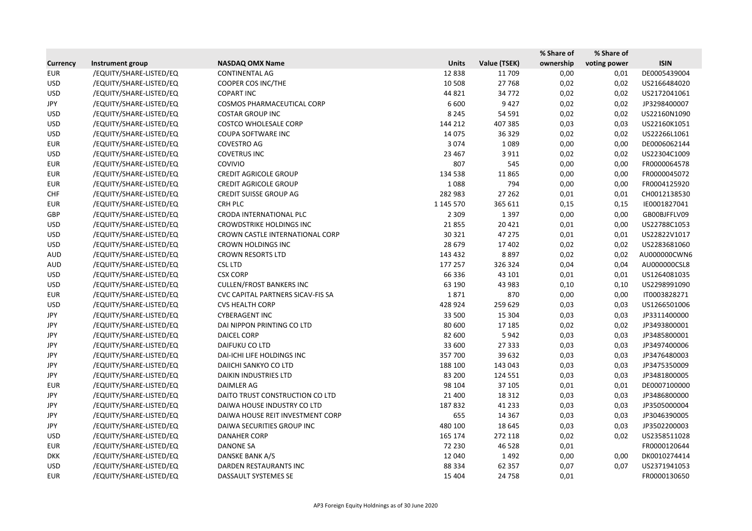|                 |                         |                                   |              |              | % Share of | % Share of   |              |
|-----------------|-------------------------|-----------------------------------|--------------|--------------|------------|--------------|--------------|
| <b>Currency</b> | <b>Instrument group</b> | <b>NASDAQ OMX Name</b>            | <b>Units</b> | Value (TSEK) | ownership  | voting power | <b>ISIN</b>  |
| <b>EUR</b>      | /EQUITY/SHARE-LISTED/EQ | <b>CONTINENTAL AG</b>             | 12838        | 11 709       | 0,00       | 0,01         | DE0005439004 |
| <b>USD</b>      | /EQUITY/SHARE-LISTED/EQ | COOPER COS INC/THE                | 10 508       | 27768        | 0,02       | 0,02         | US2166484020 |
| <b>USD</b>      | /EQUITY/SHARE-LISTED/EQ | <b>COPART INC</b>                 | 44 8 21      | 34 7 72      | 0,02       | 0,02         | US2172041061 |
| JPY             | /EQUITY/SHARE-LISTED/EQ | COSMOS PHARMACEUTICAL CORP        | 6 600        | 9427         | 0,02       | 0,02         | JP3298400007 |
| <b>USD</b>      | /EQUITY/SHARE-LISTED/EQ | <b>COSTAR GROUP INC</b>           | 8 2 4 5      | 54 591       | 0,02       | 0,02         | US22160N1090 |
| <b>USD</b>      | /EQUITY/SHARE-LISTED/EQ | <b>COSTCO WHOLESALE CORP</b>      | 144 212      | 407 385      | 0,03       | 0,03         | US22160K1051 |
| <b>USD</b>      | /EQUITY/SHARE-LISTED/EQ | COUPA SOFTWARE INC                | 14 0 75      | 36 329       | 0,02       | 0,02         | US22266L1061 |
| <b>EUR</b>      | /EQUITY/SHARE-LISTED/EQ | COVESTRO AG                       | 3 0 7 4      | 1089         | 0,00       | 0,00         | DE0006062144 |
| <b>USD</b>      | /EQUITY/SHARE-LISTED/EQ | <b>COVETRUS INC</b>               | 23 4 67      | 3 9 1 1      | 0,02       | 0,02         | US22304C1009 |
| <b>EUR</b>      | /EQUITY/SHARE-LISTED/EQ | <b>COVIVIO</b>                    | 807          | 545          | 0,00       | 0,00         | FR0000064578 |
| <b>EUR</b>      | /EQUITY/SHARE-LISTED/EQ | <b>CREDIT AGRICOLE GROUP</b>      | 134 538      | 11865        | 0,00       | 0,00         | FR0000045072 |
| <b>EUR</b>      | /EQUITY/SHARE-LISTED/EQ | <b>CREDIT AGRICOLE GROUP</b>      | 1088         | 794          | 0,00       | 0,00         | FR0004125920 |
| <b>CHF</b>      | /EQUITY/SHARE-LISTED/EQ | <b>CREDIT SUISSE GROUP AG</b>     | 282 983      | 27 26 2      | 0,01       | 0,01         | CH0012138530 |
| <b>EUR</b>      | /EQUITY/SHARE-LISTED/EQ | CRH PLC                           | 1 145 570    | 365 611      | 0,15       | 0,15         | IE0001827041 |
| GBP             | /EQUITY/SHARE-LISTED/EQ | CRODA INTERNATIONAL PLC           | 2 3 0 9      | 1 3 9 7      | 0,00       | 0,00         | GB00BJFFLV09 |
| <b>USD</b>      | /EQUITY/SHARE-LISTED/EQ | <b>CROWDSTRIKE HOLDINGS INC</b>   | 21855        | 20 4 21      | 0,01       | 0,00         | US22788C1053 |
| <b>USD</b>      | /EQUITY/SHARE-LISTED/EQ | CROWN CASTLE INTERNATIONAL CORP   | 30 321       | 47 275       | 0,01       | 0,01         | US22822V1017 |
| <b>USD</b>      | /EQUITY/SHARE-LISTED/EQ | CROWN HOLDINGS INC                | 28 679       | 17 402       | 0,02       | 0,02         | US2283681060 |
| AUD             | /EQUITY/SHARE-LISTED/EQ | <b>CROWN RESORTS LTD</b>          | 143 432      | 8897         | 0,02       | 0,02         | AU000000CWN6 |
| <b>AUD</b>      | /EQUITY/SHARE-LISTED/EQ | <b>CSL LTD</b>                    | 177 257      | 326 324      | 0,04       | 0,04         | AU000000CSL8 |
| <b>USD</b>      | /EQUITY/SHARE-LISTED/EQ | <b>CSX CORP</b>                   | 66 336       | 43 101       | 0,01       | 0,01         | US1264081035 |
| <b>USD</b>      | /EQUITY/SHARE-LISTED/EQ | <b>CULLEN/FROST BANKERS INC</b>   | 63 190       | 43 983       | 0,10       | 0,10         | US2298991090 |
| <b>EUR</b>      | /EQUITY/SHARE-LISTED/EQ | CVC CAPITAL PARTNERS SICAV-FIS SA | 1871         | 870          | 0,00       | 0,00         | IT0003828271 |
| <b>USD</b>      | /EQUITY/SHARE-LISTED/EQ | <b>CVS HEALTH CORP</b>            | 428 924      | 259 629      | 0,03       | 0,03         | US1266501006 |
| JPY             | /EQUITY/SHARE-LISTED/EQ | <b>CYBERAGENT INC</b>             | 33 500       | 15 304       | 0,03       | 0,03         | JP3311400000 |
| JPY             | /EQUITY/SHARE-LISTED/EQ | DAI NIPPON PRINTING CO LTD        | 80 600       | 17 185       | 0,02       | 0,02         | JP3493800001 |
| JPY             | /EQUITY/SHARE-LISTED/EQ | <b>DAICEL CORP</b>                | 82 600       | 5942         | 0,03       | 0,03         | JP3485800001 |
| JPY             | /EQUITY/SHARE-LISTED/EQ | DAIFUKU CO LTD                    | 33 600       | 27 333       | 0,03       | 0,03         | JP3497400006 |
| JPY             | /EQUITY/SHARE-LISTED/EQ | DAI-ICHI LIFE HOLDINGS INC        | 357 700      | 39 632       | 0,03       | 0,03         | JP3476480003 |
| JPY             | /EQUITY/SHARE-LISTED/EQ | DAIICHI SANKYO CO LTD             | 188 100      | 143 043      | 0,03       | 0,03         | JP3475350009 |
| JPY             | /EQUITY/SHARE-LISTED/EQ | <b>DAIKIN INDUSTRIES LTD</b>      | 83 200       | 124 551      | 0,03       | 0,03         | JP3481800005 |
| EUR             | /EQUITY/SHARE-LISTED/EQ | DAIMLER AG                        | 98 104       | 37 105       | 0,01       | 0,01         | DE0007100000 |
| JPY             | /EQUITY/SHARE-LISTED/EQ | DAITO TRUST CONSTRUCTION CO LTD   | 21 400       | 18 3 12      | 0,03       | 0,03         | JP3486800000 |
| JPY             | /EQUITY/SHARE-LISTED/EQ | DAIWA HOUSE INDUSTRY CO LTD       | 187832       | 41 2 3 3     | 0,03       | 0,03         | JP3505000004 |
| JPY             | /EQUITY/SHARE-LISTED/EQ | DAIWA HOUSE REIT INVESTMENT CORP  | 655          | 14 3 67      | 0,03       | 0,03         | JP3046390005 |
| JPY             | /EQUITY/SHARE-LISTED/EQ | DAIWA SECURITIES GROUP INC        | 480 100      | 18 645       | 0,03       | 0,03         | JP3502200003 |
| <b>USD</b>      | /EQUITY/SHARE-LISTED/EQ | DANAHER CORP                      | 165 174      | 272 118      | 0,02       | 0,02         | US2358511028 |
| EUR             | /EQUITY/SHARE-LISTED/EQ | <b>DANONE SA</b>                  | 72 230       | 46 5 28      | 0,01       |              | FR0000120644 |
| <b>DKK</b>      | /EQUITY/SHARE-LISTED/EQ | DANSKE BANK A/S                   | 12 040       | 1492         | 0,00       | 0,00         | DK0010274414 |
| <b>USD</b>      | /EQUITY/SHARE-LISTED/EQ | DARDEN RESTAURANTS INC            | 88 3 34      | 62 3 5 7     | 0,07       | 0,07         | US2371941053 |
| EUR             | /EQUITY/SHARE-LISTED/EQ | DASSAULT SYSTEMES SE              | 15 4 04      | 24 7 58      | 0,01       |              | FR0000130650 |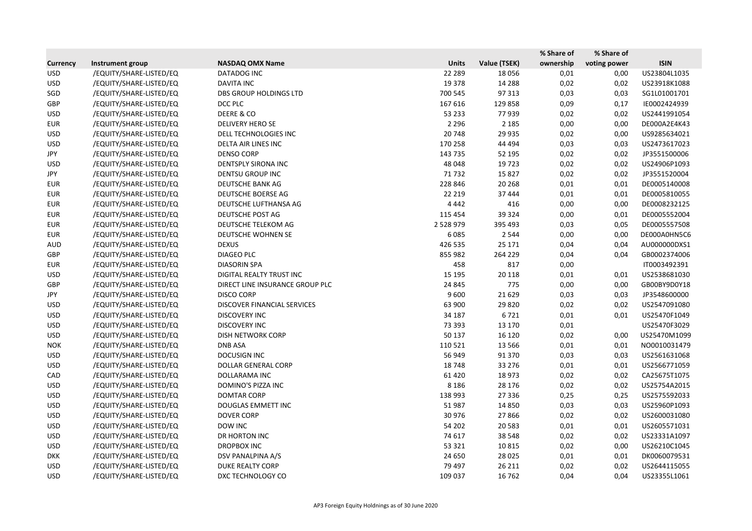|                 |                         |                                 |               |              | % Share of | % Share of   |              |
|-----------------|-------------------------|---------------------------------|---------------|--------------|------------|--------------|--------------|
| <b>Currency</b> | Instrument group        | <b>NASDAQ OMX Name</b>          | <b>Units</b>  | Value (TSEK) | ownership  | voting power | <b>ISIN</b>  |
| <b>USD</b>      | /EQUITY/SHARE-LISTED/EQ | DATADOG INC                     | 22 2 8 9      | 18 0 56      | 0,01       | 0,00         | US23804L1035 |
| <b>USD</b>      | /EQUITY/SHARE-LISTED/EQ | <b>DAVITA INC</b>               | 19 3 78       | 14 2 8 8     | 0,02       | 0,02         | US23918K1088 |
| SGD             | /EQUITY/SHARE-LISTED/EQ | <b>DBS GROUP HOLDINGS LTD</b>   | 700 545       | 97 313       | 0,03       | 0,03         | SG1L01001701 |
| GBP             | /EQUITY/SHARE-LISTED/EQ | DCC PLC                         | 167 616       | 129858       | 0,09       | 0,17         | IE0002424939 |
| <b>USD</b>      | /EQUITY/SHARE-LISTED/EQ | DEERE & CO                      | 53 233        | 77939        | 0,02       | 0,02         | US2441991054 |
| <b>EUR</b>      | /EQUITY/SHARE-LISTED/EQ | DELIVERY HERO SE                | 2 2 9 6       | 2 1 8 5      | 0,00       | 0,00         | DE000A2E4K43 |
| <b>USD</b>      | /EQUITY/SHARE-LISTED/EQ | DELL TECHNOLOGIES INC           | 20748         | 29 9 35      | 0,02       | 0,00         | US9285634021 |
| <b>USD</b>      | /EQUITY/SHARE-LISTED/EQ | DELTA AIR LINES INC             | 170 258       | 44 4 94      | 0,03       | 0,03         | US2473617023 |
| JPY             | /EQUITY/SHARE-LISTED/EQ | <b>DENSO CORP</b>               | 143 735       | 52 195       | 0,02       | 0,02         | JP3551500006 |
| <b>USD</b>      | /EQUITY/SHARE-LISTED/EQ | DENTSPLY SIRONA INC             | 48 048        | 19723        | 0,02       | 0,02         | US24906P1093 |
| JPY             | /EQUITY/SHARE-LISTED/EQ | <b>DENTSU GROUP INC</b>         | 71732         | 15827        | 0,02       | 0,02         | JP3551520004 |
| <b>EUR</b>      | /EQUITY/SHARE-LISTED/EQ | DEUTSCHE BANK AG                | 228 846       | 20 26 8      | 0,01       | 0,01         | DE0005140008 |
| <b>EUR</b>      | /EQUITY/SHARE-LISTED/EQ | DEUTSCHE BOERSE AG              | 22 2 19       | 37 444       | 0,01       | 0,01         | DE0005810055 |
| <b>EUR</b>      | /EQUITY/SHARE-LISTED/EQ | DEUTSCHE LUFTHANSA AG           | 4 4 4 2       | 416          | 0,00       | 0,00         | DE0008232125 |
| <b>EUR</b>      | /EQUITY/SHARE-LISTED/EQ | DEUTSCHE POST AG                | 115 454       | 39 3 24      | 0,00       | 0,01         | DE0005552004 |
| <b>EUR</b>      | /EQUITY/SHARE-LISTED/EQ | DEUTSCHE TELEKOM AG             | 2 5 2 8 9 7 9 | 395 493      | 0,03       | 0,05         | DE0005557508 |
| <b>EUR</b>      | /EQUITY/SHARE-LISTED/EQ | DEUTSCHE WOHNEN SE              | 6085          | 2 5 4 4      | 0,00       | 0,00         | DE000A0HN5C6 |
| <b>AUD</b>      | /EQUITY/SHARE-LISTED/EQ | <b>DEXUS</b>                    | 426 535       | 25 17 1      | 0,04       | 0,04         | AU000000DXS1 |
| GBP             | /EQUITY/SHARE-LISTED/EQ | DIAGEO PLC                      | 855 982       | 264 229      | 0,04       | 0,04         | GB0002374006 |
| <b>EUR</b>      | /EQUITY/SHARE-LISTED/EQ | <b>DIASORIN SPA</b>             | 458           | 817          | 0,00       |              | IT0003492391 |
| <b>USD</b>      | /EQUITY/SHARE-LISTED/EQ | DIGITAL REALTY TRUST INC        | 15 195        | 20 118       | 0,01       | 0,01         | US2538681030 |
| GBP             | /EQUITY/SHARE-LISTED/EQ | DIRECT LINE INSURANCE GROUP PLC | 24 8 45       | 775          | 0,00       | 0,00         | GB00BY9D0Y18 |
| JPY             | /EQUITY/SHARE-LISTED/EQ | <b>DISCO CORP</b>               | 9600          | 21 6 29      | 0,03       | 0,03         | JP3548600000 |
| <b>USD</b>      | /EQUITY/SHARE-LISTED/EQ | DISCOVER FINANCIAL SERVICES     | 63 900        | 29 8 20      | 0,02       | 0,02         | US2547091080 |
| <b>USD</b>      | /EQUITY/SHARE-LISTED/EQ | <b>DISCOVERY INC</b>            | 34 187        | 6721         | 0,01       | 0,01         | US25470F1049 |
| <b>USD</b>      | /EQUITY/SHARE-LISTED/EQ | <b>DISCOVERY INC</b>            | 73 393        | 13 170       | 0,01       |              | US25470F3029 |
| <b>USD</b>      | /EQUITY/SHARE-LISTED/EQ | DISH NETWORK CORP               | 50 137        | 16 120       | 0,02       | 0,00         | US25470M1099 |
| <b>NOK</b>      | /EQUITY/SHARE-LISTED/EQ | <b>DNB ASA</b>                  | 110 521       | 13 5 6 6     | 0,01       | 0,01         | NO0010031479 |
| <b>USD</b>      | /EQUITY/SHARE-LISTED/EQ | DOCUSIGN INC                    | 56 949        | 91 370       | 0,03       | 0,03         | US2561631068 |
| <b>USD</b>      | /EQUITY/SHARE-LISTED/EQ | DOLLAR GENERAL CORP             | 18748         | 33 276       | 0,01       | 0,01         | US2566771059 |
| CAD             | /EQUITY/SHARE-LISTED/EQ | DOLLARAMA INC                   | 61 4 20       | 18973        | 0,02       | 0,02         | CA25675T1075 |
| <b>USD</b>      | /EQUITY/SHARE-LISTED/EQ | DOMINO'S PIZZA INC              | 8 1 8 6       | 28 176       | 0,02       | 0,02         | US25754A2015 |
| <b>USD</b>      | /EQUITY/SHARE-LISTED/EQ | <b>DOMTAR CORP</b>              | 138 993       | 27 3 36      | 0,25       | 0,25         | US2575592033 |
| <b>USD</b>      | /EQUITY/SHARE-LISTED/EQ | <b>DOUGLAS EMMETT INC</b>       | 51987         | 14 8 50      | 0,03       | 0,03         | US25960P1093 |
| <b>USD</b>      | /EQUITY/SHARE-LISTED/EQ | <b>DOVER CORP</b>               | 30 976        | 27866        | 0,02       | 0,02         | US2600031080 |
| <b>USD</b>      | /EQUITY/SHARE-LISTED/EQ | DOW INC                         | 54 202        | 20 5 83      | 0,01       | 0,01         | US2605571031 |
| <b>USD</b>      | /EQUITY/SHARE-LISTED/EQ | DR HORTON INC                   | 74 617        | 38 548       | 0,02       | 0,02         | US23331A1097 |
| <b>USD</b>      | /EQUITY/SHARE-LISTED/EQ | DROPBOX INC                     | 53 321        | 10815        | 0,02       | 0,00         | US26210C1045 |
| <b>DKK</b>      | /EQUITY/SHARE-LISTED/EQ | DSV PANALPINA A/S               | 24 650        | 28 0 25      | 0,01       | 0,01         | DK0060079531 |
| <b>USD</b>      | /EQUITY/SHARE-LISTED/EQ | <b>DUKE REALTY CORP</b>         | 79 497        | 26 211       | 0,02       | 0,02         | US2644115055 |
| <b>USD</b>      | /EQUITY/SHARE-LISTED/EQ | DXC TECHNOLOGY CO               | 109 037       | 16 7 62      | 0,04       | 0,04         | US23355L1061 |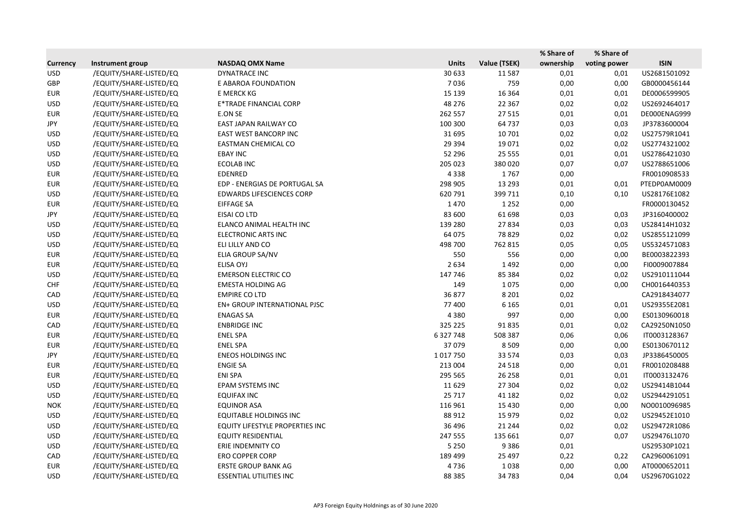|                 |                         |                                 |              |              | % Share of | % Share of   |              |
|-----------------|-------------------------|---------------------------------|--------------|--------------|------------|--------------|--------------|
| <b>Currency</b> | Instrument group        | <b>NASDAQ OMX Name</b>          | <b>Units</b> | Value (TSEK) | ownership  | voting power | <b>ISIN</b>  |
| <b>USD</b>      | /EQUITY/SHARE-LISTED/EQ | <b>DYNATRACE INC</b>            | 30 633       | 11587        | 0,01       | 0,01         | US2681501092 |
| GBP             | /EQUITY/SHARE-LISTED/EQ | E ABAROA FOUNDATION             | 7036         | 759          | 0,00       | 0,00         | GB0000456144 |
| <b>EUR</b>      | /EQUITY/SHARE-LISTED/EQ | E MERCK KG                      | 15 139       | 16 3 64      | 0,01       | 0,01         | DE0006599905 |
| <b>USD</b>      | /EQUITY/SHARE-LISTED/EQ | E*TRADE FINANCIAL CORP          | 48 276       | 22 3 67      | 0,02       | 0,02         | US2692464017 |
| <b>EUR</b>      | /EQUITY/SHARE-LISTED/EQ | E.ON SE                         | 262 557      | 27 5 15      | 0,01       | 0,01         | DE000ENAG999 |
| JPY             | /EQUITY/SHARE-LISTED/EQ | EAST JAPAN RAILWAY CO           | 100 300      | 64737        | 0,03       | 0,03         | JP3783600004 |
| <b>USD</b>      | /EQUITY/SHARE-LISTED/EQ | EAST WEST BANCORP INC           | 31 695       | 10 701       | 0,02       | 0,02         | US27579R1041 |
| <b>USD</b>      | /EQUITY/SHARE-LISTED/EQ | EASTMAN CHEMICAL CO             | 29 3 94      | 19 0 71      | 0,02       | 0,02         | US2774321002 |
| <b>USD</b>      | /EQUITY/SHARE-LISTED/EQ | <b>EBAY INC</b>                 | 52 296       | 25 5 5 5     | 0,01       | 0,01         | US2786421030 |
| <b>USD</b>      | /EQUITY/SHARE-LISTED/EQ | <b>ECOLAB INC</b>               | 205 023      | 380 020      | 0,07       | 0,07         | US2788651006 |
| <b>EUR</b>      | /EQUITY/SHARE-LISTED/EQ | EDENRED                         | 4338         | 1767         | 0,00       |              | FR0010908533 |
| <b>EUR</b>      | /EQUITY/SHARE-LISTED/EQ | EDP - ENERGIAS DE PORTUGAL SA   | 298 905      | 13 2 93      | 0,01       | 0,01         | PTEDP0AM0009 |
| <b>USD</b>      | /EQUITY/SHARE-LISTED/EQ | EDWARDS LIFESCIENCES CORP       | 620 791      | 399 711      | 0,10       | 0,10         | US28176E1082 |
| <b>EUR</b>      | /EQUITY/SHARE-LISTED/EQ | <b>EIFFAGE SA</b>               | 1470         | 1 2 5 2      | 0,00       |              | FR0000130452 |
| JPY             | /EQUITY/SHARE-LISTED/EQ | EISAI CO LTD                    | 83 600       | 61 698       | 0,03       | 0,03         | JP3160400002 |
| <b>USD</b>      | /EQUITY/SHARE-LISTED/EQ | ELANCO ANIMAL HEALTH INC        | 139 280      | 27834        | 0,03       | 0,03         | US28414H1032 |
| <b>USD</b>      | /EQUITY/SHARE-LISTED/EQ | <b>ELECTRONIC ARTS INC</b>      | 64 075       | 78 8 29      | 0,02       | 0,02         | US2855121099 |
| <b>USD</b>      | /EQUITY/SHARE-LISTED/EQ | ELI LILLY AND CO                | 498 700      | 762 815      | 0,05       | 0,05         | US5324571083 |
| <b>EUR</b>      | /EQUITY/SHARE-LISTED/EQ | ELIA GROUP SA/NV                | 550          | 556          | 0,00       | 0,00         | BE0003822393 |
| <b>EUR</b>      | /EQUITY/SHARE-LISTED/EQ | <b>ELISA OYJ</b>                | 2634         | 1492         | 0,00       | 0,00         | FI0009007884 |
| <b>USD</b>      | /EQUITY/SHARE-LISTED/EQ | <b>EMERSON ELECTRIC CO</b>      | 147 746      | 85 3 84      | 0,02       | 0,02         | US2910111044 |
| <b>CHF</b>      | /EQUITY/SHARE-LISTED/EQ | <b>EMESTA HOLDING AG</b>        | 149          | 1075         | 0,00       | 0,00         | CH0016440353 |
| CAD             | /EQUITY/SHARE-LISTED/EQ | <b>EMPIRE CO LTD</b>            | 36 877       | 8 2 0 1      | 0,02       |              | CA2918434077 |
| <b>USD</b>      | /EQUITY/SHARE-LISTED/EQ | EN+ GROUP INTERNATIONAL PJSC    | 77 400       | 6 1 6 5      | 0,01       | 0,01         | US29355E2081 |
| <b>EUR</b>      | /EQUITY/SHARE-LISTED/EQ | <b>ENAGAS SA</b>                | 4380         | 997          | 0,00       | 0,00         | ES0130960018 |
| CAD             | /EQUITY/SHARE-LISTED/EQ | <b>ENBRIDGE INC</b>             | 325 225      | 91835        | 0,01       | 0,02         | CA29250N1050 |
| <b>EUR</b>      | /EQUITY/SHARE-LISTED/EQ | <b>ENEL SPA</b>                 | 6 327 748    | 508 387      | 0,06       | 0,06         | IT0003128367 |
| <b>EUR</b>      | /EQUITY/SHARE-LISTED/EQ | <b>ENEL SPA</b>                 | 37079        | 8 5 0 9      | 0,00       | 0,00         | ES0130670112 |
| JPY             | /EQUITY/SHARE-LISTED/EQ | <b>ENEOS HOLDINGS INC</b>       | 1017750      | 33 5 74      | 0,03       | 0,03         | JP3386450005 |
| <b>EUR</b>      | /EQUITY/SHARE-LISTED/EQ | <b>ENGIE SA</b>                 | 213 004      | 24 5 18      | 0,00       | 0,01         | FR0010208488 |
| <b>EUR</b>      | /EQUITY/SHARE-LISTED/EQ | ENI SPA                         | 295 565      | 26 258       | 0,01       | 0,01         | IT0003132476 |
| <b>USD</b>      | /EQUITY/SHARE-LISTED/EQ | EPAM SYSTEMS INC                | 11 6 29      | 27 304       | 0,02       | 0,02         | US29414B1044 |
| <b>USD</b>      | /EQUITY/SHARE-LISTED/EQ | <b>EQUIFAX INC</b>              | 25 7 17      | 41 182       | 0,02       | 0,02         | US2944291051 |
| <b>NOK</b>      | /EQUITY/SHARE-LISTED/EQ | <b>EQUINOR ASA</b>              | 116 961      | 15 4 30      | 0,00       | 0,00         | NO0010096985 |
| <b>USD</b>      | /EQUITY/SHARE-LISTED/EQ | <b>EQUITABLE HOLDINGS INC</b>   | 88 912       | 15 979       | 0,02       | 0,02         | US29452E1010 |
| <b>USD</b>      | /EQUITY/SHARE-LISTED/EQ | EQUITY LIFESTYLE PROPERTIES INC | 36 4 96      | 21 244       | 0,02       | 0,02         | US29472R1086 |
| <b>USD</b>      | /EQUITY/SHARE-LISTED/EQ | <b>EQUITY RESIDENTIAL</b>       | 247 555      | 135 661      | 0,07       | 0,07         | US29476L1070 |
| <b>USD</b>      | /EQUITY/SHARE-LISTED/EQ | ERIE INDEMNITY CO               | 5 2 5 0      | 9386         | 0,01       |              | US29530P1021 |
| CAD             | /EQUITY/SHARE-LISTED/EQ | <b>ERO COPPER CORP</b>          | 189 499      | 25 4 97      | 0,22       | 0,22         | CA2960061091 |
| <b>EUR</b>      | /EQUITY/SHARE-LISTED/EQ | <b>ERSTE GROUP BANK AG</b>      | 4736         | 1038         | 0,00       | 0,00         | AT0000652011 |
| <b>USD</b>      | /EQUITY/SHARE-LISTED/EQ | <b>ESSENTIAL UTILITIES INC</b>  | 88 3 85      | 34783        | 0,04       | 0,04         | US29670G1022 |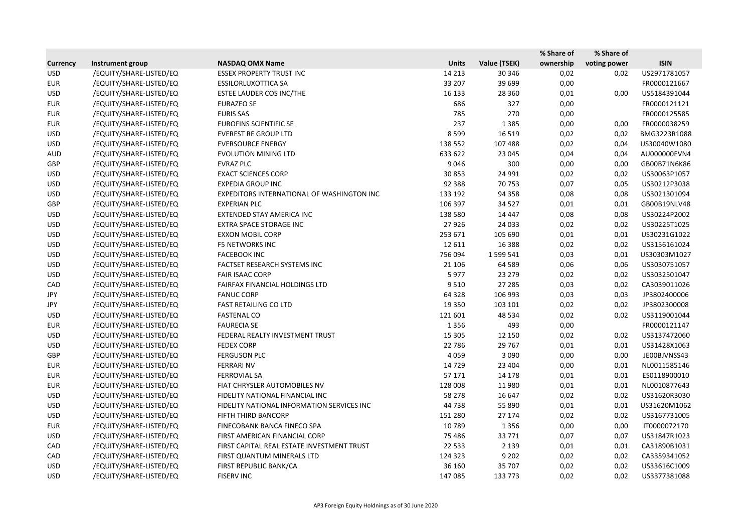|                 |                         |                                            |              |              | % Share of | % Share of   |              |
|-----------------|-------------------------|--------------------------------------------|--------------|--------------|------------|--------------|--------------|
| <b>Currency</b> | Instrument group        | <b>NASDAQ OMX Name</b>                     | <b>Units</b> | Value (TSEK) | ownership  | voting power | <b>ISIN</b>  |
| <b>USD</b>      | /EQUITY/SHARE-LISTED/EQ | <b>ESSEX PROPERTY TRUST INC</b>            | 14 2 13      | 30 346       | 0,02       | 0,02         | US2971781057 |
| <b>EUR</b>      | /EQUITY/SHARE-LISTED/EQ | <b>ESSILORLUXOTTICA SA</b>                 | 33 207       | 39 699       | 0,00       |              | FR0000121667 |
| <b>USD</b>      | /EQUITY/SHARE-LISTED/EQ | ESTEE LAUDER COS INC/THE                   | 16 133       | 28 3 60      | 0,01       | 0,00         | US5184391044 |
| <b>EUR</b>      | /EQUITY/SHARE-LISTED/EQ | <b>EURAZEO SE</b>                          | 686          | 327          | 0,00       |              | FR0000121121 |
| <b>EUR</b>      | /EQUITY/SHARE-LISTED/EQ | <b>EURIS SAS</b>                           | 785          | 270          | 0,00       |              | FR0000125585 |
| <b>EUR</b>      | /EQUITY/SHARE-LISTED/EQ | <b>EUROFINS SCIENTIFIC SE</b>              | 237          | 1 3 8 5      | 0,00       | 0,00         | FR0000038259 |
| <b>USD</b>      | /EQUITY/SHARE-LISTED/EQ | <b>EVEREST RE GROUP LTD</b>                | 8599         | 16 5 19      | 0,02       | 0,02         | BMG3223R1088 |
| <b>USD</b>      | /EQUITY/SHARE-LISTED/EQ | <b>EVERSOURCE ENERGY</b>                   | 138 552      | 107 488      | 0,02       | 0,04         | US30040W1080 |
| <b>AUD</b>      | /EQUITY/SHARE-LISTED/EQ | <b>EVOLUTION MINING LTD</b>                | 633 622      | 23 045       | 0,04       | 0,04         | AU000000EVN4 |
| GBP             | /EQUITY/SHARE-LISTED/EQ | <b>EVRAZ PLC</b>                           | 9046         | 300          | 0,00       | 0,00         | GB00B71N6K86 |
| <b>USD</b>      | /EQUITY/SHARE-LISTED/EQ | <b>EXACT SCIENCES CORP</b>                 | 30 853       | 24 991       | 0,02       | 0,02         | US30063P1057 |
| <b>USD</b>      | /EQUITY/SHARE-LISTED/EQ | <b>EXPEDIA GROUP INC</b>                   | 92 388       | 70753        | 0,07       | 0,05         | US30212P3038 |
| <b>USD</b>      | /EQUITY/SHARE-LISTED/EQ | EXPEDITORS INTERNATIONAL OF WASHINGTON INC | 133 192      | 94 3 58      | 0,08       | 0,08         | US3021301094 |
| GBP             | /EQUITY/SHARE-LISTED/EQ | <b>EXPERIAN PLC</b>                        | 106 397      | 34 5 27      | 0,01       | 0,01         | GB00B19NLV48 |
| <b>USD</b>      | /EQUITY/SHARE-LISTED/EQ | EXTENDED STAY AMERICA INC                  | 138 580      | 14 4 47      | 0,08       | 0,08         | US30224P2002 |
| <b>USD</b>      | /EQUITY/SHARE-LISTED/EQ | EXTRA SPACE STORAGE INC                    | 27926        | 24 033       | 0,02       | 0,02         | US30225T1025 |
| <b>USD</b>      | /EQUITY/SHARE-LISTED/EQ | <b>EXXON MOBIL CORP</b>                    | 253 671      | 105 690      | 0,01       | 0,01         | US30231G1022 |
| <b>USD</b>      | /EQUITY/SHARE-LISTED/EQ | <b>F5 NETWORKS INC</b>                     | 12 6 11      | 16 3 8 8     | 0,02       | 0,02         | US3156161024 |
| <b>USD</b>      | /EQUITY/SHARE-LISTED/EQ | <b>FACEBOOK INC</b>                        | 756 094      | 1 599 541    | 0,03       | 0,01         | US30303M1027 |
| <b>USD</b>      | /EQUITY/SHARE-LISTED/EQ | FACTSET RESEARCH SYSTEMS INC               | 21 10 6      | 64 5 89      | 0,06       | 0,06         | US3030751057 |
| <b>USD</b>      | /EQUITY/SHARE-LISTED/EQ | <b>FAIR ISAAC CORP</b>                     | 5977         | 23 279       | 0,02       | 0,02         | US3032501047 |
| CAD             | /EQUITY/SHARE-LISTED/EQ | FAIRFAX FINANCIAL HOLDINGS LTD             | 9510         | 27 285       | 0,03       | 0,02         | CA3039011026 |
| JPY             | /EQUITY/SHARE-LISTED/EQ | <b>FANUC CORP</b>                          | 64 3 28      | 106 993      | 0,03       | 0,03         | JP3802400006 |
| JPY             | /EQUITY/SHARE-LISTED/EQ | <b>FAST RETAILING CO LTD</b>               | 19 3 5 0     | 103 101      | 0,02       | 0,02         | JP3802300008 |
| <b>USD</b>      | /EQUITY/SHARE-LISTED/EQ | <b>FASTENAL CO</b>                         | 121 601      | 48 5 34      | 0,02       | 0,02         | US3119001044 |
| <b>EUR</b>      | /EQUITY/SHARE-LISTED/EQ | <b>FAURECIA SE</b>                         | 1356         | 493          | 0,00       |              | FR0000121147 |
| <b>USD</b>      | /EQUITY/SHARE-LISTED/EQ | FEDERAL REALTY INVESTMENT TRUST            | 15 3 05      | 12 150       | 0,02       | 0,02         | US3137472060 |
| <b>USD</b>      | /EQUITY/SHARE-LISTED/EQ | <b>FEDEX CORP</b>                          | 22 786       | 29 7 67      | 0,01       | 0,01         | US31428X1063 |
| <b>GBP</b>      | /EQUITY/SHARE-LISTED/EQ | <b>FERGUSON PLC</b>                        | 4059         | 3 0 9 0      | 0,00       | 0,00         | JE00BJVNSS43 |
| <b>EUR</b>      | /EQUITY/SHARE-LISTED/EQ | <b>FERRARI NV</b>                          | 14 7 29      | 23 4 04      | 0,00       | 0,01         | NL0011585146 |
| <b>EUR</b>      | /EQUITY/SHARE-LISTED/EQ | <b>FERROVIAL SA</b>                        | 57 171       | 14 178       | 0,01       | 0,01         | ES0118900010 |
| EUR             | /EQUITY/SHARE-LISTED/EQ | FIAT CHRYSLER AUTOMOBILES NV               | 128 008      | 11980        | 0,01       | 0,01         | NL0010877643 |
| <b>USD</b>      | /EQUITY/SHARE-LISTED/EQ | FIDELITY NATIONAL FINANCIAL INC            | 58 278       | 16 647       | 0,02       | 0,02         | US31620R3030 |
| <b>USD</b>      | /EQUITY/SHARE-LISTED/EQ | FIDELITY NATIONAL INFORMATION SERVICES INC | 44 738       | 55 890       | 0,01       | 0,01         | US31620M1062 |
| <b>USD</b>      | /EQUITY/SHARE-LISTED/EQ | FIFTH THIRD BANCORP                        | 151 280      | 27 174       | 0,02       | 0,02         | US3167731005 |
| <b>EUR</b>      | /EQUITY/SHARE-LISTED/EQ | FINECOBANK BANCA FINECO SPA                | 10789        | 1356         | 0,00       | 0,00         | IT0000072170 |
| USD             | /EQUITY/SHARE-LISTED/EQ | FIRST AMERICAN FINANCIAL CORP              | 75 4 86      | 33771        | 0,07       | 0,07         | US31847R1023 |
| CAD             | /EQUITY/SHARE-LISTED/EQ | FIRST CAPITAL REAL ESTATE INVESTMENT TRUST | 22 5 33      | 2 1 3 9      | 0,01       | 0,01         | CA31890B1031 |
| CAD             | /EQUITY/SHARE-LISTED/EQ | FIRST QUANTUM MINERALS LTD                 | 124 323      | 9 2 0 2      | 0,02       | 0,02         | CA3359341052 |
| <b>USD</b>      | /EQUITY/SHARE-LISTED/EQ | FIRST REPUBLIC BANK/CA                     | 36 160       | 35 707       | 0,02       | 0,02         | US33616C1009 |
| <b>USD</b>      | /EQUITY/SHARE-LISTED/EQ | <b>FISERV INC</b>                          | 147 085      | 133 773      | 0,02       | 0,02         | US3377381088 |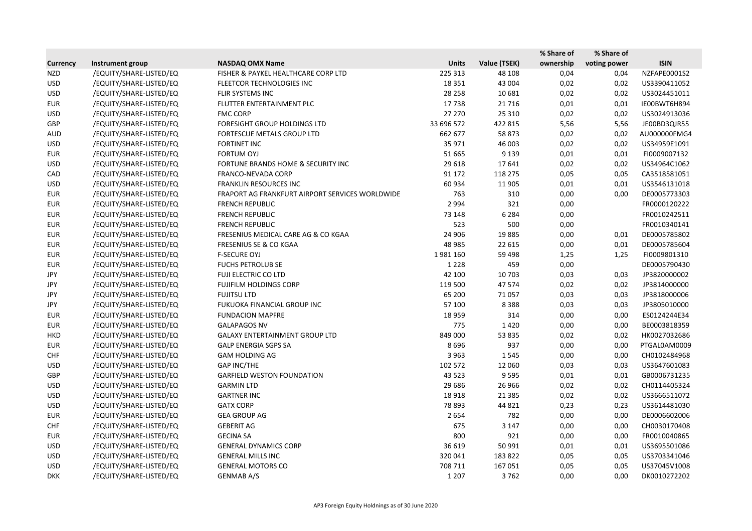|                 |                         |                                                 |              |              | % Share of | % Share of   |              |
|-----------------|-------------------------|-------------------------------------------------|--------------|--------------|------------|--------------|--------------|
| <b>Currency</b> | <b>Instrument group</b> | <b>NASDAQ OMX Name</b>                          | <b>Units</b> | Value (TSEK) | ownership  | voting power | <b>ISIN</b>  |
| <b>NZD</b>      | /EQUITY/SHARE-LISTED/EQ | FISHER & PAYKEL HEALTHCARE CORP LTD             | 225 313      | 48 108       | 0,04       | 0,04         | NZFAPE0001S2 |
| <b>USD</b>      | /EQUITY/SHARE-LISTED/EQ | FLEETCOR TECHNOLOGIES INC                       | 18 3 5 1     | 43 004       | 0,02       | 0,02         | US3390411052 |
| <b>USD</b>      | /EQUITY/SHARE-LISTED/EQ | FLIR SYSTEMS INC                                | 28 2 58      | 10 681       | 0,02       | 0,02         | US3024451011 |
| <b>EUR</b>      | /EQUITY/SHARE-LISTED/EQ | FLUTTER ENTERTAINMENT PLC                       | 17738        | 21716        | 0,01       | 0,01         | IE00BWT6H894 |
| <b>USD</b>      | /EQUITY/SHARE-LISTED/EQ | <b>FMC CORP</b>                                 | 27 270       | 25 3 10      | 0,02       | 0,02         | US3024913036 |
| GBP             | /EQUITY/SHARE-LISTED/EQ | FORESIGHT GROUP HOLDINGS LTD                    | 33 696 572   | 422 815      | 5,56       | 5,56         | JE00BD3QJR55 |
| <b>AUD</b>      | /EQUITY/SHARE-LISTED/EQ | FORTESCUE METALS GROUP LTD                      | 662 677      | 58 873       | 0,02       | 0,02         | AU000000FMG4 |
| <b>USD</b>      | /EQUITY/SHARE-LISTED/EQ | <b>FORTINET INC</b>                             | 35 971       | 46 003       | 0,02       | 0,02         | US34959E1091 |
| <b>EUR</b>      | /EQUITY/SHARE-LISTED/EQ | <b>FORTUM OYJ</b>                               | 51 665       | 9 1 3 9      | 0,01       | 0,01         | FI0009007132 |
| <b>USD</b>      | /EQUITY/SHARE-LISTED/EQ | FORTUNE BRANDS HOME & SECURITY INC              | 29 618       | 17641        | 0,02       | 0,02         | US34964C1062 |
| CAD             | /EQUITY/SHARE-LISTED/EQ | FRANCO-NEVADA CORP                              | 91 172       | 118 275      | 0,05       | 0,05         | CA3518581051 |
| <b>USD</b>      | /EQUITY/SHARE-LISTED/EQ | <b>FRANKLIN RESOURCES INC</b>                   | 60 934       | 11 905       | 0,01       | 0,01         | US3546131018 |
| <b>EUR</b>      | /EQUITY/SHARE-LISTED/EQ | FRAPORT AG FRANKFURT AIRPORT SERVICES WORLDWIDE | 763          | 310          | 0,00       | 0,00         | DE0005773303 |
| <b>EUR</b>      | /EQUITY/SHARE-LISTED/EQ | <b>FRENCH REPUBLIC</b>                          | 2 9 9 4      | 321          | 0,00       |              | FR0000120222 |
| <b>EUR</b>      | /EQUITY/SHARE-LISTED/EQ | <b>FRENCH REPUBLIC</b>                          | 73 148       | 6 2 8 4      | 0,00       |              | FR0010242511 |
| <b>EUR</b>      | /EQUITY/SHARE-LISTED/EQ | <b>FRENCH REPUBLIC</b>                          | 523          | 500          | 0,00       |              | FR0010340141 |
| <b>EUR</b>      | /EQUITY/SHARE-LISTED/EQ | FRESENIUS MEDICAL CARE AG & CO KGAA             | 24 906       | 19885        | 0,00       | 0,01         | DE0005785802 |
| <b>EUR</b>      | /EQUITY/SHARE-LISTED/EQ | FRESENIUS SE & CO KGAA                          | 48 985       | 22 615       | 0,00       | 0,01         | DE0005785604 |
| <b>EUR</b>      | /EQUITY/SHARE-LISTED/EQ | <b>F-SECURE OYJ</b>                             | 1981160      | 59 4 98      | 1,25       | 1,25         | FI0009801310 |
| <b>EUR</b>      | /EQUITY/SHARE-LISTED/EQ | <b>FUCHS PETROLUB SE</b>                        | 1 2 2 8      | 459          | 0,00       |              | DE0005790430 |
| JPY             | /EQUITY/SHARE-LISTED/EQ | FUJI ELECTRIC CO LTD                            | 42 100       | 10 703       | 0,03       | 0,03         | JP3820000002 |
| JPY             | /EQUITY/SHARE-LISTED/EQ | FUJIFILM HOLDINGS CORP                          | 119 500      | 47574        | 0,02       | 0,02         | JP3814000000 |
| JPY             | /EQUITY/SHARE-LISTED/EQ | <b>FUJITSU LTD</b>                              | 65 200       | 71057        | 0,03       | 0,03         | JP3818000006 |
| JPY             | /EQUITY/SHARE-LISTED/EQ | FUKUOKA FINANCIAL GROUP INC                     | 57 100       | 8388         | 0,03       | 0,03         | JP3805010000 |
| <b>EUR</b>      | /EQUITY/SHARE-LISTED/EQ | <b>FUNDACION MAPFRE</b>                         | 18 9 59      | 314          | 0,00       | 0,00         | ES0124244E34 |
| <b>EUR</b>      | /EQUITY/SHARE-LISTED/EQ | <b>GALAPAGOS NV</b>                             | 775          | 1420         | 0,00       | 0,00         | BE0003818359 |
| <b>HKD</b>      | /EQUITY/SHARE-LISTED/EQ | <b>GALAXY ENTERTAINMENT GROUP LTD</b>           | 849 000      | 53 835       | 0,02       | 0,02         | HK0027032686 |
| <b>EUR</b>      | /EQUITY/SHARE-LISTED/EQ | <b>GALP ENERGIA SGPS SA</b>                     | 8696         | 937          | 0,00       | 0,00         | PTGAL0AM0009 |
| <b>CHF</b>      | /EQUITY/SHARE-LISTED/EQ | <b>GAM HOLDING AG</b>                           | 3 9 6 3      | 1545         | 0,00       | 0,00         | CH0102484968 |
| <b>USD</b>      | /EQUITY/SHARE-LISTED/EQ | <b>GAP INC/THE</b>                              | 102 572      | 12 060       | 0,03       | 0,03         | US3647601083 |
| GBP             | /EQUITY/SHARE-LISTED/EQ | <b>GARFIELD WESTON FOUNDATION</b>               | 43 5 23      | 9595         | 0,01       | 0,01         | GB0006731235 |
| <b>USD</b>      | /EQUITY/SHARE-LISTED/EQ | <b>GARMIN LTD</b>                               | 29 68 6      | 26 9 66      | 0,02       | 0,02         | CH0114405324 |
| <b>USD</b>      | /EQUITY/SHARE-LISTED/EQ | <b>GARTNER INC</b>                              | 18918        | 21 3 8 5     | 0,02       | 0,02         | US3666511072 |
| <b>USD</b>      | /EQUITY/SHARE-LISTED/EQ | <b>GATX CORP</b>                                | 78 893       | 44 8 21      | 0,23       | 0,23         | US3614481030 |
| <b>EUR</b>      | /EQUITY/SHARE-LISTED/EQ | <b>GEA GROUP AG</b>                             | 2654         | 782          | 0,00       | 0,00         | DE0006602006 |
| <b>CHF</b>      | /EQUITY/SHARE-LISTED/EQ | <b>GEBERIT AG</b>                               | 675          | 3 1 4 7      | 0,00       | 0,00         | CH0030170408 |
| EUR             | /EQUITY/SHARE-LISTED/EQ | <b>GECINA SA</b>                                | 800          | 921          | 0,00       | 0,00         | FR0010040865 |
| <b>USD</b>      | /EQUITY/SHARE-LISTED/EQ | <b>GENERAL DYNAMICS CORP</b>                    | 36 619       | 50 991       | 0,01       | 0,01         | US3695501086 |
| <b>USD</b>      | /EQUITY/SHARE-LISTED/EQ | <b>GENERAL MILLS INC</b>                        | 320041       | 183 822      | 0,05       | 0,05         | US3703341046 |
| <b>USD</b>      | /EQUITY/SHARE-LISTED/EQ | <b>GENERAL MOTORS CO</b>                        | 708 711      | 167051       | 0,05       | 0,05         | US37045V1008 |
| <b>DKK</b>      | /EQUITY/SHARE-LISTED/EQ | GENMAB A/S                                      | 1 2 0 7      | 3762         | 0,00       | 0,00         | DK0010272202 |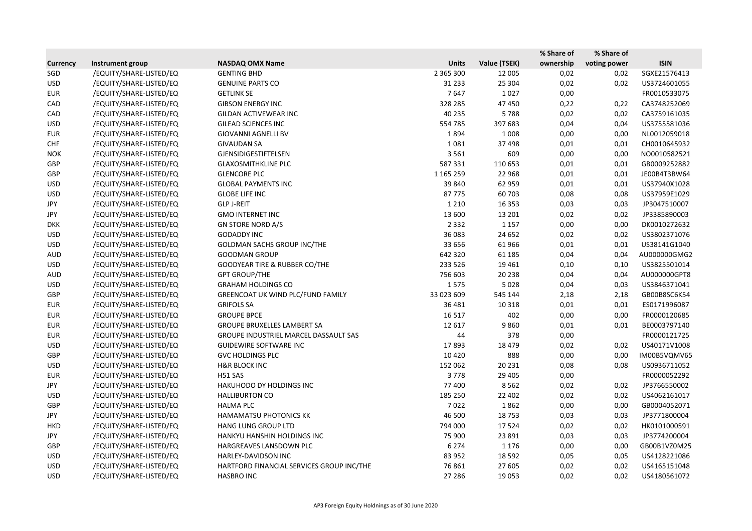|                 |                         |                                           |               |              | % Share of | % Share of   |              |
|-----------------|-------------------------|-------------------------------------------|---------------|--------------|------------|--------------|--------------|
| <b>Currency</b> | Instrument group        | <b>NASDAQ OMX Name</b>                    | <b>Units</b>  | Value (TSEK) | ownership  | voting power | <b>ISIN</b>  |
| SGD             | /EQUITY/SHARE-LISTED/EQ | <b>GENTING BHD</b>                        | 2 3 6 5 3 0 0 | 12 005       | 0,02       | 0,02         | SGXE21576413 |
| <b>USD</b>      | /EQUITY/SHARE-LISTED/EQ | <b>GENUINE PARTS CO</b>                   | 31 2 33       | 25 304       | 0,02       | 0,02         | US3724601055 |
| <b>EUR</b>      | /EQUITY/SHARE-LISTED/EQ | <b>GETLINK SE</b>                         | 7647          | 1027         | 0,00       |              | FR0010533075 |
| CAD             | /EQUITY/SHARE-LISTED/EQ | <b>GIBSON ENERGY INC</b>                  | 328 285       | 47 450       | 0,22       | 0,22         | CA3748252069 |
| CAD             | /EQUITY/SHARE-LISTED/EQ | <b>GILDAN ACTIVEWEAR INC</b>              | 40 235        | 5788         | 0,02       | 0,02         | CA3759161035 |
| <b>USD</b>      | /EQUITY/SHARE-LISTED/EQ | <b>GILEAD SCIENCES INC</b>                | 554785        | 397 683      | 0,04       | 0,04         | US3755581036 |
| <b>EUR</b>      | /EQUITY/SHARE-LISTED/EQ | <b>GIOVANNI AGNELLI BV</b>                | 1894          | 1008         | 0,00       | 0,00         | NL0012059018 |
| <b>CHF</b>      | /EQUITY/SHARE-LISTED/EQ | <b>GIVAUDAN SA</b>                        | 1081          | 37 498       | 0,01       | 0,01         | CH0010645932 |
| <b>NOK</b>      | /EQUITY/SHARE-LISTED/EQ | <b>GJENSIDIGESTIFTELSEN</b>               | 3561          | 609          | 0,00       | 0,00         | NO0010582521 |
| GBP             | /EQUITY/SHARE-LISTED/EQ | <b>GLAXOSMITHKLINE PLC</b>                | 587331        | 110 653      | 0,01       | 0,01         | GB0009252882 |
| GBP             | /EQUITY/SHARE-LISTED/EQ | <b>GLENCORE PLC</b>                       | 1 165 259     | 22 9 68      | 0,01       | 0,01         | JE00B4T3BW64 |
| <b>USD</b>      | /EQUITY/SHARE-LISTED/EQ | <b>GLOBAL PAYMENTS INC</b>                | 39 840        | 62 959       | 0,01       | 0,01         | US37940X1028 |
| <b>USD</b>      | /EQUITY/SHARE-LISTED/EQ | <b>GLOBE LIFE INC</b>                     | 87775         | 60 703       | 0,08       | 0,08         | US37959E1029 |
| JPY             | /EQUITY/SHARE-LISTED/EQ | <b>GLP J-REIT</b>                         | 1 2 1 0       | 16 3 53      | 0,03       | 0,03         | JP3047510007 |
| JPY             | /EQUITY/SHARE-LISTED/EQ | <b>GMO INTERNET INC</b>                   | 13 600        | 13 201       | 0,02       | 0,02         | JP3385890003 |
| <b>DKK</b>      | /EQUITY/SHARE-LISTED/EQ | <b>GN STORE NORD A/S</b>                  | 2 3 3 2       | 1 1 5 7      | 0,00       | 0,00         | DK0010272632 |
| <b>USD</b>      | /EQUITY/SHARE-LISTED/EQ | <b>GODADDY INC</b>                        | 36 083        | 24 652       | 0,02       | 0,02         | US3802371076 |
| <b>USD</b>      | /EQUITY/SHARE-LISTED/EQ | <b>GOLDMAN SACHS GROUP INC/THE</b>        | 33 656        | 61966        | 0,01       | 0,01         | US38141G1040 |
| <b>AUD</b>      | /EQUITY/SHARE-LISTED/EQ | <b>GOODMAN GROUP</b>                      | 642 320       | 61 185       | 0,04       | 0,04         | AU000000GMG2 |
| <b>USD</b>      | /EQUITY/SHARE-LISTED/EQ | GOODYEAR TIRE & RUBBER CO/THE             | 233 526       | 19 4 61      | 0,10       | 0,10         | US3825501014 |
| <b>AUD</b>      | /EQUITY/SHARE-LISTED/EQ | <b>GPT GROUP/THE</b>                      | 756 603       | 20 238       | 0,04       | 0,04         | AU000000GPT8 |
| <b>USD</b>      | /EQUITY/SHARE-LISTED/EQ | <b>GRAHAM HOLDINGS CO</b>                 | 1575          | 5028         | 0,04       | 0,03         | US3846371041 |
| GBP             | /EQUITY/SHARE-LISTED/EQ | <b>GREENCOAT UK WIND PLC/FUND FAMILY</b>  | 33 023 609    | 545 144      | 2,18       | 2,18         | GB00B8SC6K54 |
| <b>EUR</b>      | /EQUITY/SHARE-LISTED/EQ | <b>GRIFOLS SA</b>                         | 36 481        | 10 3 18      | 0,01       | 0,01         | ES0171996087 |
| <b>EUR</b>      | /EQUITY/SHARE-LISTED/EQ | <b>GROUPE BPCE</b>                        | 16517         | 402          | 0,00       | 0,00         | FR0000120685 |
| <b>EUR</b>      | /EQUITY/SHARE-LISTED/EQ | <b>GROUPE BRUXELLES LAMBERT SA</b>        | 12 617        | 9860         | 0,01       | 0,01         | BE0003797140 |
| <b>EUR</b>      | /EQUITY/SHARE-LISTED/EQ | GROUPE INDUSTRIEL MARCEL DASSAULT SAS     | 44            | 378          | 0,00       |              | FR0000121725 |
| <b>USD</b>      | /EQUITY/SHARE-LISTED/EQ | <b>GUIDEWIRE SOFTWARE INC</b>             | 17893         | 18 4 7 9     | 0,02       | 0,02         | US40171V1008 |
| GBP             | /EQUITY/SHARE-LISTED/EQ | <b>GVC HOLDINGS PLC</b>                   | 10 4 20       | 888          | 0,00       | 0,00         | IM00B5VQMV65 |
| <b>USD</b>      | /EQUITY/SHARE-LISTED/EQ | <b>H&amp;R BLOCK INC</b>                  | 152 062       | 20 231       | 0,08       | 0,08         | US0936711052 |
| <b>EUR</b>      | /EQUITY/SHARE-LISTED/EQ | H51 SAS                                   | 3778          | 29 4 05      | 0,00       |              | FR0000052292 |
| JPY             | /EQUITY/SHARE-LISTED/EQ | HAKUHODO DY HOLDINGS INC                  | 77 400        | 8562         | 0,02       | 0,02         | JP3766550002 |
| <b>USD</b>      | /EQUITY/SHARE-LISTED/EQ | <b>HALLIBURTON CO</b>                     | 185 250       | 22 402       | 0,02       | 0,02         | US4062161017 |
| GBP             | /EQUITY/SHARE-LISTED/EQ | <b>HALMA PLC</b>                          | 7022          | 1862         | 0,00       | 0,00         | GB0004052071 |
| JPY             | /EQUITY/SHARE-LISTED/EQ | HAMAMATSU PHOTONICS KK                    | 46 500        | 18753        | 0,03       | 0,03         | JP3771800004 |
| <b>HKD</b>      | /EQUITY/SHARE-LISTED/EQ | <b>HANG LUNG GROUP LTD</b>                | 794 000       | 17524        | 0,02       | 0,02         | HK0101000591 |
| JPY             | /EQUITY/SHARE-LISTED/EQ | HANKYU HANSHIN HOLDINGS INC               | 75 900        | 23 891       | 0,03       | 0,03         | JP3774200004 |
| GBP             | /EQUITY/SHARE-LISTED/EQ | HARGREAVES LANSDOWN PLC                   | 6 2 7 4       | 1 1 7 6      | 0,00       | 0,00         | GB00B1VZ0M25 |
| <b>USD</b>      | /EQUITY/SHARE-LISTED/EQ | HARLEY-DAVIDSON INC                       | 83 952        | 18 5 92      | 0,05       | 0,05         | US4128221086 |
| <b>USD</b>      | /EQUITY/SHARE-LISTED/EQ | HARTFORD FINANCIAL SERVICES GROUP INC/THE | 76 861        | 27 605       | 0,02       | 0,02         | US4165151048 |
| <b>USD</b>      | /EQUITY/SHARE-LISTED/EQ | <b>HASBRO INC</b>                         | 27 28 6       | 19 0 53      | 0,02       | 0,02         | US4180561072 |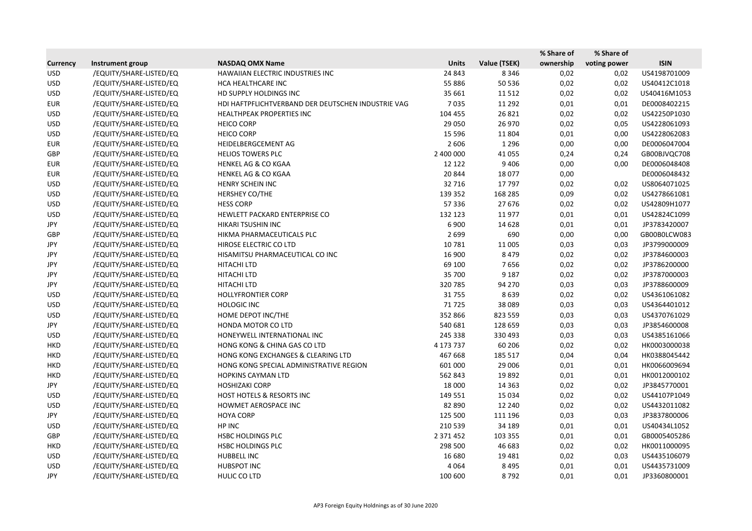|                 |                         |                                                    |              |              | % Share of | % Share of   |              |
|-----------------|-------------------------|----------------------------------------------------|--------------|--------------|------------|--------------|--------------|
| <b>Currency</b> | Instrument group        | <b>NASDAQ OMX Name</b>                             | <b>Units</b> | Value (TSEK) | ownership  | voting power | <b>ISIN</b>  |
| <b>USD</b>      | /EQUITY/SHARE-LISTED/EQ | HAWAIIAN ELECTRIC INDUSTRIES INC                   | 24 843       | 8 3 4 6      | 0,02       | 0,02         | US4198701009 |
| <b>USD</b>      | /EQUITY/SHARE-LISTED/EQ | HCA HEALTHCARE INC                                 | 55 8 86      | 50 536       | 0,02       | 0,02         | US40412C1018 |
| <b>USD</b>      | /EQUITY/SHARE-LISTED/EQ | HD SUPPLY HOLDINGS INC                             | 35 661       | 11512        | 0,02       | 0,02         | US40416M1053 |
| <b>EUR</b>      | /EQUITY/SHARE-LISTED/EQ | HDI HAFTPFLICHTVERBAND DER DEUTSCHEN INDUSTRIE VAG | 7035         | 11 2 9 2     | 0,01       | 0,01         | DE0008402215 |
| <b>USD</b>      | /EQUITY/SHARE-LISTED/EQ | HEALTHPEAK PROPERTIES INC                          | 104 455      | 26 8 21      | 0,02       | 0,02         | US42250P1030 |
| <b>USD</b>      | /EQUITY/SHARE-LISTED/EQ | <b>HEICO CORP</b>                                  | 29 0 50      | 26 970       | 0,02       | 0,05         | US4228061093 |
| <b>USD</b>      | /EQUITY/SHARE-LISTED/EQ | <b>HEICO CORP</b>                                  | 15 5 96      | 11804        | 0,01       | 0,00         | US4228062083 |
| <b>EUR</b>      | /EQUITY/SHARE-LISTED/EQ | HEIDELBERGCEMENT AG                                | 2 6 0 6      | 1 2 9 6      | 0,00       | 0,00         | DE0006047004 |
| GBP             | /EQUITY/SHARE-LISTED/EQ | <b>HELIOS TOWERS PLC</b>                           | 2 400 000    | 41 0 55      | 0,24       | 0,24         | GB00BJVQC708 |
| <b>EUR</b>      | /EQUITY/SHARE-LISTED/EQ | <b>HENKEL AG &amp; CO KGAA</b>                     | 12 12 2      | 9 4 0 6      | 0,00       | 0,00         | DE0006048408 |
| <b>EUR</b>      | /EQUITY/SHARE-LISTED/EQ | <b>HENKEL AG &amp; CO KGAA</b>                     | 20 844       | 18077        | 0,00       |              | DE0006048432 |
| <b>USD</b>      | /EQUITY/SHARE-LISTED/EQ | HENRY SCHEIN INC                                   | 32 7 16      | 17797        | 0,02       | 0,02         | US8064071025 |
| <b>USD</b>      | /EQUITY/SHARE-LISTED/EQ | HERSHEY CO/THE                                     | 139 352      | 168 285      | 0,09       | 0,02         | US4278661081 |
| <b>USD</b>      | /EQUITY/SHARE-LISTED/EQ | <b>HESS CORP</b>                                   | 57 336       | 27 676       | 0,02       | 0,02         | US42809H1077 |
| <b>USD</b>      | /EQUITY/SHARE-LISTED/EQ | HEWLETT PACKARD ENTERPRISE CO                      | 132 123      | 11977        | 0,01       | 0,01         | US42824C1099 |
| JPY             | /EQUITY/SHARE-LISTED/EQ | HIKARI TSUSHIN INC                                 | 6900         | 14 6 28      | 0,01       | 0,01         | JP3783420007 |
| GBP             | /EQUITY/SHARE-LISTED/EQ | HIKMA PHARMACEUTICALS PLC                          | 2699         | 690          | 0,00       | 0,00         | GB00B0LCW083 |
| JPY             | /EQUITY/SHARE-LISTED/EQ | HIROSE ELECTRIC CO LTD                             | 10781        | 11 005       | 0,03       | 0,03         | JP3799000009 |
| JPY             | /EQUITY/SHARE-LISTED/EQ | HISAMITSU PHARMACEUTICAL CO INC                    | 16 900       | 8 4 7 9      | 0,02       | 0,02         | JP3784600003 |
| JPY             | /EQUITY/SHARE-LISTED/EQ | HITACHI LTD                                        | 69 100       | 7656         | 0,02       | 0,02         | JP3786200000 |
| JPY             | /EQUITY/SHARE-LISTED/EQ | HITACHI LTD                                        | 35 700       | 9 1 8 7      | 0,02       | 0,02         | JP3787000003 |
| JPY             | /EQUITY/SHARE-LISTED/EQ | HITACHI LTD                                        | 320 785      | 94 270       | 0,03       | 0,03         | JP3788600009 |
| <b>USD</b>      | /EQUITY/SHARE-LISTED/EQ | <b>HOLLYFRONTIER CORP</b>                          | 31755        | 8639         | 0,02       | 0,02         | US4361061082 |
| <b>USD</b>      | /EQUITY/SHARE-LISTED/EQ | <b>HOLOGIC INC</b>                                 | 71725        | 38 0 89      | 0,03       | 0,03         | US4364401012 |
| <b>USD</b>      | /EQUITY/SHARE-LISTED/EQ | HOME DEPOT INC/THE                                 | 352 866      | 823 559      | 0,03       | 0,03         | US4370761029 |
| JPY             | /EQUITY/SHARE-LISTED/EQ | HONDA MOTOR CO LTD                                 | 540 681      | 128 659      | 0,03       | 0,03         | JP3854600008 |
| <b>USD</b>      | /EQUITY/SHARE-LISTED/EQ | HONEYWELL INTERNATIONAL INC                        | 245 338      | 330 493      | 0,03       | 0,03         | US4385161066 |
| <b>HKD</b>      | /EQUITY/SHARE-LISTED/EQ | HONG KONG & CHINA GAS CO LTD                       | 4 173 737    | 60 20 6      | 0,02       | 0,02         | HK0003000038 |
| <b>HKD</b>      | /EQUITY/SHARE-LISTED/EQ | HONG KONG EXCHANGES & CLEARING LTD                 | 467 668      | 185 517      | 0,04       | 0,04         | HK0388045442 |
| HKD             | /EQUITY/SHARE-LISTED/EQ | HONG KONG SPECIAL ADMINISTRATIVE REGION            | 601 000      | 29 006       | 0,01       | 0,01         | HK0066009694 |
| <b>HKD</b>      | /EQUITY/SHARE-LISTED/EQ | <b>HOPKINS CAYMAN LTD</b>                          | 562 843      | 19892        | 0,01       | 0,01         | HK0012000102 |
| JPY             | /EQUITY/SHARE-LISTED/EQ | <b>HOSHIZAKI CORP</b>                              | 18 000       | 14 3 63      | 0,02       | 0,02         | JP3845770001 |
| <b>USD</b>      | /EQUITY/SHARE-LISTED/EQ | <b>HOST HOTELS &amp; RESORTS INC</b>               | 149 551      | 15 0 34      | 0,02       | 0,02         | US44107P1049 |
| <b>USD</b>      | /EQUITY/SHARE-LISTED/EQ | HOWMET AEROSPACE INC                               | 82 890       | 12 240       | 0,02       | 0,02         | US4432011082 |
| JPY             | /EQUITY/SHARE-LISTED/EQ | <b>HOYA CORP</b>                                   | 125 500      | 111 196      | 0,03       | 0,03         | JP3837800006 |
| <b>USD</b>      | /EQUITY/SHARE-LISTED/EQ | HP INC                                             | 210 539      | 34 189       | 0,01       | 0,01         | US40434L1052 |
| GBP             | /EQUITY/SHARE-LISTED/EQ | HSBC HOLDINGS PLC                                  | 2 371 452    | 103 355      | 0,01       | 0,01         | GB0005405286 |
| <b>HKD</b>      | /EQUITY/SHARE-LISTED/EQ | HSBC HOLDINGS PLC                                  | 298 500      | 46 683       | 0,02       | 0,02         | HK0011000095 |
| <b>USD</b>      | /EQUITY/SHARE-LISTED/EQ | <b>HUBBELL INC</b>                                 | 16 680       | 19 4 8 1     | 0,02       | 0,03         | US4435106079 |
| <b>USD</b>      | /EQUITY/SHARE-LISTED/EQ | <b>HUBSPOT INC</b>                                 | 4 0 6 4      | 8 4 9 5      | 0,01       | 0,01         | US4435731009 |
| JPY             | /EQUITY/SHARE-LISTED/EQ | HULIC CO LTD                                       | 100 600      | 8792         | 0,01       | 0,01         | JP3360800001 |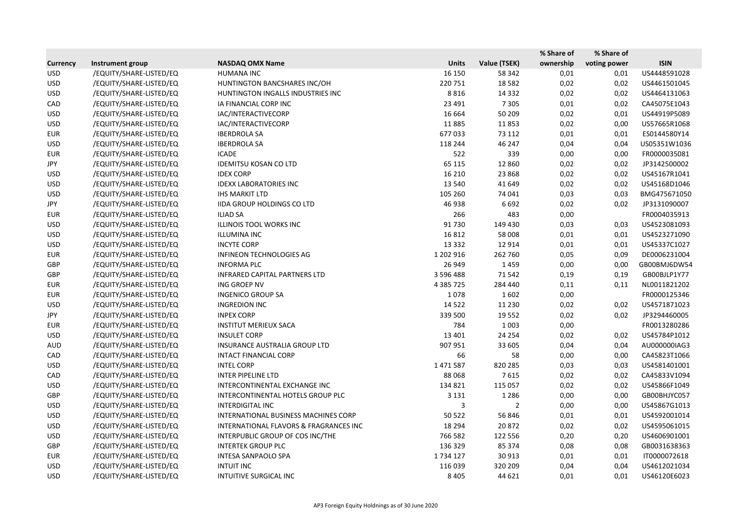|                 |                         |                                        |               |              | % Share of | % Share of   |              |
|-----------------|-------------------------|----------------------------------------|---------------|--------------|------------|--------------|--------------|
| <b>Currency</b> | Instrument group        | <b>NASDAQ OMX Name</b>                 | <b>Units</b>  | Value (TSEK) | ownership  | voting power | <b>ISIN</b>  |
| <b>USD</b>      | /EQUITY/SHARE-LISTED/EQ | <b>HUMANA INC</b>                      | 16 150        | 58 342       | 0,01       | 0,01         | US4448591028 |
| <b>USD</b>      | /EQUITY/SHARE-LISTED/EQ | HUNTINGTON BANCSHARES INC/OH           | 220751        | 18 5 82      | 0,02       | 0,02         | US4461501045 |
| <b>USD</b>      | /EQUITY/SHARE-LISTED/EQ | HUNTINGTON INGALLS INDUSTRIES INC      | 8816          | 14 3 32      | 0,02       | 0,02         | US4464131063 |
| CAD             | /EQUITY/SHARE-LISTED/EQ | IA FINANCIAL CORP INC                  | 23 4 91       | 7 3 0 5      | 0,01       | 0,02         | CA45075E1043 |
| <b>USD</b>      | /EQUITY/SHARE-LISTED/EQ | IAC/INTERACTIVECORP                    | 16 6 64       | 50 209       | 0,02       | 0,01         | US44919P5089 |
| <b>USD</b>      | /EQUITY/SHARE-LISTED/EQ | IAC/INTERACTIVECORP                    | 11885         | 11853        | 0,02       | 0,00         | US57665R1068 |
| <b>EUR</b>      | /EQUITY/SHARE-LISTED/EQ | <b>IBERDROLA SA</b>                    | 677033        | 73 112       | 0,01       | 0,01         | ES0144580Y14 |
| <b>USD</b>      | /EQUITY/SHARE-LISTED/EQ | <b>IBERDROLA SA</b>                    | 118 244       | 46 247       | 0,04       | 0,04         | US05351W1036 |
| <b>EUR</b>      | /EQUITY/SHARE-LISTED/EQ | <b>ICADE</b>                           | 522           | 339          | 0,00       | 0,00         | FR0000035081 |
| JPY             | /EQUITY/SHARE-LISTED/EQ | <b>IDEMITSU KOSAN CO LTD</b>           | 65 1 15       | 12 8 6 0     | 0,02       | 0,02         | JP3142500002 |
| <b>USD</b>      | /EQUITY/SHARE-LISTED/EQ | <b>IDEX CORP</b>                       | 16 210        | 23 8 68      | 0,02       | 0,02         | US45167R1041 |
| <b>USD</b>      | /EQUITY/SHARE-LISTED/EQ | <b>IDEXX LABORATORIES INC</b>          | 13 540        | 41 649       | 0,02       | 0,02         | US45168D1046 |
| <b>USD</b>      | /EQUITY/SHARE-LISTED/EQ | <b>IHS MARKIT LTD</b>                  | 105 260       | 74 041       | 0,03       | 0,03         | BMG475671050 |
| JPY             | /EQUITY/SHARE-LISTED/EQ | IIDA GROUP HOLDINGS CO LTD             | 46 938        | 6692         | 0,02       | 0,02         | JP3131090007 |
| <b>EUR</b>      | /EQUITY/SHARE-LISTED/EQ | <b>ILIAD SA</b>                        | 266           | 483          | 0,00       |              | FR0004035913 |
| <b>USD</b>      | /EQUITY/SHARE-LISTED/EQ | ILLINOIS TOOL WORKS INC                | 91730         | 149 430      | 0,03       | 0,03         | US4523081093 |
| <b>USD</b>      | /EQUITY/SHARE-LISTED/EQ | <b>ILLUMINA INC</b>                    | 16812         | 58 008       | 0,01       | 0,01         | US4523271090 |
| <b>USD</b>      | /EQUITY/SHARE-LISTED/EQ | <b>INCYTE CORP</b>                     | 13 3 3 2      | 12 9 14      | 0,01       | 0,01         | US45337C1027 |
| <b>EUR</b>      | /EQUITY/SHARE-LISTED/EQ | <b>INFINEON TECHNOLOGIES AG</b>        | 1 202 916     | 262 760      | 0,05       | 0,09         | DE0006231004 |
| GBP             | /EQUITY/SHARE-LISTED/EQ | <b>INFORMA PLC</b>                     | 26 949        | 1459         | 0,00       | 0,00         | GB00BMJ6DW54 |
| GBP             | /EQUITY/SHARE-LISTED/EQ | <b>INFRARED CAPITAL PARTNERS LTD</b>   | 3 596 488     | 71542        | 0,19       | 0,19         | GB00BJLP1Y77 |
| <b>EUR</b>      | /EQUITY/SHARE-LISTED/EQ | ING GROEP NV                           | 4 3 8 5 7 2 5 | 284 440      | 0,11       | 0,11         | NL0011821202 |
| <b>EUR</b>      | /EQUITY/SHARE-LISTED/EQ | <b>INGENICO GROUP SA</b>               | 1078          | 1602         | 0,00       |              | FR0000125346 |
| <b>USD</b>      | /EQUITY/SHARE-LISTED/EQ | <b>INGREDION INC</b>                   | 14 5 22       | 11 2 30      | 0,02       | 0,02         | US4571871023 |
| JPY             | /EQUITY/SHARE-LISTED/EQ | <b>INPEX CORP</b>                      | 339 500       | 19552        | 0,02       | 0,02         | JP3294460005 |
| <b>EUR</b>      | /EQUITY/SHARE-LISTED/EQ | <b>INSTITUT MERIEUX SACA</b>           | 784           | 1 0 0 3      | 0,00       |              | FR0013280286 |
| <b>USD</b>      | /EQUITY/SHARE-LISTED/EQ | <b>INSULET CORP</b>                    | 13 4 01       | 24 2 54      | 0,02       | 0,02         | US45784P1012 |
| <b>AUD</b>      | /EQUITY/SHARE-LISTED/EQ | INSURANCE AUSTRALIA GROUP LTD          | 907 951       | 33 605       | 0,04       | 0,04         | AU000000IAG3 |
| CAD             | /EQUITY/SHARE-LISTED/EQ | INTACT FINANCIAL CORP                  | 66            | 58           | 0,00       | 0,00         | CA45823T1066 |
| <b>USD</b>      | /EQUITY/SHARE-LISTED/EQ | <b>INTEL CORP</b>                      | 1471587       | 820 285      | 0,03       | 0,03         | US4581401001 |
| CAD             | /EQUITY/SHARE-LISTED/EQ | <b>INTER PIPELINE LTD</b>              | 88 0 68       | 7615         | 0,02       | 0,02         | CA45833V1094 |
| <b>USD</b>      | /EQUITY/SHARE-LISTED/EQ | INTERCONTINENTAL EXCHANGE INC          | 134 821       | 115 057      | 0,02       | 0,02         | US45866F1049 |
| GBP             | /EQUITY/SHARE-LISTED/EQ | INTERCONTINENTAL HOTELS GROUP PLC      | 3 1 3 1       | 1 2 8 6      | 0,00       | 0,00         | GB00BHJYC057 |
| USD             | /EQUITY/SHARE-LISTED/EQ | <b>INTERDIGITAL INC</b>                | 3             | 2            | 0,00       | 0,00         | US45867G1013 |
| <b>USD</b>      | /EQUITY/SHARE-LISTED/EQ | INTERNATIONAL BUSINESS MACHINES CORP   | 50 522        | 56 846       | 0,01       | 0,01         | US4592001014 |
| <b>USD</b>      | /EQUITY/SHARE-LISTED/EQ | INTERNATIONAL FLAVORS & FRAGRANCES INC | 18 2 94       | 20872        | 0,02       | 0,02         | US4595061015 |
| <b>USD</b>      | /EQUITY/SHARE-LISTED/EQ | INTERPUBLIC GROUP OF COS INC/THE       | 766 582       | 122 556      | 0,20       | 0,20         | US4606901001 |
| GBP             | /EQUITY/SHARE-LISTED/EQ | <b>INTERTEK GROUP PLC</b>              | 136 329       | 85 374       | 0,08       | 0,08         | GB0031638363 |
| EUR             | /EQUITY/SHARE-LISTED/EQ | <b>INTESA SANPAOLO SPA</b>             | 1734 127      | 30 913       | 0,01       | 0,01         | IT0000072618 |
| <b>USD</b>      | /EQUITY/SHARE-LISTED/EQ | <b>INTUIT INC</b>                      | 116 039       | 320 209      | 0,04       | 0,04         | US4612021034 |
| <b>USD</b>      | /EQUITY/SHARE-LISTED/EQ | INTUITIVE SURGICAL INC                 | 8 4 0 5       | 44 621       | 0,01       | 0,01         | US46120E6023 |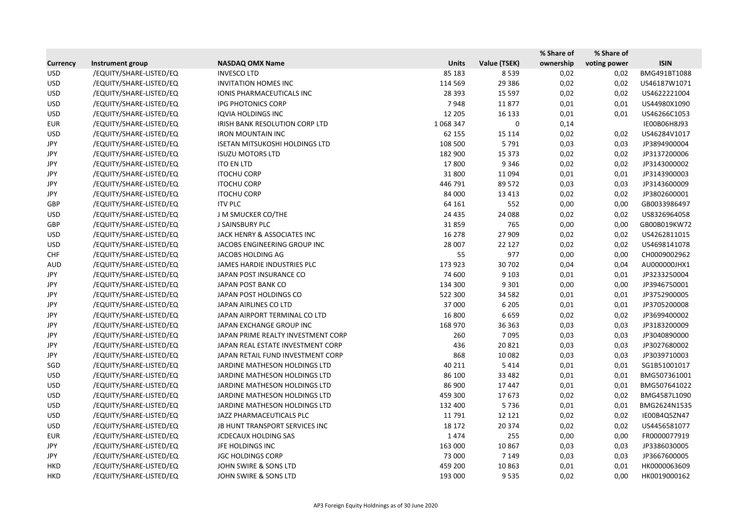|                 |                         |                                       |              |              | % Share of | % Share of   |              |
|-----------------|-------------------------|---------------------------------------|--------------|--------------|------------|--------------|--------------|
| <b>Currency</b> | Instrument group        | <b>NASDAQ OMX Name</b>                | <b>Units</b> | Value (TSEK) | ownership  | voting power | <b>ISIN</b>  |
| <b>USD</b>      | /EQUITY/SHARE-LISTED/EQ | <b>INVESCO LTD</b>                    | 85 183       | 8539         | 0,02       | 0,02         | BMG491BT1088 |
| <b>USD</b>      | /EQUITY/SHARE-LISTED/EQ | <b>INVITATION HOMES INC</b>           | 114 569      | 29 3 86      | 0,02       | 0,02         | US46187W1071 |
| <b>USD</b>      | /EQUITY/SHARE-LISTED/EQ | IONIS PHARMACEUTICALS INC             | 28 3 9 3     | 15 5 97      | 0,02       | 0,02         | US4622221004 |
| <b>USD</b>      | /EQUITY/SHARE-LISTED/EQ | <b>IPG PHOTONICS CORP</b>             | 7948         | 11877        | 0,01       | 0,01         | US44980X1090 |
| <b>USD</b>      | /EQUITY/SHARE-LISTED/EQ | <b>IQVIA HOLDINGS INC</b>             | 12 205       | 16 133       | 0,01       | 0,01         | US46266C1053 |
| <b>EUR</b>      | /EQUITY/SHARE-LISTED/EQ | IRISH BANK RESOLUTION CORP LTD        | 1068347      | 0            | 0,14       |              | IE00B06H8J93 |
| <b>USD</b>      | /EQUITY/SHARE-LISTED/EQ | <b>IRON MOUNTAIN INC</b>              | 62 155       | 15 1 14      | 0,02       | 0,02         | US46284V1017 |
| JPY             | /EQUITY/SHARE-LISTED/EQ | <b>ISETAN MITSUKOSHI HOLDINGS LTD</b> | 108 500      | 5791         | 0,03       | 0,03         | JP3894900004 |
| JPY             | /EQUITY/SHARE-LISTED/EQ | <b>ISUZU MOTORS LTD</b>               | 182 900      | 15 3 73      | 0,02       | 0,02         | JP3137200006 |
| JPY             | /EQUITY/SHARE-LISTED/EQ | <b>ITO EN LTD</b>                     | 17800        | 9 3 4 6      | 0,02       | 0,02         | JP3143000002 |
| JPY             | /EQUITY/SHARE-LISTED/EQ | <b>ITOCHU CORP</b>                    | 31 800       | 11 0 94      | 0,01       | 0,01         | JP3143900003 |
| JPY             | /EQUITY/SHARE-LISTED/EQ | <b>ITOCHU CORP</b>                    | 446 791      | 89 572       | 0,03       | 0,03         | JP3143600009 |
| JPY             | /EQUITY/SHARE-LISTED/EQ | <b>ITOCHU CORP</b>                    | 84 000       | 13 4 13      | 0,02       | 0,02         | JP3802600001 |
| GBP             | /EQUITY/SHARE-LISTED/EQ | <b>ITV PLC</b>                        | 64 161       | 552          | 0,00       | 0,00         | GB0033986497 |
| <b>USD</b>      | /EQUITY/SHARE-LISTED/EQ | J M SMUCKER CO/THE                    | 24 4 35      | 24 088       | 0,02       | 0,02         | US8326964058 |
| GBP             | /EQUITY/SHARE-LISTED/EQ | J SAINSBURY PLC                       | 31859        | 765          | 0,00       | 0,00         | GB00B019KW72 |
| <b>USD</b>      | /EQUITY/SHARE-LISTED/EQ | JACK HENRY & ASSOCIATES INC           | 16 278       | 27 909       | 0,02       | 0,02         | US4262811015 |
| <b>USD</b>      | /EQUITY/SHARE-LISTED/EQ | JACOBS ENGINEERING GROUP INC          | 28 007       | 22 127       | 0,02       | 0,02         | US4698141078 |
| <b>CHF</b>      | /EQUITY/SHARE-LISTED/EQ | JACOBS HOLDING AG                     | 55           | 977          | 0,00       | 0,00         | CH0009002962 |
| <b>AUD</b>      | /EQUITY/SHARE-LISTED/EQ | JAMES HARDIE INDUSTRIES PLC           | 173 923      | 30 702       | 0,04       | 0,04         | AU000000JHX1 |
| JPY             | /EQUITY/SHARE-LISTED/EQ | JAPAN POST INSURANCE CO               | 74 600       | 9 1 0 3      | 0,01       | 0,01         | JP3233250004 |
| JPY             | /EQUITY/SHARE-LISTED/EQ | JAPAN POST BANK CO                    | 134 300      | 9 3 0 1      | 0,00       | 0,00         | JP3946750001 |
| JPY             | /EQUITY/SHARE-LISTED/EQ | JAPAN POST HOLDINGS CO                | 522 300      | 34 5 82      | 0,01       | 0,01         | JP3752900005 |
| JPY             | /EQUITY/SHARE-LISTED/EQ | JAPAN AIRLINES CO LTD                 | 37 000       | 6 2 0 5      | 0,01       | 0,01         | JP3705200008 |
| JPY             | /EQUITY/SHARE-LISTED/EQ | JAPAN AIRPORT TERMINAL CO LTD         | 16 800       | 6659         | 0,02       | 0,02         | JP3699400002 |
| JPY             | /EQUITY/SHARE-LISTED/EQ | JAPAN EXCHANGE GROUP INC              | 168 970      | 36 36 3      | 0,03       | 0,03         | JP3183200009 |
| JPY             | /EQUITY/SHARE-LISTED/EQ | JAPAN PRIME REALTY INVESTMENT CORP    | 260          | 7095         | 0,03       | 0,03         | JP3040890000 |
| JPY             | /EQUITY/SHARE-LISTED/EQ | JAPAN REAL ESTATE INVESTMENT CORP     | 436          | 20821        | 0,03       | 0,03         | JP3027680002 |
| JPY             | /EQUITY/SHARE-LISTED/EQ | JAPAN RETAIL FUND INVESTMENT CORP     | 868          | 10 0 82      | 0,03       | 0,03         | JP3039710003 |
| SGD             | /EQUITY/SHARE-LISTED/EQ | <b>JARDINE MATHESON HOLDINGS LTD</b>  | 40 211       | 5414         | 0,01       | 0,01         | SG1B51001017 |
| <b>USD</b>      | /EQUITY/SHARE-LISTED/EQ | JARDINE MATHESON HOLDINGS LTD         | 86 100       | 33 4 82      | 0,01       | 0,01         | BMG507361001 |
| <b>USD</b>      | /EQUITY/SHARE-LISTED/EQ | JARDINE MATHESON HOLDINGS LTD         | 86 900       | 17447        | 0,01       | 0,01         | BMG507641022 |
| <b>USD</b>      | /EQUITY/SHARE-LISTED/EQ | JARDINE MATHESON HOLDINGS LTD         | 459 300      | 17673        | 0,02       | 0,02         | BMG4587L1090 |
| <b>USD</b>      | /EQUITY/SHARE-LISTED/EQ | JARDINE MATHESON HOLDINGS LTD         | 132 400      | 5736         | 0,01       | 0,01         | BMG2624N1535 |
| <b>USD</b>      | /EQUITY/SHARE-LISTED/EQ | JAZZ PHARMACEUTICALS PLC              | 11791        | 12 12 1      | 0,02       | 0,02         | IE00B4Q5ZN47 |
| <b>USD</b>      | /EQUITY/SHARE-LISTED/EQ | JB HUNT TRANSPORT SERVICES INC        | 18 17 2      | 20 374       | 0,02       | 0,02         | US4456581077 |
| <b>EUR</b>      | /EQUITY/SHARE-LISTED/EQ | <b>JCDECAUX HOLDING SAS</b>           | 1474         | 255          | 0,00       | 0,00         | FR0000077919 |
| JPY             | /EQUITY/SHARE-LISTED/EQ | JFE HOLDINGS INC                      | 163 000      | 10 867       | 0,03       | 0,03         | JP3386030005 |
| JPY             | /EQUITY/SHARE-LISTED/EQ | <b>JGC HOLDINGS CORP</b>              | 73 000       | 7 1 4 9      | 0,03       | 0,03         | JP3667600005 |
| <b>HKD</b>      | /EQUITY/SHARE-LISTED/EQ | JOHN SWIRE & SONS LTD                 | 459 200      | 10863        | 0,01       | 0,01         | HK0000063609 |
| <b>HKD</b>      | /EQUITY/SHARE-LISTED/EQ | JOHN SWIRE & SONS LTD                 | 193 000      | 9535         | 0,02       | 0,00         | HK0019000162 |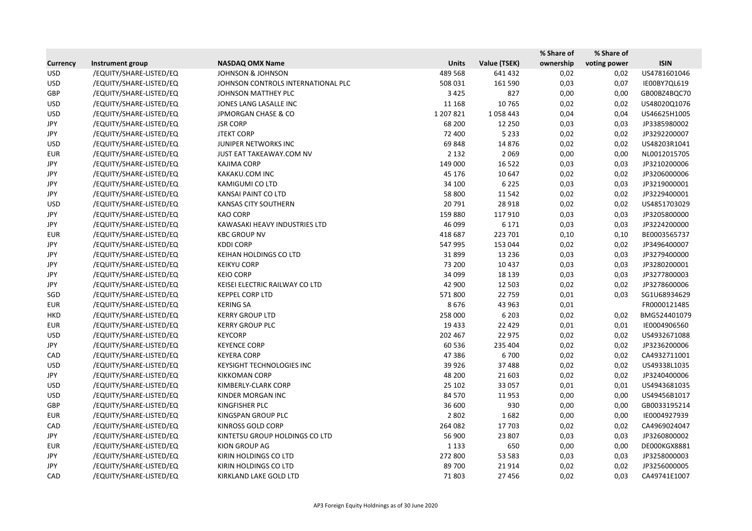|                 |                         |                                    |              |              | % Share of | % Share of   |              |
|-----------------|-------------------------|------------------------------------|--------------|--------------|------------|--------------|--------------|
| <b>Currency</b> | Instrument group        | <b>NASDAQ OMX Name</b>             | <b>Units</b> | Value (TSEK) | ownership  | voting power | <b>ISIN</b>  |
| <b>USD</b>      | /EQUITY/SHARE-LISTED/EQ | <b>JOHNSON &amp; JOHNSON</b>       | 489 568      | 641 432      | 0,02       | 0,02         | US4781601046 |
| <b>USD</b>      | /EQUITY/SHARE-LISTED/EQ | JOHNSON CONTROLS INTERNATIONAL PLC | 508 031      | 161 590      | 0,03       | 0,07         | IE00BY7QL619 |
| GBP             | /EQUITY/SHARE-LISTED/EQ | JOHNSON MATTHEY PLC                | 3 4 2 5      | 827          | 0,00       | 0,00         | GB00BZ4BQC70 |
| <b>USD</b>      | /EQUITY/SHARE-LISTED/EQ | JONES LANG LASALLE INC             | 11 168       | 10765        | 0,02       | 0,02         | US48020Q1076 |
| <b>USD</b>      | /EQUITY/SHARE-LISTED/EQ | <b>JPMORGAN CHASE &amp; CO</b>     | 1 207 8 21   | 1058443      | 0,04       | 0,04         | US46625H1005 |
| JPY             | /EQUITY/SHARE-LISTED/EQ | <b>JSR CORP</b>                    | 68 200       | 12 2 5 0     | 0,03       | 0,03         | JP3385980002 |
| JPY             | /EQUITY/SHARE-LISTED/EQ | <b>JTEKT CORP</b>                  | 72 400       | 5 2 3 3      | 0,02       | 0,02         | JP3292200007 |
| <b>USD</b>      | /EQUITY/SHARE-LISTED/EQ | JUNIPER NETWORKS INC               | 69848        | 14 8 76      | 0,02       | 0,02         | US48203R1041 |
| <b>EUR</b>      | /EQUITY/SHARE-LISTED/EQ | JUST EAT TAKEAWAY.COM NV           | 2 1 3 2      | 2 0 6 9      | 0,00       | 0,00         | NL0012015705 |
| JPY             | /EQUITY/SHARE-LISTED/EQ | <b>KAJIMA CORP</b>                 | 149 000      | 16522        | 0,03       | 0,03         | JP3210200006 |
| JPY             | /EQUITY/SHARE-LISTED/EQ | KAKAKU.COM INC                     | 45 176       | 10 647       | 0,02       | 0,02         | JP3206000006 |
| JPY             | /EQUITY/SHARE-LISTED/EQ | KAMIGUMI CO LTD                    | 34 100       | 6 2 2 5      | 0,03       | 0,03         | JP3219000001 |
| JPY             | /EQUITY/SHARE-LISTED/EQ | KANSAI PAINT CO LTD                | 58 800       | 11 5 42      | 0,02       | 0,02         | JP3229400001 |
| <b>USD</b>      | /EQUITY/SHARE-LISTED/EQ | KANSAS CITY SOUTHERN               | 20791        | 28 9 18      | 0,02       | 0,02         | US4851703029 |
| JPY             | /EQUITY/SHARE-LISTED/EQ | <b>KAO CORP</b>                    | 159 880      | 117 910      | 0,03       | 0,03         | JP3205800000 |
| JPY             | /EQUITY/SHARE-LISTED/EQ | KAWASAKI HEAVY INDUSTRIES LTD      | 46 099       | 6 1 7 1      | 0,03       | 0,03         | JP3224200000 |
| <b>EUR</b>      | /EQUITY/SHARE-LISTED/EQ | <b>KBC GROUP NV</b>                | 418 687      | 223 701      | 0,10       | 0,10         | BE0003565737 |
| JPY             | /EQUITY/SHARE-LISTED/EQ | <b>KDDI CORP</b>                   | 547 995      | 153 044      | 0,02       | 0,02         | JP3496400007 |
| JPY             | /EQUITY/SHARE-LISTED/EQ | KEIHAN HOLDINGS CO LTD             | 31899        | 13 2 36      | 0,03       | 0,03         | JP3279400000 |
| JPY             | /EQUITY/SHARE-LISTED/EQ | <b>KEIKYU CORP</b>                 | 73 200       | 10 4 37      | 0,03       | 0,03         | JP3280200001 |
| JPY             | /EQUITY/SHARE-LISTED/EQ | <b>KEIO CORP</b>                   | 34 099       | 18 139       | 0,03       | 0,03         | JP3277800003 |
| JPY             | /EQUITY/SHARE-LISTED/EQ | KEISEI ELECTRIC RAILWAY CO LTD     | 42 900       | 12 5 03      | 0,02       | 0,02         | JP3278600006 |
| SGD             | /EQUITY/SHARE-LISTED/EQ | <b>KEPPEL CORP LTD</b>             | 571800       | 22 759       | 0,01       | 0,03         | SG1U68934629 |
| <b>EUR</b>      | /EQUITY/SHARE-LISTED/EQ | <b>KERING SA</b>                   | 8676         | 43 963       | 0,01       |              | FR0000121485 |
| <b>HKD</b>      | /EQUITY/SHARE-LISTED/EQ | <b>KERRY GROUP LTD</b>             | 258 000      | 6 2 0 3      | 0,02       | 0,02         | BMG524401079 |
| <b>EUR</b>      | /EQUITY/SHARE-LISTED/EQ | <b>KERRY GROUP PLC</b>             | 19 4 33      | 22 4 29      | 0,01       | 0,01         | IE0004906560 |
| <b>USD</b>      | /EQUITY/SHARE-LISTED/EQ | <b>KEYCORP</b>                     | 202 467      | 22 975       | 0,02       | 0,02         | US4932671088 |
| JPY             | /EQUITY/SHARE-LISTED/EQ | <b>KEYENCE CORP</b>                | 60 536       | 235 404      | 0,02       | 0,02         | JP3236200006 |
| CAD             | /EQUITY/SHARE-LISTED/EQ | <b>KEYERA CORP</b>                 | 47386        | 6700         | 0,02       | 0,02         | CA4932711001 |
| <b>USD</b>      | /EQUITY/SHARE-LISTED/EQ | KEYSIGHT TECHNOLOGIES INC          | 39 9 26      | 37488        | 0,02       | 0,02         | US49338L1035 |
| JPY             | /EQUITY/SHARE-LISTED/EQ | <b>KIKKOMAN CORP</b>               | 48 200       | 21 603       | 0,02       | 0,02         | JP3240400006 |
| <b>USD</b>      | /EQUITY/SHARE-LISTED/EQ | KIMBERLY-CLARK CORP                | 25 102       | 33 057       | 0,01       | 0,01         | US4943681035 |
| <b>USD</b>      | /EQUITY/SHARE-LISTED/EQ | KINDER MORGAN INC                  | 84 570       | 11953        | 0,00       | 0,00         | US49456B1017 |
| GBP             | /EQUITY/SHARE-LISTED/EQ | KINGFISHER PLC                     | 36 600       | 930          | 0,00       | 0,00         | GB0033195214 |
| EUR             | /EQUITY/SHARE-LISTED/EQ | KINGSPAN GROUP PLC                 | 2 8 0 2      | 1682         | 0,00       | 0,00         | IE0004927939 |
| CAD             | /EQUITY/SHARE-LISTED/EQ | <b>KINROSS GOLD CORP</b>           | 264 082      | 17 703       | 0,02       | 0,02         | CA4969024047 |
| JPY             | /EQUITY/SHARE-LISTED/EQ | KINTETSU GROUP HOLDINGS CO LTD     | 56 900       | 23 807       | 0,03       | 0,03         | JP3260800002 |
| <b>EUR</b>      | /EQUITY/SHARE-LISTED/EQ | KION GROUP AG                      | 1 1 3 3      | 650          | 0,00       | 0,00         | DE000KGX8881 |
| JPY             | /EQUITY/SHARE-LISTED/EQ | KIRIN HOLDINGS CO LTD              | 272 800      | 53 583       | 0,03       | 0,03         | JP3258000003 |
| JPY             | /EQUITY/SHARE-LISTED/EQ | KIRIN HOLDINGS CO LTD              | 89 700       | 21914        | 0,02       | 0,02         | JP3256000005 |
| CAD             | /EQUITY/SHARE-LISTED/EQ | KIRKLAND LAKE GOLD LTD             | 71803        | 27 45 6      | 0,02       | 0,03         | CA49741E1007 |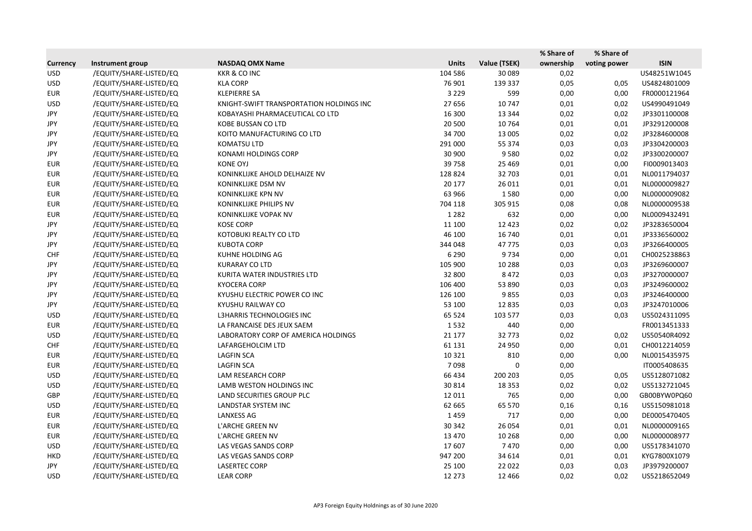|                 |                         |                                          |              |              | % Share of | % Share of   |              |
|-----------------|-------------------------|------------------------------------------|--------------|--------------|------------|--------------|--------------|
| <b>Currency</b> | Instrument group        | <b>NASDAQ OMX Name</b>                   | <b>Units</b> | Value (TSEK) | ownership  | voting power | <b>ISIN</b>  |
| <b>USD</b>      | /EQUITY/SHARE-LISTED/EQ | <b>KKR &amp; CO INC</b>                  | 104 586      | 30 089       | 0,02       |              | US48251W1045 |
| <b>USD</b>      | /EQUITY/SHARE-LISTED/EQ | <b>KLA CORP</b>                          | 76 901       | 139 337      | 0,05       | 0,05         | US4824801009 |
| <b>EUR</b>      | /EQUITY/SHARE-LISTED/EQ | <b>KLEPIERRE SA</b>                      | 3 2 2 9      | 599          | 0,00       | 0,00         | FR0000121964 |
| <b>USD</b>      | /EQUITY/SHARE-LISTED/EQ | KNIGHT-SWIFT TRANSPORTATION HOLDINGS INC | 27 656       | 10747        | 0,01       | 0,02         | US4990491049 |
| JPY             | /EQUITY/SHARE-LISTED/EQ | KOBAYASHI PHARMACEUTICAL CO LTD          | 16 300       | 13 3 4 4     | 0,02       | 0,02         | JP3301100008 |
| JPY             | /EQUITY/SHARE-LISTED/EQ | <b>KOBE BUSSAN CO LTD</b>                | 20 500       | 10764        | 0,01       | 0,01         | JP3291200008 |
| JPY             | /EQUITY/SHARE-LISTED/EQ | KOITO MANUFACTURING CO LTD               | 34 700       | 13 005       | 0,02       | 0,02         | JP3284600008 |
| JPY             | /EQUITY/SHARE-LISTED/EQ | <b>KOMATSU LTD</b>                       | 291 000      | 55 374       | 0,03       | 0,03         | JP3304200003 |
| JPY             | /EQUITY/SHARE-LISTED/EQ | KONAMI HOLDINGS CORP                     | 30 900       | 9580         | 0,02       | 0,02         | JP3300200007 |
| <b>EUR</b>      | /EQUITY/SHARE-LISTED/EQ | <b>KONE OYJ</b>                          | 39758        | 25 4 69      | 0,01       | 0,00         | FI0009013403 |
| <b>EUR</b>      | /EQUITY/SHARE-LISTED/EQ | KONINKLIJKE AHOLD DELHAIZE NV            | 128 824      | 32 703       | 0,01       | 0,01         | NL0011794037 |
| <b>EUR</b>      | /EQUITY/SHARE-LISTED/EQ | KONINKLIJKE DSM NV                       | 20 177       | 26 011       | 0,01       | 0,01         | NL0000009827 |
| <b>EUR</b>      | /EQUITY/SHARE-LISTED/EQ | <b>KONINKLIJKE KPN NV</b>                | 63 966       | 1580         | 0,00       | 0,00         | NL0000009082 |
| <b>EUR</b>      | /EQUITY/SHARE-LISTED/EQ | KONINKLIJKE PHILIPS NV                   | 704 118      | 305 915      | 0,08       | 0,08         | NL0000009538 |
| <b>EUR</b>      | /EQUITY/SHARE-LISTED/EQ | KONINKLIJKE VOPAK NV                     | 1 2 8 2      | 632          | 0,00       | 0,00         | NL0009432491 |
| JPY             | /EQUITY/SHARE-LISTED/EQ | <b>KOSE CORP</b>                         | 11 100       | 12 4 23      | 0,02       | 0,02         | JP3283650004 |
| JPY             | /EQUITY/SHARE-LISTED/EQ | KOTOBUKI REALTY CO LTD                   | 46 100       | 16 740       | 0,01       | 0,01         | JP3336560002 |
| JPY             | /EQUITY/SHARE-LISTED/EQ | <b>KUBOTA CORP</b>                       | 344 048      | 47775        | 0,03       | 0,03         | JP3266400005 |
| <b>CHF</b>      | /EQUITY/SHARE-LISTED/EQ | KUHNE HOLDING AG                         | 6 2 9 0      | 9734         | 0,00       | 0,01         | CH0025238863 |
| JPY             | /EQUITY/SHARE-LISTED/EQ | <b>KURARAY CO LTD</b>                    | 105 900      | 10 288       | 0,03       | 0,03         | JP3269600007 |
| JPY             | /EQUITY/SHARE-LISTED/EQ | KURITA WATER INDUSTRIES LTD              | 32 800       | 8472         | 0,03       | 0,03         | JP3270000007 |
| <b>JPY</b>      | /EQUITY/SHARE-LISTED/EQ | <b>KYOCERA CORP</b>                      | 106 400      | 53 890       | 0,03       | 0,03         | JP3249600002 |
| JPY             | /EQUITY/SHARE-LISTED/EQ | KYUSHU ELECTRIC POWER CO INC             | 126 100      | 9855         | 0,03       | 0,03         | JP3246400000 |
| JPY             | /EQUITY/SHARE-LISTED/EQ | KYUSHU RAILWAY CO                        | 53 100       | 12 8 35      | 0,03       | 0,03         | JP3247010006 |
| <b>USD</b>      | /EQUITY/SHARE-LISTED/EQ | L3HARRIS TECHNOLOGIES INC                | 65 5 24      | 103 577      | 0,03       | 0,03         | US5024311095 |
| <b>EUR</b>      | /EQUITY/SHARE-LISTED/EQ | LA FRANCAISE DES JEUX SAEM               | 1532         | 440          | 0,00       |              | FR0013451333 |
| <b>USD</b>      | /EQUITY/SHARE-LISTED/EQ | LABORATORY CORP OF AMERICA HOLDINGS      | 21 177       | 32773        | 0,02       | 0,02         | US50540R4092 |
| <b>CHF</b>      | /EQUITY/SHARE-LISTED/EQ | LAFARGEHOLCIM LTD                        | 61 131       | 24 9 50      | 0,00       | 0,01         | CH0012214059 |
| <b>EUR</b>      | /EQUITY/SHARE-LISTED/EQ | <b>LAGFIN SCA</b>                        | 10 3 21      | 810          | 0,00       | 0,00         | NL0015435975 |
| <b>EUR</b>      | /EQUITY/SHARE-LISTED/EQ | <b>LAGFIN SCA</b>                        | 7098         | 0            | 0,00       |              | IT0005408635 |
| <b>USD</b>      | /EQUITY/SHARE-LISTED/EQ | LAM RESEARCH CORP                        | 66 434       | 200 203      | 0,05       | 0,05         | US5128071082 |
| <b>USD</b>      | /EQUITY/SHARE-LISTED/EQ | LAMB WESTON HOLDINGS INC                 | 30 814       | 18 3 5 3     | 0,02       | 0,02         | US5132721045 |
| GBP             | /EQUITY/SHARE-LISTED/EQ | LAND SECURITIES GROUP PLC                | 12 011       | 765          | 0,00       | 0,00         | GB00BYW0PQ60 |
| <b>USD</b>      | /EQUITY/SHARE-LISTED/EQ | LANDSTAR SYSTEM INC                      | 62 665       | 65 570       | 0,16       | 0,16         | US5150981018 |
| <b>EUR</b>      | /EQUITY/SHARE-LISTED/EQ | <b>LANXESS AG</b>                        | 1459         | 717          | 0,00       | 0,00         | DE0005470405 |
| <b>EUR</b>      | /EQUITY/SHARE-LISTED/EQ | L'ARCHE GREEN NV                         | 30 342       | 26 0 54      | 0,01       | 0,01         | NL0000009165 |
| EUR             | /EQUITY/SHARE-LISTED/EQ | L'ARCHE GREEN NV                         | 13 4 70      | 10 268       | 0,00       | 0,00         | NL0000008977 |
| <b>USD</b>      | /EQUITY/SHARE-LISTED/EQ | LAS VEGAS SANDS CORP                     | 17607        | 7470         | 0,00       | 0,00         | US5178341070 |
| <b>HKD</b>      | /EQUITY/SHARE-LISTED/EQ | LAS VEGAS SANDS CORP                     | 947 200      | 34 614       | 0,01       | 0,01         | KYG7800X1079 |
| JPY             | /EQUITY/SHARE-LISTED/EQ | LASERTEC CORP                            | 25 100       | 22 0 22      | 0,03       | 0,03         | JP3979200007 |
| <b>USD</b>      | /EQUITY/SHARE-LISTED/EQ | <b>LEAR CORP</b>                         | 12 2 7 3     | 12 4 66      | 0,02       | 0,02         | US5218652049 |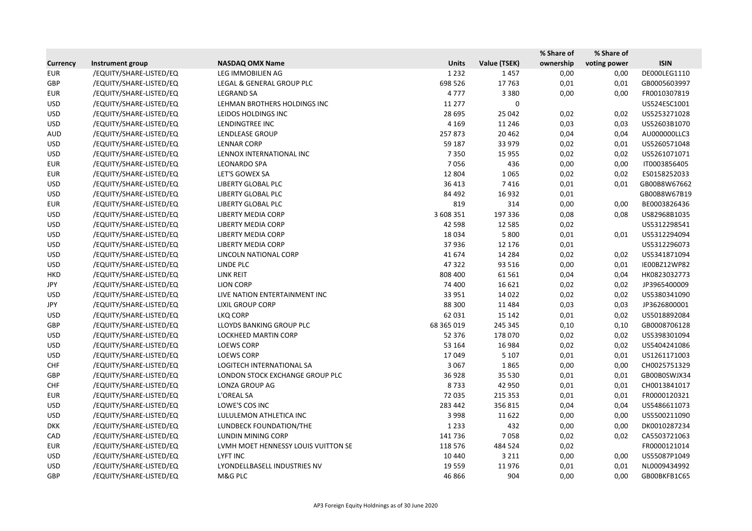|                 |                         |                                     |              |              | % Share of | % Share of   |              |
|-----------------|-------------------------|-------------------------------------|--------------|--------------|------------|--------------|--------------|
| <b>Currency</b> | Instrument group        | <b>NASDAQ OMX Name</b>              | <b>Units</b> | Value (TSEK) | ownership  | voting power | <b>ISIN</b>  |
| <b>EUR</b>      | /EQUITY/SHARE-LISTED/EQ | LEG IMMOBILIEN AG                   | 1 2 3 2      | 1457         | 0,00       | 0,00         | DE000LEG1110 |
| GBP             | /EQUITY/SHARE-LISTED/EQ | LEGAL & GENERAL GROUP PLC           | 698 526      | 17763        | 0,01       | 0,01         | GB0005603997 |
| <b>EUR</b>      | /EQUITY/SHARE-LISTED/EQ | <b>LEGRAND SA</b>                   | 4777         | 3 3 8 0      | 0,00       | 0,00         | FR0010307819 |
| <b>USD</b>      | /EQUITY/SHARE-LISTED/EQ | LEHMAN BROTHERS HOLDINGS INC        | 11 277       | 0            |            |              | US524ESC1001 |
| <b>USD</b>      | /EQUITY/SHARE-LISTED/EQ | LEIDOS HOLDINGS INC                 | 28 695       | 25 042       | 0,02       | 0,02         | US5253271028 |
| <b>USD</b>      | /EQUITY/SHARE-LISTED/EQ | LENDINGTREE INC                     | 4 1 6 9      | 11 246       | 0,03       | 0,03         | US52603B1070 |
| <b>AUD</b>      | /EQUITY/SHARE-LISTED/EQ | <b>LENDLEASE GROUP</b>              | 257873       | 20 4 62      | 0,04       | 0,04         | AU000000LLC3 |
| <b>USD</b>      | /EQUITY/SHARE-LISTED/EQ | <b>LENNAR CORP</b>                  | 59 187       | 33 979       | 0,02       | 0,01         | US5260571048 |
| <b>USD</b>      | /EQUITY/SHARE-LISTED/EQ | LENNOX INTERNATIONAL INC            | 7350         | 15 9 55      | 0,02       | 0,02         | US5261071071 |
| <b>EUR</b>      | /EQUITY/SHARE-LISTED/EQ | <b>LEONARDO SPA</b>                 | 7056         | 436          | 0,00       | 0,00         | IT0003856405 |
| <b>EUR</b>      | /EQUITY/SHARE-LISTED/EQ | LET'S GOWEX SA                      | 12 804       | 1065         | 0,02       | 0,02         | ES0158252033 |
| <b>USD</b>      | /EQUITY/SHARE-LISTED/EQ | <b>LIBERTY GLOBAL PLC</b>           | 36 413       | 7416         | 0,01       | 0,01         | GB00B8W67662 |
| <b>USD</b>      | /EQUITY/SHARE-LISTED/EQ | LIBERTY GLOBAL PLC                  | 84 492       | 16932        | 0,01       |              | GB00B8W67B19 |
| <b>EUR</b>      | /EQUITY/SHARE-LISTED/EQ | LIBERTY GLOBAL PLC                  | 819          | 314          | 0,00       | 0,00         | BE0003826436 |
| <b>USD</b>      | /EQUITY/SHARE-LISTED/EQ | <b>LIBERTY MEDIA CORP</b>           | 3 608 351    | 197 336      | 0,08       | 0,08         | US82968B1035 |
| <b>USD</b>      | /EQUITY/SHARE-LISTED/EQ | <b>LIBERTY MEDIA CORP</b>           | 42 5 98      | 12 5 8 5     | 0,02       |              | US5312298541 |
| <b>USD</b>      | /EQUITY/SHARE-LISTED/EQ | <b>LIBERTY MEDIA CORP</b>           | 18 0 34      | 5 8 0 0      | 0,01       | 0,01         | US5312294094 |
| <b>USD</b>      | /EQUITY/SHARE-LISTED/EQ | <b>LIBERTY MEDIA CORP</b>           | 37936        | 12 176       | 0,01       |              | US5312296073 |
| <b>USD</b>      | /EQUITY/SHARE-LISTED/EQ | LINCOLN NATIONAL CORP               | 41 674       | 14 2 84      | 0,02       | 0,02         | US5341871094 |
| <b>USD</b>      | /EQUITY/SHARE-LISTED/EQ | LINDE PLC                           | 47322        | 93 516       | 0,00       | 0,01         | IE00BZ12WP82 |
| <b>HKD</b>      | /EQUITY/SHARE-LISTED/EQ | LINK REIT                           | 808 400      | 61 5 61      | 0,04       | 0,04         | HK0823032773 |
| JPY             | /EQUITY/SHARE-LISTED/EQ | <b>LION CORP</b>                    | 74 400       | 16 621       | 0,02       | 0,02         | JP3965400009 |
| <b>USD</b>      | /EQUITY/SHARE-LISTED/EQ | LIVE NATION ENTERTAINMENT INC       | 33 951       | 14 0 22      | 0,02       | 0,02         | US5380341090 |
| JPY             | /EQUITY/SHARE-LISTED/EQ | <b>LIXIL GROUP CORP</b>             | 88 300       | 11 4 8 4     | 0,03       | 0,03         | JP3626800001 |
| <b>USD</b>      | /EQUITY/SHARE-LISTED/EQ | LKQ CORP                            | 62 031       | 15 142       | 0,01       | 0,02         | US5018892084 |
| GBP             | /EQUITY/SHARE-LISTED/EQ | LLOYDS BANKING GROUP PLC            | 68 365 019   | 245 345      | 0,10       | 0,10         | GB0008706128 |
| <b>USD</b>      | /EQUITY/SHARE-LISTED/EQ | LOCKHEED MARTIN CORP                | 52 376       | 178 070      | 0,02       | 0,02         | US5398301094 |
| <b>USD</b>      | /EQUITY/SHARE-LISTED/EQ | <b>LOEWS CORP</b>                   | 53 164       | 16 9 84      | 0,02       | 0,02         | US5404241086 |
| <b>USD</b>      | /EQUITY/SHARE-LISTED/EQ | <b>LOEWS CORP</b>                   | 17049        | 5 1 0 7      | 0,01       | 0,01         | US1261171003 |
| <b>CHF</b>      | /EQUITY/SHARE-LISTED/EQ | <b>LOGITECH INTERNATIONAL SA</b>    | 3 0 6 7      | 1865         | 0,00       | 0,00         | CH0025751329 |
| GBP             | /EQUITY/SHARE-LISTED/EQ | LONDON STOCK EXCHANGE GROUP PLC     | 36928        | 35 530       | 0,01       | 0,01         | GB00B0SWJX34 |
| <b>CHF</b>      | /EQUITY/SHARE-LISTED/EQ | LONZA GROUP AG                      | 8733         | 42 950       | 0,01       | 0,01         | CH0013841017 |
| <b>EUR</b>      | /EQUITY/SHARE-LISTED/EQ | L'OREAL SA                          | 72 035       | 215 353      | 0,01       | 0,01         | FR0000120321 |
| <b>USD</b>      | /EQUITY/SHARE-LISTED/EQ | LOWE'S COS INC                      | 283 442      | 356815       | 0,04       | 0,04         | US5486611073 |
| <b>USD</b>      | /EQUITY/SHARE-LISTED/EQ | LULULEMON ATHLETICA INC             | 3 9 9 8      | 11 622       | 0,00       | 0,00         | US5500211090 |
| <b>DKK</b>      | /EQUITY/SHARE-LISTED/EQ | LUNDBECK FOUNDATION/THE             | 1 2 3 3      | 432          | 0,00       | 0,00         | DK0010287234 |
| CAD             | /EQUITY/SHARE-LISTED/EQ | LUNDIN MINING CORP                  | 141 736      | 7058         | 0,02       | 0,02         | CA5503721063 |
| <b>EUR</b>      | /EQUITY/SHARE-LISTED/EQ | LVMH MOET HENNESSY LOUIS VUITTON SE | 118 576      | 484 524      | 0,02       |              | FR0000121014 |
| <b>USD</b>      | /EQUITY/SHARE-LISTED/EQ | LYFT INC                            | 10 4 40      | 3 2 1 1      | 0,00       | 0,00         | US55087P1049 |
| <b>USD</b>      | /EQUITY/SHARE-LISTED/EQ | LYONDELLBASELL INDUSTRIES NV        | 19 5 5 9     | 11976        | 0,01       | 0,01         | NL0009434992 |
| GBP             | /EQUITY/SHARE-LISTED/EQ | M&G PLC                             | 46 866       | 904          | 0,00       | 0,00         | GB00BKFB1C65 |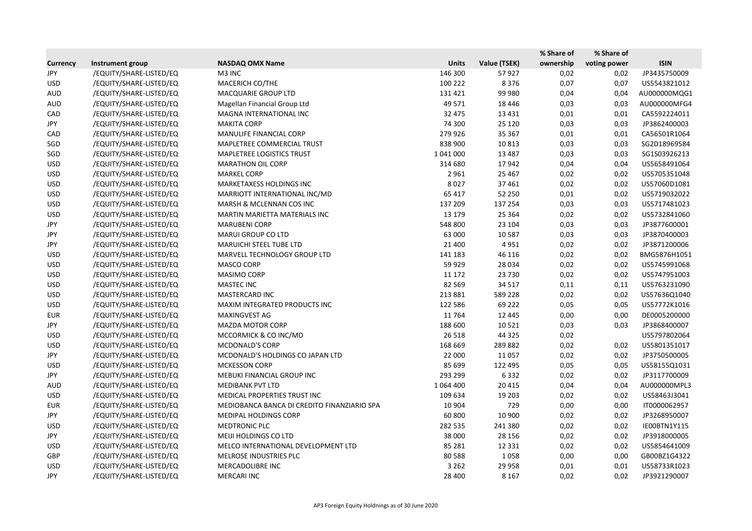|                 |                         |                                             |               |              | % Share of | % Share of   |              |
|-----------------|-------------------------|---------------------------------------------|---------------|--------------|------------|--------------|--------------|
| <b>Currency</b> | Instrument group        | <b>NASDAQ OMX Name</b>                      | <b>Units</b>  | Value (TSEK) | ownership  | voting power | <b>ISIN</b>  |
| JPY             | /EQUITY/SHARE-LISTED/EQ | M3 INC                                      | 146 300       | 57927        | 0,02       | 0,02         | JP3435750009 |
| <b>USD</b>      | /EQUITY/SHARE-LISTED/EQ | MACERICH CO/THE                             | 100 222       | 8376         | 0,07       | 0,07         | US5543821012 |
| AUD             | /EQUITY/SHARE-LISTED/EQ | MACQUARIE GROUP LTD                         | 131 421       | 99 980       | 0,04       | 0,04         | AU000000MQG1 |
| <b>AUD</b>      | /EQUITY/SHARE-LISTED/EQ | Magellan Financial Group Ltd                | 49 571        | 18 4 46      | 0,03       | 0,03         | AU000000MFG4 |
| CAD             | /EQUITY/SHARE-LISTED/EQ | MAGNA INTERNATIONAL INC                     | 32 475        | 13 4 31      | 0,01       | 0,01         | CA5592224011 |
| JPY             | /EQUITY/SHARE-LISTED/EQ | <b>MAKITA CORP</b>                          | 74 300        | 25 1 20      | 0,03       | 0,03         | JP3862400003 |
| CAD             | /EQUITY/SHARE-LISTED/EQ | MANULIFE FINANCIAL CORP                     | 279 926       | 35 367       | 0,01       | 0,01         | CA56501R1064 |
| SGD             | /EQUITY/SHARE-LISTED/EQ | MAPLETREE COMMERCIAL TRUST                  | 838 900       | 10813        | 0,03       | 0,03         | SG2D18969584 |
| SGD             | /EQUITY/SHARE-LISTED/EQ | <b>MAPLETREE LOGISTICS TRUST</b>            | 1 041 000     | 13 4 8 7     | 0,03       | 0,03         | SG1S03926213 |
| <b>USD</b>      | /EQUITY/SHARE-LISTED/EQ | <b>MARATHON OIL CORP</b>                    | 314 680       | 17942        | 0,04       | 0,04         | US5658491064 |
| <b>USD</b>      | /EQUITY/SHARE-LISTED/EQ | <b>MARKEL CORP</b>                          | 2 9 6 1       | 25 4 67      | 0,02       | 0,02         | US5705351048 |
| <b>USD</b>      | /EQUITY/SHARE-LISTED/EQ | MARKETAXESS HOLDINGS INC                    | 8027          | 37 461       | 0,02       | 0,02         | US57060D1081 |
| <b>USD</b>      | /EQUITY/SHARE-LISTED/EQ | MARRIOTT INTERNATIONAL INC/MD               | 65 417        | 52 250       | 0,01       | 0,02         | US5719032022 |
| <b>USD</b>      | /EQUITY/SHARE-LISTED/EQ | MARSH & MCLENNAN COS INC                    | 137 209       | 137 254      | 0,03       | 0,03         | US5717481023 |
| <b>USD</b>      | /EQUITY/SHARE-LISTED/EQ | MARTIN MARIETTA MATERIALS INC               | 13 179        | 25 3 64      | 0,02       | 0,02         | US5732841060 |
| JPY             | /EQUITY/SHARE-LISTED/EQ | <b>MARUBENI CORP</b>                        | 548 800       | 23 104       | 0,03       | 0,03         | JP3877600001 |
| JPY             | /EQUITY/SHARE-LISTED/EQ | <b>MARUI GROUP CO LTD</b>                   | 63 000        | 10 5 87      | 0,03       | 0,03         | JP3870400003 |
| JPY             | /EQUITY/SHARE-LISTED/EQ | <b>MARUICHI STEEL TUBE LTD</b>              | 21 400        | 4951         | 0,02       | 0,02         | JP3871200006 |
| <b>USD</b>      | /EQUITY/SHARE-LISTED/EQ | MARVELL TECHNOLOGY GROUP LTD                | 141 183       | 46 116       | 0,02       | 0,02         | BMG5876H1051 |
| <b>USD</b>      | /EQUITY/SHARE-LISTED/EQ | MASCO CORP                                  | 59 9 29       | 28 0 34      | 0,02       | 0,02         | US5745991068 |
| <b>USD</b>      | /EQUITY/SHARE-LISTED/EQ | MASIMO CORP                                 | 11 172        | 23 7 30      | 0,02       | 0,02         | US5747951003 |
| <b>USD</b>      | /EQUITY/SHARE-LISTED/EQ | <b>MASTEC INC</b>                           | 82 5 69       | 34 5 17      | 0,11       | 0,11         | US5763231090 |
| <b>USD</b>      | /EQUITY/SHARE-LISTED/EQ | MASTERCARD INC                              | 213 881       | 589 228      | 0,02       | 0,02         | US57636Q1040 |
| <b>USD</b>      | /EQUITY/SHARE-LISTED/EQ | MAXIM INTEGRATED PRODUCTS INC               | 122 586       | 69 222       | 0,05       | 0,05         | US57772K1016 |
| <b>EUR</b>      | /EQUITY/SHARE-LISTED/EQ | MAXINGVEST AG                               | 11764         | 12 4 45      | 0,00       | 0,00         | DE0005200000 |
| JPY             | /EQUITY/SHARE-LISTED/EQ | <b>MAZDA MOTOR CORP</b>                     | 188 600       | 10521        | 0,03       | 0,03         | JP3868400007 |
| <b>USD</b>      | /EQUITY/SHARE-LISTED/EQ | MCCORMICK & CO INC/MD                       | 26 5 18       | 44 3 25      | 0,02       |              | US5797802064 |
| <b>USD</b>      | /EQUITY/SHARE-LISTED/EQ | <b>MCDONALD'S CORP</b>                      | 168 669       | 289 882      | 0,02       | 0,02         | US5801351017 |
| JPY             | /EQUITY/SHARE-LISTED/EQ | MCDONALD'S HOLDINGS CO JAPAN LTD            | 22 000        | 11 0 57      | 0,02       | 0,02         | JP3750500005 |
| <b>USD</b>      | /EQUITY/SHARE-LISTED/EQ | <b>MCKESSON CORP</b>                        | 85 699        | 122 495      | 0,05       | 0,05         | US58155Q1031 |
| JPY             | /EQUITY/SHARE-LISTED/EQ | MEBUKI FINANCIAL GROUP INC                  | 293 299       | 6332         | 0,02       | 0,02         | JP3117700009 |
| AUD             | /EQUITY/SHARE-LISTED/EQ | <b>MEDIBANK PVT LTD</b>                     | 1 0 6 4 4 0 0 | 20 4 15      | 0,04       | 0,04         | AU000000MPL3 |
| <b>USD</b>      | /EQUITY/SHARE-LISTED/EQ | MEDICAL PROPERTIES TRUST INC                | 109 634       | 19 203       | 0,02       | 0,02         | US58463J3041 |
| <b>EUR</b>      | /EQUITY/SHARE-LISTED/EQ | MEDIOBANCA BANCA DI CREDITO FINANZIARIO SPA | 10 904        | 729          | 0,00       | 0,00         | IT0000062957 |
| JPY             | /EQUITY/SHARE-LISTED/EQ | <b>MEDIPAL HOLDINGS CORP</b>                | 60 800        | 10 900       | 0,02       | 0,02         | JP3268950007 |
| <b>USD</b>      | /EQUITY/SHARE-LISTED/EQ | <b>MEDTRONIC PLC</b>                        | 282 535       | 241 380      | 0,02       | 0,02         | IE00BTN1Y115 |
| JPY             | /EQUITY/SHARE-LISTED/EQ | MEIJI HOLDINGS CO LTD                       | 38 000        | 28 15 6      | 0,02       | 0,02         | JP3918000005 |
| <b>USD</b>      | /EQUITY/SHARE-LISTED/EQ | MELCO INTERNATIONAL DEVELOPMENT LTD         | 85 281        | 12 3 3 1     | 0,02       | 0,02         | US5854641009 |
| GBP             | /EQUITY/SHARE-LISTED/EQ | MELROSE INDUSTRIES PLC                      | 80 5 88       | 1058         | 0,00       | 0,00         | GB00BZ1G4322 |
| <b>USD</b>      | /EQUITY/SHARE-LISTED/EQ | MERCADOLIBRE INC                            | 3 2 6 2       | 29 9 58      | 0,01       | 0,01         | US58733R1023 |
| JPY             | /EQUITY/SHARE-LISTED/EQ | MERCARI INC                                 | 28 400        | 8 1 6 7      | 0,02       | 0,02         | JP3921290007 |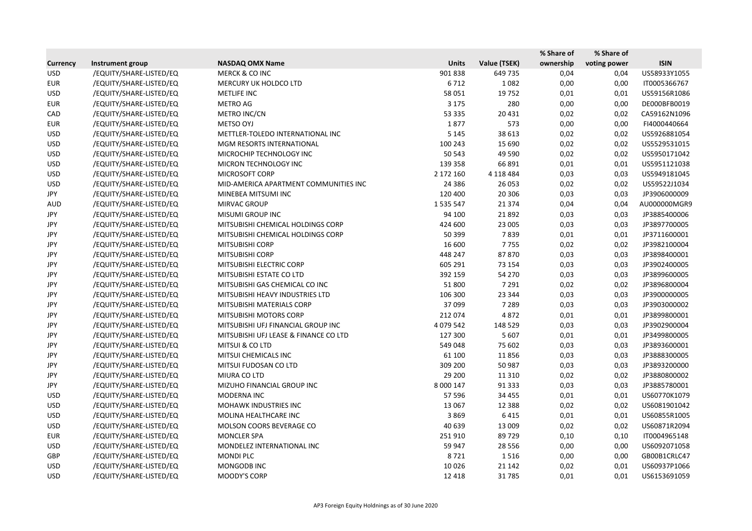|                 |                         |                                       |               |               | % Share of | % Share of   |              |
|-----------------|-------------------------|---------------------------------------|---------------|---------------|------------|--------------|--------------|
| <b>Currency</b> | Instrument group        | <b>NASDAQ OMX Name</b>                | <b>Units</b>  | Value (TSEK)  | ownership  | voting power | <b>ISIN</b>  |
| <b>USD</b>      | /EQUITY/SHARE-LISTED/EQ | <b>MERCK &amp; CO INC</b>             | 901838        | 649 735       | 0,04       | 0,04         | US58933Y1055 |
| <b>EUR</b>      | /EQUITY/SHARE-LISTED/EQ | MERCURY UK HOLDCO LTD                 | 6712          | 1082          | 0,00       | 0,00         | IT0005366767 |
| <b>USD</b>      | /EQUITY/SHARE-LISTED/EQ | METLIFE INC                           | 58 051        | 19752         | 0,01       | 0,01         | US59156R1086 |
| <b>EUR</b>      | /EQUITY/SHARE-LISTED/EQ | <b>METRO AG</b>                       | 3 1 7 5       | 280           | 0,00       | 0,00         | DE000BFB0019 |
| CAD             | /EQUITY/SHARE-LISTED/EQ | METRO INC/CN                          | 53 335        | 20 4 31       | 0,02       | 0,02         | CA59162N1096 |
| <b>EUR</b>      | /EQUITY/SHARE-LISTED/EQ | <b>METSO OYJ</b>                      | 1877          | 573           | 0,00       | 0,00         | FI4000440664 |
| <b>USD</b>      | /EQUITY/SHARE-LISTED/EQ | METTLER-TOLEDO INTERNATIONAL INC      | 5 1 4 5       | 38 613        | 0,02       | 0,02         | US5926881054 |
| <b>USD</b>      | /EQUITY/SHARE-LISTED/EQ | MGM RESORTS INTERNATIONAL             | 100 243       | 15 690        | 0,02       | 0,02         | US5529531015 |
| <b>USD</b>      | /EQUITY/SHARE-LISTED/EQ | MICROCHIP TECHNOLOGY INC              | 50 543        | 49 5 90       | 0,02       | 0,02         | US5950171042 |
| <b>USD</b>      | /EQUITY/SHARE-LISTED/EQ | MICRON TECHNOLOGY INC                 | 139 358       | 66 891        | 0,01       | 0,01         | US5951121038 |
| <b>USD</b>      | /EQUITY/SHARE-LISTED/EQ | MICROSOFT CORP                        | 2 172 160     | 4 1 1 8 4 8 4 | 0,03       | 0,03         | US5949181045 |
| <b>USD</b>      | /EQUITY/SHARE-LISTED/EQ | MID-AMERICA APARTMENT COMMUNITIES INC | 24 3 8 6      | 26 053        | 0,02       | 0,02         | US59522J1034 |
| JPY             | /EQUITY/SHARE-LISTED/EQ | MINEBEA MITSUMI INC                   | 120 400       | 20 30 6       | 0,03       | 0,03         | JP3906000009 |
| <b>AUD</b>      | /EQUITY/SHARE-LISTED/EQ | MIRVAC GROUP                          | 1 5 3 5 5 4 7 | 21 3 7 4      | 0,04       | 0,04         | AU000000MGR9 |
| JPY             | /EQUITY/SHARE-LISTED/EQ | <b>MISUMI GROUP INC</b>               | 94 100        | 21892         | 0,03       | 0,03         | JP3885400006 |
| JPY             | /EQUITY/SHARE-LISTED/EQ | MITSUBISHI CHEMICAL HOLDINGS CORP     | 424 600       | 23 005        | 0,03       | 0,03         | JP3897700005 |
| JPY             | /EQUITY/SHARE-LISTED/EQ | MITSUBISHI CHEMICAL HOLDINGS CORP     | 50 399        | 7839          | 0,01       | 0,01         | JP3711600001 |
| JPY             | /EQUITY/SHARE-LISTED/EQ | <b>MITSUBISHI CORP</b>                | 16 600        | 7755          | 0,02       | 0,02         | JP3982100004 |
| JPY             | /EQUITY/SHARE-LISTED/EQ | MITSUBISHI CORP                       | 448 247       | 87870         | 0,03       | 0,03         | JP3898400001 |
| JPY             | /EQUITY/SHARE-LISTED/EQ | MITSUBISHI ELECTRIC CORP              | 605 291       | 73 154        | 0,03       | 0,03         | JP3902400005 |
| JPY             | /EQUITY/SHARE-LISTED/EQ | MITSUBISHI ESTATE CO LTD              | 392 159       | 54 270        | 0,03       | 0,03         | JP3899600005 |
| JPY             | /EQUITY/SHARE-LISTED/EQ | MITSUBISHI GAS CHEMICAL CO INC        | 51 800        | 7 2 9 1       | 0,02       | 0,02         | JP3896800004 |
| JPY             | /EQUITY/SHARE-LISTED/EQ | MITSUBISHI HEAVY INDUSTRIES LTD       | 106 300       | 23 344        | 0,03       | 0,03         | JP3900000005 |
| JPY             | /EQUITY/SHARE-LISTED/EQ | MITSUBISHI MATERIALS CORP             | 37 099        | 7 2 8 9       | 0,03       | 0,03         | JP3903000002 |
| JPY             | /EQUITY/SHARE-LISTED/EQ | MITSUBISHI MOTORS CORP                | 212 074       | 4872          | 0,01       | 0,01         | JP3899800001 |
| JPY             | /EQUITY/SHARE-LISTED/EQ | MITSUBISHI UFJ FINANCIAL GROUP INC    | 4 0 79 5 42   | 148 529       | 0,03       | 0,03         | JP3902900004 |
| <b>JPY</b>      | /EQUITY/SHARE-LISTED/EQ | MITSUBISHI UFJ LEASE & FINANCE CO LTD | 127 300       | 5 607         | 0,01       | 0,01         | JP3499800005 |
| JPY             | /EQUITY/SHARE-LISTED/EQ | MITSUI & CO LTD                       | 549 048       | 75 602        | 0,03       | 0,03         | JP3893600001 |
| JPY             | /EQUITY/SHARE-LISTED/EQ | MITSUI CHEMICALS INC                  | 61 100        | 11856         | 0,03       | 0,03         | JP3888300005 |
| JPY             | /EQUITY/SHARE-LISTED/EQ | MITSUI FUDOSAN CO LTD                 | 309 200       | 50 987        | 0,03       | 0,03         | JP3893200000 |
| JPY             | /EQUITY/SHARE-LISTED/EQ | MIURA CO LTD                          | 29 200        | 11 3 10       | 0,02       | 0,02         | JP3880800002 |
| JPY             | /EQUITY/SHARE-LISTED/EQ | MIZUHO FINANCIAL GROUP INC            | 8 000 147     | 91 3 3 3      | 0,03       | 0,03         | JP3885780001 |
| <b>USD</b>      | /EQUITY/SHARE-LISTED/EQ | MODERNA INC                           | 57 596        | 34 4 55       | 0,01       | 0,01         | US60770K1079 |
| <b>USD</b>      | /EQUITY/SHARE-LISTED/EQ | MOHAWK INDUSTRIES INC                 | 13 0 67       | 12 3 8 8      | 0,02       | 0,02         | US6081901042 |
| <b>USD</b>      | /EQUITY/SHARE-LISTED/EQ | MOLINA HEALTHCARE INC                 | 3869          | 6415          | 0,01       | 0,01         | US60855R1005 |
| <b>USD</b>      | /EQUITY/SHARE-LISTED/EQ | MOLSON COORS BEVERAGE CO              | 40 639        | 13 009        | 0,02       | 0,02         | US60871R2094 |
| EUR             | /EQUITY/SHARE-LISTED/EQ | MONCLER SPA                           | 251910        | 89729         | 0,10       | 0,10         | IT0004965148 |
| <b>USD</b>      | /EQUITY/SHARE-LISTED/EQ | MONDELEZ INTERNATIONAL INC            | 59 947        | 28 5 5 6      | 0,00       | 0,00         | US6092071058 |
| GBP             | /EQUITY/SHARE-LISTED/EQ | <b>MONDI PLC</b>                      | 8721          | 1516          | 0,00       | 0,00         | GB00B1CRLC47 |
| <b>USD</b>      | /EQUITY/SHARE-LISTED/EQ | MONGODB INC                           | 10026         | 21 142        | 0,02       | 0,01         | US60937P1066 |
| <b>USD</b>      | /EQUITY/SHARE-LISTED/EQ | MOODY'S CORP                          | 12 4 18       | 31785         | 0,01       | 0,01         | US6153691059 |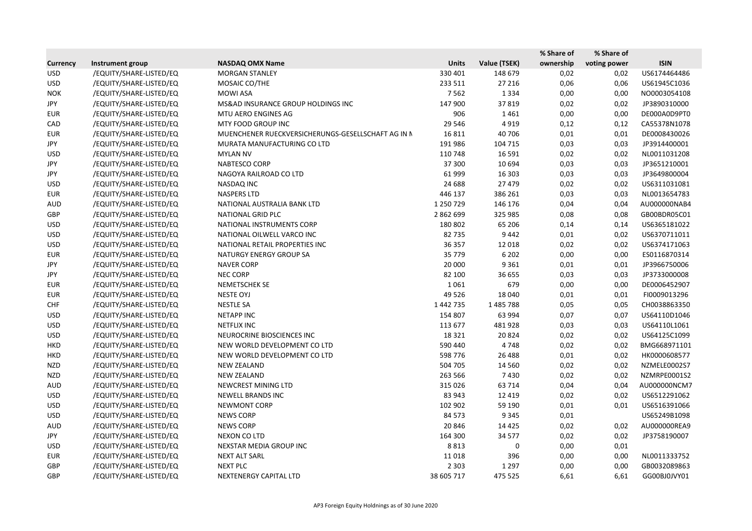|                 |                         |                                                    |              |              | % Share of | % Share of   |              |
|-----------------|-------------------------|----------------------------------------------------|--------------|--------------|------------|--------------|--------------|
| <b>Currency</b> | Instrument group        | <b>NASDAQ OMX Name</b>                             | <b>Units</b> | Value (TSEK) | ownership  | voting power | <b>ISIN</b>  |
| <b>USD</b>      | /EQUITY/SHARE-LISTED/EQ | <b>MORGAN STANLEY</b>                              | 330 401      | 148 679      | 0,02       | 0,02         | US6174464486 |
| <b>USD</b>      | /EQUITY/SHARE-LISTED/EQ | MOSAIC CO/THE                                      | 233 511      | 27 216       | 0,06       | 0,06         | US61945C1036 |
| <b>NOK</b>      | /EQUITY/SHARE-LISTED/EQ | <b>MOWI ASA</b>                                    | 7562         | 1 3 3 4      | 0,00       | 0,00         | NO0003054108 |
| JPY             | /EQUITY/SHARE-LISTED/EQ | MS&AD INSURANCE GROUP HOLDINGS INC                 | 147 900      | 37819        | 0,02       | 0,02         | JP3890310000 |
| <b>EUR</b>      | /EQUITY/SHARE-LISTED/EQ | MTU AERO ENGINES AG                                | 906          | 1461         | 0,00       | 0,00         | DE000A0D9PT0 |
| CAD             | /EQUITY/SHARE-LISTED/EQ | MTY FOOD GROUP INC                                 | 29 546       | 4919         | 0,12       | 0,12         | CA55378N1078 |
| <b>EUR</b>      | /EQUITY/SHARE-LISTED/EQ | MUENCHENER RUECKVERSICHERUNGS-GESELLSCHAFT AG IN N | 16811        | 40 70 6      | 0,01       | 0,01         | DE0008430026 |
| JPY             | /EQUITY/SHARE-LISTED/EQ | MURATA MANUFACTURING CO LTD                        | 191 986      | 104 715      | 0,03       | 0,03         | JP3914400001 |
| <b>USD</b>      | /EQUITY/SHARE-LISTED/EQ | <b>MYLAN NV</b>                                    | 110 748      | 16 5 91      | 0,02       | 0,02         | NL0011031208 |
| JPY             | /EQUITY/SHARE-LISTED/EQ | NABTESCO CORP                                      | 37 300       | 10 694       | 0,03       | 0,03         | JP3651210001 |
| JPY             | /EQUITY/SHARE-LISTED/EQ | NAGOYA RAILROAD CO LTD                             | 61 999       | 16 30 3      | 0,03       | 0,03         | JP3649800004 |
| <b>USD</b>      | /EQUITY/SHARE-LISTED/EQ | NASDAQ INC                                         | 24 688       | 27 479       | 0,02       | 0,02         | US6311031081 |
| <b>EUR</b>      | /EQUITY/SHARE-LISTED/EQ | <b>NASPERS LTD</b>                                 | 446 137      | 386 261      | 0,03       | 0,03         | NL0013654783 |
| <b>AUD</b>      | /EQUITY/SHARE-LISTED/EQ | NATIONAL AUSTRALIA BANK LTD                        | 1 250 729    | 146 176      | 0,04       | 0,04         | AU000000NAB4 |
| GBP             | /EQUITY/SHARE-LISTED/EQ | NATIONAL GRID PLC                                  | 2 862 699    | 325 985      | 0,08       | 0,08         | GB00BDR05C01 |
| <b>USD</b>      | /EQUITY/SHARE-LISTED/EQ | NATIONAL INSTRUMENTS CORP                          | 180 802      | 65 206       | 0,14       | 0,14         | US6365181022 |
| <b>USD</b>      | /EQUITY/SHARE-LISTED/EQ | NATIONAL OILWELL VARCO INC                         | 82735        | 9442         | 0,01       | 0,02         | US6370711011 |
| <b>USD</b>      | /EQUITY/SHARE-LISTED/EQ | NATIONAL RETAIL PROPERTIES INC                     | 36 357       | 12 018       | 0,02       | 0,02         | US6374171063 |
| <b>EUR</b>      | /EQUITY/SHARE-LISTED/EQ | NATURGY ENERGY GROUP SA                            | 35 7 7 9     | 6 2 0 2      | 0,00       | 0,00         | ES0116870314 |
| JPY             | /EQUITY/SHARE-LISTED/EQ | <b>NAVER CORP</b>                                  | 20 000       | 9 3 6 1      | 0,01       | 0,01         | JP3966750006 |
| JPY             | /EQUITY/SHARE-LISTED/EQ | <b>NEC CORP</b>                                    | 82 100       | 36 655       | 0,03       | 0,03         | JP3733000008 |
| <b>EUR</b>      | /EQUITY/SHARE-LISTED/EQ | NEMETSCHEK SE                                      | 1061         | 679          | 0,00       | 0,00         | DE0006452907 |
| <b>EUR</b>      | /EQUITY/SHARE-LISTED/EQ | NESTE OYJ                                          | 49 5 26      | 18 040       | 0,01       | 0,01         | FI0009013296 |
| <b>CHF</b>      | /EQUITY/SHARE-LISTED/EQ | <b>NESTLE SA</b>                                   | 1 442 735    | 1485788      | 0,05       | 0,05         | CH0038863350 |
| <b>USD</b>      | /EQUITY/SHARE-LISTED/EQ | <b>NETAPP INC</b>                                  | 154 807      | 63 994       | 0,07       | 0,07         | US64110D1046 |
| <b>USD</b>      | /EQUITY/SHARE-LISTED/EQ | <b>NETFLIX INC</b>                                 | 113 677      | 481928       | 0,03       | 0,03         | US64110L1061 |
| <b>USD</b>      | /EQUITY/SHARE-LISTED/EQ | NEUROCRINE BIOSCIENCES INC                         | 18 3 21      | 20824        | 0,02       | 0,02         | US64125C1099 |
| <b>HKD</b>      | /EQUITY/SHARE-LISTED/EQ | NEW WORLD DEVELOPMENT CO LTD                       | 590 440      | 4748         | 0,02       | 0,02         | BMG668971101 |
| <b>HKD</b>      | /EQUITY/SHARE-LISTED/EQ | NEW WORLD DEVELOPMENT CO LTD                       | 598 776      | 26 4 88      | 0,01       | 0,02         | HK0000608577 |
| <b>NZD</b>      | /EQUITY/SHARE-LISTED/EQ | <b>NEW ZEALAND</b>                                 | 504 705      | 14 5 60      | 0,02       | 0,02         | NZMELE0002S7 |
| NZD             | /EQUITY/SHARE-LISTED/EQ | NEW ZEALAND                                        | 263 566      | 7430         | 0,02       | 0,02         | NZMRPE0001S2 |
| AUD             | /EQUITY/SHARE-LISTED/EQ | NEWCREST MINING LTD                                | 315 026      | 63 714       | 0,04       | 0,04         | AU000000NCM7 |
| <b>USD</b>      | /EQUITY/SHARE-LISTED/EQ | NEWELL BRANDS INC                                  | 83 943       | 12 4 19      | 0,02       | 0,02         | US6512291062 |
| <b>USD</b>      | /EQUITY/SHARE-LISTED/EQ | <b>NEWMONT CORP</b>                                | 102 902      | 59 190       | 0,01       | 0,01         | US6516391066 |
| <b>USD</b>      | /EQUITY/SHARE-LISTED/EQ | <b>NEWS CORP</b>                                   | 84 573       | 9 3 4 5      | 0,01       |              | US65249B1098 |
| <b>AUD</b>      | /EQUITY/SHARE-LISTED/EQ | <b>NEWS CORP</b>                                   | 20 846       | 14 4 25      | 0,02       | 0,02         | AU000000REA9 |
| JPY             | /EQUITY/SHARE-LISTED/EQ | NEXON CO LTD                                       | 164 300      | 34 577       | 0,02       | 0,02         | JP3758190007 |
| <b>USD</b>      | /EQUITY/SHARE-LISTED/EQ | NEXSTAR MEDIA GROUP INC                            | 8813         | 0            | 0,00       | 0,01         |              |
| <b>EUR</b>      | /EQUITY/SHARE-LISTED/EQ | NEXT ALT SARL                                      | 11018        | 396          | 0,00       | 0,00         | NL0011333752 |
| GBP             | /EQUITY/SHARE-LISTED/EQ | <b>NEXT PLC</b>                                    | 2 3 0 3      | 1 2 9 7      | 0,00       | 0,00         | GB0032089863 |
| GBP             | /EQUITY/SHARE-LISTED/EQ | NEXTENERGY CAPITAL LTD                             | 38 605 717   | 475 525      | 6,61       | 6,61         | GG00BJ0JVY01 |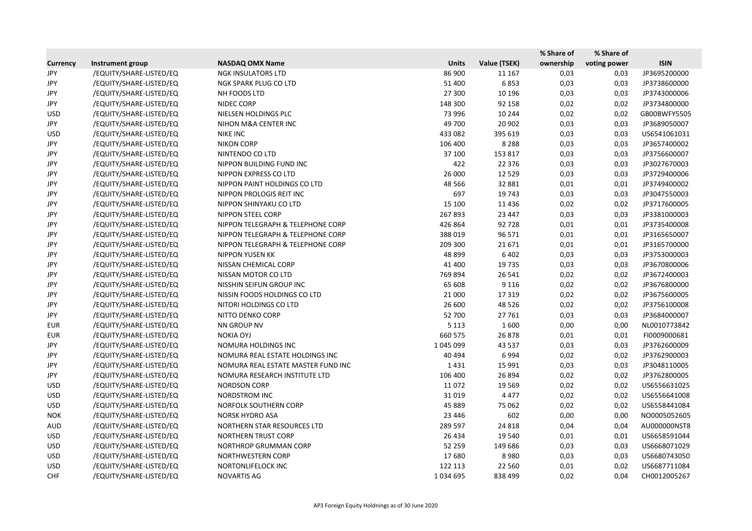|                 |                         |                                    |              |              | % Share of | % Share of   |              |
|-----------------|-------------------------|------------------------------------|--------------|--------------|------------|--------------|--------------|
| <b>Currency</b> | Instrument group        | <b>NASDAQ OMX Name</b>             | <b>Units</b> | Value (TSEK) | ownership  | voting power | <b>ISIN</b>  |
| <b>JPY</b>      | /EQUITY/SHARE-LISTED/EQ | <b>NGK INSULATORS LTD</b>          | 86 900       | 11 167       | 0,03       | 0,03         | JP3695200000 |
| JPY             | /EQUITY/SHARE-LISTED/EQ | NGK SPARK PLUG CO LTD              | 51 400       | 6853         | 0,03       | 0,03         | JP3738600000 |
| JPY             | /EQUITY/SHARE-LISTED/EQ | NH FOODS LTD                       | 27 300       | 10 196       | 0,03       | 0,03         | JP3743000006 |
| JPY             | /EQUITY/SHARE-LISTED/EQ | NIDEC CORP                         | 148 300      | 92 158       | 0,02       | 0,02         | JP3734800000 |
| <b>USD</b>      | /EQUITY/SHARE-LISTED/EQ | NIELSEN HOLDINGS PLC               | 73 996       | 10 244       | 0,02       | 0,02         | GB00BWFY5505 |
| JPY             | /EQUITY/SHARE-LISTED/EQ | NIHON M&A CENTER INC               | 49 700       | 20 902       | 0,03       | 0,03         | JP3689050007 |
| <b>USD</b>      | /EQUITY/SHARE-LISTED/EQ | <b>NIKE INC</b>                    | 433 082      | 395 619      | 0,03       | 0,03         | US6541061031 |
| JPY             | /EQUITY/SHARE-LISTED/EQ | <b>NIKON CORP</b>                  | 106 400      | 8 2 8 8      | 0,03       | 0,03         | JP3657400002 |
| JPY             | /EQUITY/SHARE-LISTED/EQ | NINTENDO CO LTD                    | 37 100       | 153 817      | 0,03       | 0,03         | JP3756600007 |
| JPY             | /EQUITY/SHARE-LISTED/EQ | NIPPON BUILDING FUND INC           | 422          | 22 3 7 6     | 0,03       | 0,03         | JP3027670003 |
| JPY             | /EQUITY/SHARE-LISTED/EQ | NIPPON EXPRESS CO LTD              | 26 000       | 12 5 29      | 0,03       | 0,03         | JP3729400006 |
| JPY             | /EQUITY/SHARE-LISTED/EQ | NIPPON PAINT HOLDINGS CO LTD       | 48 5 66      | 32 881       | 0,01       | 0,01         | JP3749400002 |
| JPY             | /EQUITY/SHARE-LISTED/EQ | NIPPON PROLOGIS REIT INC           | 697          | 19743        | 0,03       | 0,03         | JP3047550003 |
| JPY             | /EQUITY/SHARE-LISTED/EQ | NIPPON SHINYAKU CO LTD             | 15 100       | 11 4 36      | 0,02       | 0,02         | JP3717600005 |
| JPY             | /EQUITY/SHARE-LISTED/EQ | NIPPON STEEL CORP                  | 267893       | 23 447       | 0,03       | 0,03         | JP3381000003 |
| JPY             | /EQUITY/SHARE-LISTED/EQ | NIPPON TELEGRAPH & TELEPHONE CORP  | 426 864      | 92728        | 0,01       | 0,01         | JP3735400008 |
| JPY             | /EQUITY/SHARE-LISTED/EQ | NIPPON TELEGRAPH & TELEPHONE CORP  | 388019       | 96 571       | 0,01       | 0,01         | JP3165650007 |
| JPY             | /EQUITY/SHARE-LISTED/EQ | NIPPON TELEGRAPH & TELEPHONE CORP  | 209 300      | 21671        | 0,01       | 0,01         | JP3165700000 |
| JPY             | /EQUITY/SHARE-LISTED/EQ | <b>NIPPON YUSEN KK</b>             | 48 899       | 6 4 0 2      | 0,03       | 0,03         | JP3753000003 |
| JPY             | /EQUITY/SHARE-LISTED/EQ | NISSAN CHEMICAL CORP               | 41 400       | 19 7 35      | 0,03       | 0,03         | JP3670800006 |
| JPY             | /EQUITY/SHARE-LISTED/EQ | NISSAN MOTOR CO LTD                | 769 894      | 26 541       | 0,02       | 0,02         | JP3672400003 |
| JPY             | /EQUITY/SHARE-LISTED/EQ | NISSHIN SEIFUN GROUP INC           | 65 608       | 9 1 1 6      | 0,02       | 0,02         | JP3676800000 |
| JPY             | /EQUITY/SHARE-LISTED/EQ | NISSIN FOODS HOLDINGS CO LTD       | 21 000       | 17319        | 0,02       | 0,02         | JP3675600005 |
| JPY             | /EQUITY/SHARE-LISTED/EQ | NITORI HOLDINGS CO LTD             | 26 600       | 48 5 26      | 0,02       | 0,02         | JP3756100008 |
| JPY             | /EQUITY/SHARE-LISTED/EQ | NITTO DENKO CORP                   | 52 700       | 27761        | 0,03       | 0,03         | JP3684000007 |
| <b>EUR</b>      | /EQUITY/SHARE-LISTED/EQ | NN GROUP NV                        | 5 1 1 3      | 1600         | 0,00       | 0,00         | NL0010773842 |
| <b>EUR</b>      | /EQUITY/SHARE-LISTED/EQ | <b>NOKIA OYJ</b>                   | 660 575      | 26878        | 0,01       | 0,01         | FI0009000681 |
| JPY             | /EQUITY/SHARE-LISTED/EQ | NOMURA HOLDINGS INC                | 1 045 099    | 43 5 37      | 0,03       | 0,03         | JP3762600009 |
| JPY             | /EQUITY/SHARE-LISTED/EQ | NOMURA REAL ESTATE HOLDINGS INC    | 40 4 94      | 6994         | 0,02       | 0,02         | JP3762900003 |
| JPY             | /EQUITY/SHARE-LISTED/EQ | NOMURA REAL ESTATE MASTER FUND INC | 1431         | 15 9 91      | 0,03       | 0,03         | JP3048110005 |
| JPY             | /EQUITY/SHARE-LISTED/EQ | NOMURA RESEARCH INSTITUTE LTD      | 106 400      | 26 894       | 0,02       | 0,02         | JP3762800005 |
| <b>USD</b>      | /EQUITY/SHARE-LISTED/EQ | <b>NORDSON CORP</b>                | 11072        | 19 5 69      | 0,02       | 0,02         | US6556631025 |
| <b>USD</b>      | /EQUITY/SHARE-LISTED/EQ | NORDSTROM INC                      | 31019        | 4 4 7 7      | 0,02       | 0,02         | US6556641008 |
| USD             | /EQUITY/SHARE-LISTED/EQ | NORFOLK SOUTHERN CORP              | 45 889       | 75 062       | 0,02       | 0,02         | US6558441084 |
| <b>NOK</b>      | /EQUITY/SHARE-LISTED/EQ | <b>NORSK HYDRO ASA</b>             | 23 4 46      | 602          | 0,00       | 0,00         | NO0005052605 |
| <b>AUD</b>      | /EQUITY/SHARE-LISTED/EQ | NORTHERN STAR RESOURCES LTD        | 289 597      | 24 8 18      | 0,04       | 0,04         | AU000000NST8 |
| USD             | /EQUITY/SHARE-LISTED/EQ | NORTHERN TRUST CORP                | 26 4 34      | 19 540       | 0,01       | 0,01         | US6658591044 |
| <b>USD</b>      | /EQUITY/SHARE-LISTED/EQ | NORTHROP GRUMMAN CORP              | 52 259       | 149 686      | 0,03       | 0,03         | US6668071029 |
| <b>USD</b>      | /EQUITY/SHARE-LISTED/EQ | NORTHWESTERN CORP                  | 17680        | 8980         | 0,03       | 0,03         | US6680743050 |
| <b>USD</b>      | /EQUITY/SHARE-LISTED/EQ | NORTONLIFELOCK INC                 | 122 113      | 22 5 60      | 0,01       | 0,02         | US6687711084 |
| <b>CHF</b>      | /EQUITY/SHARE-LISTED/EQ | NOVARTIS AG                        | 1034695      | 838 499      | 0,02       | 0,04         | CH0012005267 |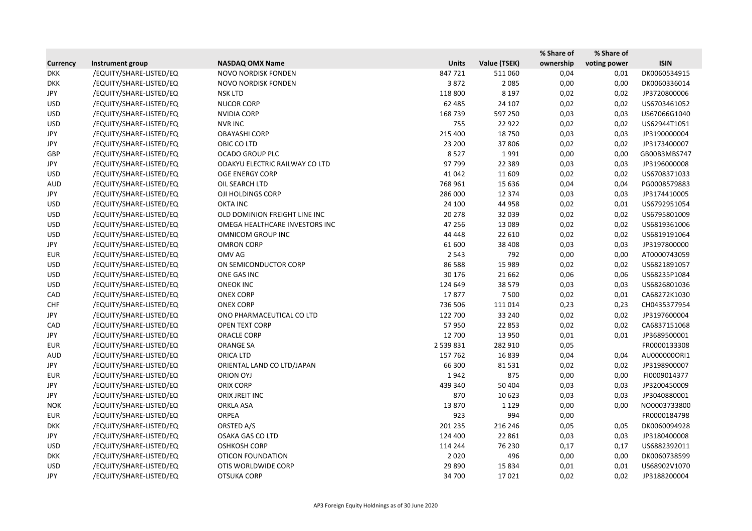|                 |                         |                                |              |              | % Share of | % Share of   |              |
|-----------------|-------------------------|--------------------------------|--------------|--------------|------------|--------------|--------------|
| <b>Currency</b> | Instrument group        | <b>NASDAQ OMX Name</b>         | <b>Units</b> | Value (TSEK) | ownership  | voting power | <b>ISIN</b>  |
| <b>DKK</b>      | /EQUITY/SHARE-LISTED/EQ | NOVO NORDISK FONDEN            | 847721       | 511 060      | 0,04       | 0,01         | DK0060534915 |
| <b>DKK</b>      | /EQUITY/SHARE-LISTED/EQ | NOVO NORDISK FONDEN            | 3872         | 2085         | 0,00       | 0,00         | DK0060336014 |
| JPY             | /EQUITY/SHARE-LISTED/EQ | <b>NSK LTD</b>                 | 118 800      | 8 1 9 7      | 0,02       | 0,02         | JP3720800006 |
| <b>USD</b>      | /EQUITY/SHARE-LISTED/EQ | <b>NUCOR CORP</b>              | 62 485       | 24 107       | 0,02       | 0,02         | US6703461052 |
| <b>USD</b>      | /EQUITY/SHARE-LISTED/EQ | <b>NVIDIA CORP</b>             | 168739       | 597 250      | 0,03       | 0,03         | US67066G1040 |
| <b>USD</b>      | /EQUITY/SHARE-LISTED/EQ | <b>NVR INC</b>                 | 755          | 22 9 22      | 0,02       | 0,02         | US62944T1051 |
| JPY             | /EQUITY/SHARE-LISTED/EQ | <b>OBAYASHI CORP</b>           | 215 400      | 18750        | 0,03       | 0,03         | JP3190000004 |
| JPY             | /EQUITY/SHARE-LISTED/EQ | OBIC CO LTD                    | 23 200       | 37 806       | 0,02       | 0,02         | JP3173400007 |
| GBP             | /EQUITY/SHARE-LISTED/EQ | <b>OCADO GROUP PLC</b>         | 8527         | 1991         | 0,00       | 0,00         | GB00B3MBS747 |
| JPY             | /EQUITY/SHARE-LISTED/EQ | ODAKYU ELECTRIC RAILWAY CO LTD | 97799        | 22 3 8 9     | 0,03       | 0,03         | JP3196000008 |
| <b>USD</b>      | /EQUITY/SHARE-LISTED/EQ | <b>OGE ENERGY CORP</b>         | 41 042       | 11 609       | 0,02       | 0,02         | US6708371033 |
| <b>AUD</b>      | /EQUITY/SHARE-LISTED/EQ | OIL SEARCH LTD                 | 768 961      | 15 6 36      | 0,04       | 0,04         | PG0008579883 |
| JPY             | /EQUITY/SHARE-LISTED/EQ | OJI HOLDINGS CORP              | 286 000      | 12 3 7 4     | 0,03       | 0,03         | JP3174410005 |
| <b>USD</b>      | /EQUITY/SHARE-LISTED/EQ | <b>OKTA INC</b>                | 24 100       | 44 9 58      | 0,02       | 0,01         | US6792951054 |
| <b>USD</b>      | /EQUITY/SHARE-LISTED/EQ | OLD DOMINION FREIGHT LINE INC  | 20 278       | 32 039       | 0,02       | 0,02         | US6795801009 |
| <b>USD</b>      | /EQUITY/SHARE-LISTED/EQ | OMEGA HEALTHCARE INVESTORS INC | 47 256       | 13 0 8 9     | 0,02       | 0,02         | US6819361006 |
| <b>USD</b>      | /EQUITY/SHARE-LISTED/EQ | OMNICOM GROUP INC              | 44 4 48      | 22 610       | 0,02       | 0,02         | US6819191064 |
| JPY             | /EQUITY/SHARE-LISTED/EQ | <b>OMRON CORP</b>              | 61 600       | 38 40 8      | 0,03       | 0,03         | JP3197800000 |
| <b>EUR</b>      | /EQUITY/SHARE-LISTED/EQ | OMV AG                         | 2 5 4 3      | 792          | 0,00       | 0,00         | AT0000743059 |
| <b>USD</b>      | /EQUITY/SHARE-LISTED/EQ | ON SEMICONDUCTOR CORP          | 86 5 88      | 15 9 89      | 0,02       | 0,02         | US6821891057 |
| <b>USD</b>      | /EQUITY/SHARE-LISTED/EQ | ONE GAS INC                    | 30 176       | 21 6 62      | 0,06       | 0,06         | US68235P1084 |
| <b>USD</b>      | /EQUITY/SHARE-LISTED/EQ | <b>ONEOK INC</b>               | 124 649      | 38 5 7 9     | 0,03       | 0,03         | US6826801036 |
| CAD             | /EQUITY/SHARE-LISTED/EQ | <b>ONEX CORP</b>               | 17877        | 7500         | 0,02       | 0,01         | CA68272K1030 |
| <b>CHF</b>      | /EQUITY/SHARE-LISTED/EQ | <b>ONEX CORP</b>               | 736 506      | 111014       | 0,23       | 0,23         | CH0435377954 |
| JPY             | /EQUITY/SHARE-LISTED/EQ | ONO PHARMACEUTICAL CO LTD      | 122 700      | 33 240       | 0,02       | 0,02         | JP3197600004 |
| CAD             | /EQUITY/SHARE-LISTED/EQ | OPEN TEXT CORP                 | 57950        | 22 853       | 0,02       | 0,02         | CA6837151068 |
| JPY             | /EQUITY/SHARE-LISTED/EQ | <b>ORACLE CORP</b>             | 12 700       | 13 9 50      | 0,01       | 0,01         | JP3689500001 |
| <b>EUR</b>      | /EQUITY/SHARE-LISTED/EQ | <b>ORANGE SA</b>               | 2 539 831    | 282 910      | 0,05       |              | FR0000133308 |
| AUD             | /EQUITY/SHARE-LISTED/EQ | <b>ORICA LTD</b>               | 157 762      | 16839        | 0,04       | 0,04         | AU0000000RI1 |
| JPY             | /EQUITY/SHARE-LISTED/EQ | ORIENTAL LAND CO LTD/JAPAN     | 66 300       | 81531        | 0,02       | 0,02         | JP3198900007 |
| <b>EUR</b>      | /EQUITY/SHARE-LISTED/EQ | <b>ORION OYJ</b>               | 1942         | 875          | 0,00       | 0,00         | FI0009014377 |
| JPY             | /EQUITY/SHARE-LISTED/EQ | ORIX CORP                      | 439 340      | 50 404       | 0,03       | 0,03         | JP3200450009 |
| JPY             | /EQUITY/SHARE-LISTED/EQ | ORIX JREIT INC                 | 870          | 10 623       | 0,03       | 0,03         | JP3040880001 |
| <b>NOK</b>      | /EQUITY/SHARE-LISTED/EQ | <b>ORKLA ASA</b>               | 13870        | 1 1 2 9      | 0,00       | 0,00         | NO0003733800 |
| <b>EUR</b>      | /EQUITY/SHARE-LISTED/EQ | <b>ORPEA</b>                   | 923          | 994          | 0,00       |              | FR0000184798 |
| <b>DKK</b>      | /EQUITY/SHARE-LISTED/EQ | ORSTED A/S                     | 201 235      | 216 246      | 0,05       | 0,05         | DK0060094928 |
| JPY             | /EQUITY/SHARE-LISTED/EQ | <b>OSAKA GAS CO LTD</b>        | 124 400      | 22 8 61      | 0,03       | 0,03         | JP3180400008 |
| <b>USD</b>      | /EQUITY/SHARE-LISTED/EQ | <b>OSHKOSH CORP</b>            | 114 244      | 76 230       | 0,17       | 0,17         | US6882392011 |
| <b>DKK</b>      | /EQUITY/SHARE-LISTED/EQ | <b>OTICON FOUNDATION</b>       | 2020         | 496          | 0,00       | 0,00         | DK0060738599 |
| <b>USD</b>      | /EQUITY/SHARE-LISTED/EQ | OTIS WORLDWIDE CORP            | 29 8 90      | 15 8 34      | 0,01       | 0,01         | US68902V1070 |
| JPY             | /EQUITY/SHARE-LISTED/EQ | OTSUKA CORP                    | 34 700       | 17021        | 0,02       | 0,02         | JP3188200004 |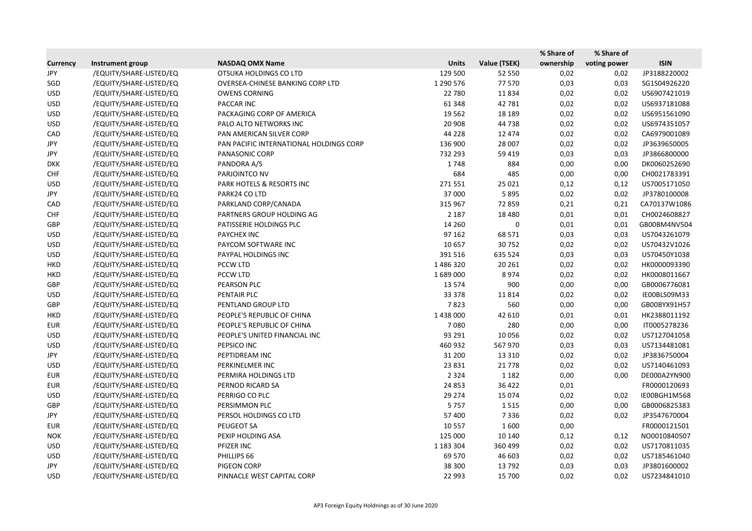|                 |                         |                                         |              |              | % Share of | % Share of   |              |
|-----------------|-------------------------|-----------------------------------------|--------------|--------------|------------|--------------|--------------|
| <b>Currency</b> | Instrument group        | <b>NASDAQ OMX Name</b>                  | <b>Units</b> | Value (TSEK) | ownership  | voting power | <b>ISIN</b>  |
| JPY             | /EQUITY/SHARE-LISTED/EQ | OTSUKA HOLDINGS CO LTD                  | 129 500      | 52 550       | 0,02       | 0,02         | JP3188220002 |
| SGD             | /EQUITY/SHARE-LISTED/EQ | OVERSEA-CHINESE BANKING CORP LTD        | 1 290 576    | 77570        | 0,03       | 0,03         | SG1S04926220 |
| <b>USD</b>      | /EQUITY/SHARE-LISTED/EQ | <b>OWENS CORNING</b>                    | 22 780       | 11834        | 0,02       | 0,02         | US6907421019 |
| <b>USD</b>      | /EQUITY/SHARE-LISTED/EQ | PACCAR INC                              | 61 348       | 42 781       | 0,02       | 0,02         | US6937181088 |
| <b>USD</b>      | /EQUITY/SHARE-LISTED/EQ | PACKAGING CORP OF AMERICA               | 19 5 62      | 18 18 9      | 0,02       | 0,02         | US6951561090 |
| <b>USD</b>      | /EQUITY/SHARE-LISTED/EQ | PALO ALTO NETWORKS INC                  | 20 908       | 44738        | 0,02       | 0,02         | US6974351057 |
| CAD             | /EQUITY/SHARE-LISTED/EQ | PAN AMERICAN SILVER CORP                | 44 2 28      | 12 4 74      | 0,02       | 0,02         | CA6979001089 |
| JPY             | /EQUITY/SHARE-LISTED/EQ | PAN PACIFIC INTERNATIONAL HOLDINGS CORP | 136 900      | 28 007       | 0,02       | 0,02         | JP3639650005 |
| JPY             | /EQUITY/SHARE-LISTED/EQ | PANASONIC CORP                          | 732 293      | 59 419       | 0,03       | 0,03         | JP3866800000 |
| <b>DKK</b>      | /EQUITY/SHARE-LISTED/EQ | PANDORA A/S                             | 1748         | 884          | 0,00       | 0,00         | DK0060252690 |
| <b>CHF</b>      | /EQUITY/SHARE-LISTED/EQ | PARJOINTCO NV                           | 684          | 485          | 0,00       | 0,00         | CH0021783391 |
| <b>USD</b>      | /EQUITY/SHARE-LISTED/EQ | PARK HOTELS & RESORTS INC               | 271551       | 25 0 21      | 0,12       | 0,12         | US7005171050 |
| JPY             | /EQUITY/SHARE-LISTED/EQ | PARK24 CO LTD                           | 37 000       | 5895         | 0,02       | 0,02         | JP3780100008 |
| CAD             | /EQUITY/SHARE-LISTED/EQ | PARKLAND CORP/CANADA                    | 315 967      | 72859        | 0,21       | 0,21         | CA70137W1086 |
| <b>CHF</b>      | /EQUITY/SHARE-LISTED/EQ | PARTNERS GROUP HOLDING AG               | 2 1 8 7      | 18 4 8 0     | 0,01       | 0,01         | CH0024608827 |
| GBP             | /EQUITY/SHARE-LISTED/EQ | PATISSERIE HOLDINGS PLC                 | 14 260       | 0            | 0,01       | 0,01         | GB00BM4NV504 |
| <b>USD</b>      | /EQUITY/SHARE-LISTED/EQ | PAYCHEX INC                             | 97 162       | 68 571       | 0,03       | 0,03         | US7043261079 |
| <b>USD</b>      | /EQUITY/SHARE-LISTED/EQ | PAYCOM SOFTWARE INC                     | 10 657       | 30752        | 0,02       | 0,02         | US70432V1026 |
| <b>USD</b>      | /EQUITY/SHARE-LISTED/EQ | PAYPAL HOLDINGS INC                     | 391 516      | 635 524      | 0,03       | 0,03         | US70450Y1038 |
| <b>HKD</b>      | /EQUITY/SHARE-LISTED/EQ | PCCW LTD                                | 1486320      | 20 26 1      | 0,02       | 0,02         | HK0000093390 |
| <b>HKD</b>      | /EQUITY/SHARE-LISTED/EQ | <b>PCCW LTD</b>                         | 1689000      | 8974         | 0,02       | 0,02         | HK0008011667 |
| GBP             | /EQUITY/SHARE-LISTED/EQ | PEARSON PLC                             | 13 5 74      | 900          | 0,00       | 0,00         | GB0006776081 |
| <b>USD</b>      | /EQUITY/SHARE-LISTED/EQ | PENTAIR PLC                             | 33 378       | 11814        | 0,02       | 0,02         | IE00BLS09M33 |
| GBP             | /EQUITY/SHARE-LISTED/EQ | PENTLAND GROUP LTD                      | 7823         | 560          | 0,00       | 0,00         | GB00BYX91H57 |
| <b>HKD</b>      | /EQUITY/SHARE-LISTED/EQ | PEOPLE'S REPUBLIC OF CHINA              | 1 438 000    | 42 610       | 0,01       | 0,01         | HK2388011192 |
| <b>EUR</b>      | /EQUITY/SHARE-LISTED/EQ | PEOPLE'S REPUBLIC OF CHINA              | 7080         | 280          | 0,00       | 0,00         | IT0005278236 |
| <b>USD</b>      | /EQUITY/SHARE-LISTED/EQ | PEOPLE'S UNITED FINANCIAL INC           | 93 291       | 10 0 56      | 0,02       | 0,02         | US7127041058 |
| <b>USD</b>      | /EQUITY/SHARE-LISTED/EQ | PEPSICO INC                             | 460 932      | 567 970      | 0,03       | 0,03         | US7134481081 |
| JPY             | /EQUITY/SHARE-LISTED/EQ | PEPTIDREAM INC                          | 31 200       | 13 3 10      | 0,02       | 0,02         | JP3836750004 |
| <b>USD</b>      | /EQUITY/SHARE-LISTED/EQ | PERKINELMER INC                         | 23 8 31      | 21 7 7 8     | 0,02       | 0,02         | US7140461093 |
| <b>EUR</b>      | /EQUITY/SHARE-LISTED/EQ | PERMIRA HOLDINGS LTD                    | 2 3 2 4      | 1 1 8 2      | 0,00       | 0,00         | DE000A2YN900 |
| EUR             | /EQUITY/SHARE-LISTED/EQ | PERNOD RICARD SA                        | 24 8 53      | 36 4 22      | 0,01       |              | FR0000120693 |
| <b>USD</b>      | /EQUITY/SHARE-LISTED/EQ | PERRIGO CO PLC                          | 29 274       | 15 0 74      | 0,02       | 0,02         | IE00BGH1M568 |
| GBP             | /EQUITY/SHARE-LISTED/EQ | PERSIMMON PLC                           | 5757         | 1515         | 0,00       | 0,00         | GB0006825383 |
| JPY             | /EQUITY/SHARE-LISTED/EQ | PERSOL HOLDINGS CO LTD                  | 57 400       | 7336         | 0,02       | 0,02         | JP3547670004 |
| <b>EUR</b>      | /EQUITY/SHARE-LISTED/EQ | PEUGEOT SA                              | 10 5 57      | 1600         | 0,00       |              | FR0000121501 |
| <b>NOK</b>      | /EQUITY/SHARE-LISTED/EQ | PEXIP HOLDING ASA                       | 125 000      | 10 140       | 0,12       | 0,12         | NO0010840507 |
| <b>USD</b>      | /EQUITY/SHARE-LISTED/EQ | PFIZER INC                              | 1 183 304    | 360 499      | 0,02       | 0,02         | US7170811035 |
| <b>USD</b>      | /EQUITY/SHARE-LISTED/EQ | PHILLIPS 66                             | 69 570       | 46 603       | 0,02       | 0,02         | US7185461040 |
| JPY             | /EQUITY/SHARE-LISTED/EQ | PIGEON CORP                             | 38 300       | 13792        | 0,03       | 0,03         | JP3801600002 |
| <b>USD</b>      | /EQUITY/SHARE-LISTED/EQ | PINNACLE WEST CAPITAL CORP              | 22 993       | 15 700       | 0,02       | 0,02         | US7234841010 |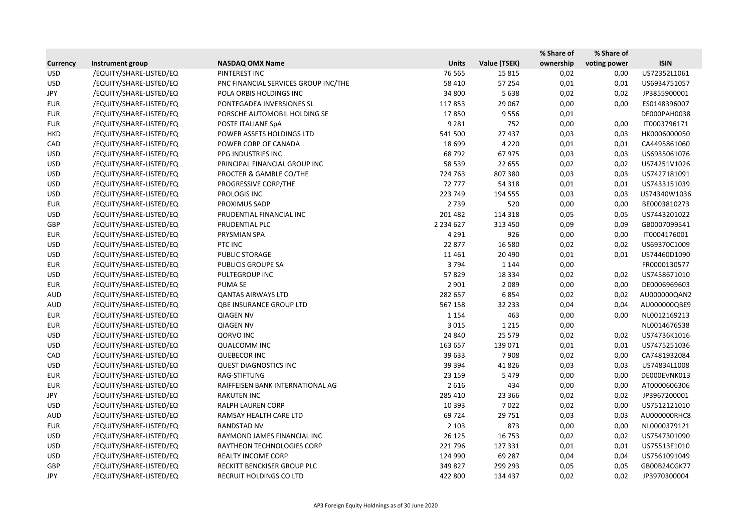|                 |                         |                                      |               |              | % Share of | % Share of   |              |
|-----------------|-------------------------|--------------------------------------|---------------|--------------|------------|--------------|--------------|
| <b>Currency</b> | Instrument group        | <b>NASDAQ OMX Name</b>               | <b>Units</b>  | Value (TSEK) | ownership  | voting power | <b>ISIN</b>  |
| <b>USD</b>      | /EQUITY/SHARE-LISTED/EQ | PINTEREST INC                        | 76 5 65       | 15815        | 0,02       | 0,00         | US72352L1061 |
| <b>USD</b>      | /EQUITY/SHARE-LISTED/EQ | PNC FINANCIAL SERVICES GROUP INC/THE | 58 410        | 57 254       | 0,01       | 0,01         | US6934751057 |
| JPY             | /EQUITY/SHARE-LISTED/EQ | POLA ORBIS HOLDINGS INC              | 34 800        | 5638         | 0,02       | 0,02         | JP3855900001 |
| <b>EUR</b>      | /EQUITY/SHARE-LISTED/EQ | PONTEGADEA INVERSIONES SL            | 117853        | 29 067       | 0,00       | 0,00         | ES0148396007 |
| <b>EUR</b>      | /EQUITY/SHARE-LISTED/EQ | PORSCHE AUTOMOBIL HOLDING SE         | 17850         | 9556         | 0,01       |              | DE000PAH0038 |
| <b>EUR</b>      | /EQUITY/SHARE-LISTED/EQ | POSTE ITALIANE SpA                   | 9 2 8 1       | 752          | 0,00       | 0,00         | IT0003796171 |
| <b>HKD</b>      | /EQUITY/SHARE-LISTED/EQ | POWER ASSETS HOLDINGS LTD            | 541 500       | 27 437       | 0,03       | 0,03         | HK0006000050 |
| CAD             | /EQUITY/SHARE-LISTED/EQ | POWER CORP OF CANADA                 | 18 6 99       | 4 2 2 0      | 0,01       | 0,01         | CA4495861060 |
| <b>USD</b>      | /EQUITY/SHARE-LISTED/EQ | PPG INDUSTRIES INC                   | 68792         | 67975        | 0,03       | 0,03         | US6935061076 |
| <b>USD</b>      | /EQUITY/SHARE-LISTED/EQ | PRINCIPAL FINANCIAL GROUP INC        | 58 539        | 22 655       | 0,02       | 0,02         | US74251V1026 |
| <b>USD</b>      | /EQUITY/SHARE-LISTED/EQ | PROCTER & GAMBLE CO/THE              | 724 763       | 807 380      | 0,03       | 0,03         | US7427181091 |
| <b>USD</b>      | /EQUITY/SHARE-LISTED/EQ | PROGRESSIVE CORP/THE                 | 72777         | 54 318       | 0,01       | 0,01         | US7433151039 |
| <b>USD</b>      | /EQUITY/SHARE-LISTED/EQ | PROLOGIS INC                         | 223 749       | 194 555      | 0,03       | 0,03         | US74340W1036 |
| <b>EUR</b>      | /EQUITY/SHARE-LISTED/EQ | PROXIMUS SADP                        | 2739          | 520          | 0,00       | 0,00         | BE0003810273 |
| <b>USD</b>      | /EQUITY/SHARE-LISTED/EQ | PRUDENTIAL FINANCIAL INC             | 201 482       | 114 318      | 0,05       | 0,05         | US7443201022 |
| GBP             | /EQUITY/SHARE-LISTED/EQ | PRUDENTIAL PLC                       | 2 2 3 4 6 2 7 | 313 450      | 0,09       | 0,09         | GB0007099541 |
| <b>EUR</b>      | /EQUITY/SHARE-LISTED/EQ | PRYSMIAN SPA                         | 4 2 9 1       | 926          | 0,00       | 0,00         | IT0004176001 |
| <b>USD</b>      | /EQUITY/SHARE-LISTED/EQ | PTC INC                              | 22 877        | 16 5 80      | 0,02       | 0,02         | US69370C1009 |
| <b>USD</b>      | /EQUITY/SHARE-LISTED/EQ | PUBLIC STORAGE                       | 11 4 61       | 20 4 90      | 0,01       | 0,01         | US74460D1090 |
| <b>EUR</b>      | /EQUITY/SHARE-LISTED/EQ | PUBLICIS GROUPE SA                   | 3794          | 1 1 4 4      | 0,00       |              | FR0000130577 |
| <b>USD</b>      | /EQUITY/SHARE-LISTED/EQ | PULTEGROUP INC                       | 57829         | 18 3 34      | 0,02       | 0,02         | US7458671010 |
| <b>EUR</b>      | /EQUITY/SHARE-LISTED/EQ | PUMA SE                              | 2 9 0 1       | 2 0 8 9      | 0,00       | 0,00         | DE0006969603 |
| <b>AUD</b>      | /EQUITY/SHARE-LISTED/EQ | <b>QANTAS AIRWAYS LTD</b>            | 282 657       | 6854         | 0,02       | 0,02         | AU000000QAN2 |
| AUD             | /EQUITY/SHARE-LISTED/EQ | QBE INSURANCE GROUP LTD              | 567 158       | 32 2 33      | 0,04       | 0,04         | AU000000QBE9 |
| <b>EUR</b>      | /EQUITY/SHARE-LISTED/EQ | <b>QIAGEN NV</b>                     | 1 1 5 4       | 463          | 0,00       | 0,00         | NL0012169213 |
| <b>EUR</b>      | /EQUITY/SHARE-LISTED/EQ | <b>QIAGEN NV</b>                     | 3 0 1 5       | 1 2 1 5      | 0,00       |              | NL0014676538 |
| <b>USD</b>      | /EQUITY/SHARE-LISTED/EQ | <b>QORVO INC</b>                     | 24 840        | 25 5 7 9     | 0,02       | 0,02         | US74736K1016 |
| <b>USD</b>      | /EQUITY/SHARE-LISTED/EQ | <b>QUALCOMM INC</b>                  | 163 657       | 139 071      | 0,01       | 0,01         | US7475251036 |
| CAD             | /EQUITY/SHARE-LISTED/EQ | <b>QUEBECOR INC</b>                  | 39 633        | 7908         | 0,02       | 0,00         | CA7481932084 |
| <b>USD</b>      | /EQUITY/SHARE-LISTED/EQ | <b>QUEST DIAGNOSTICS INC</b>         | 39 3 94       | 41826        | 0,03       | 0,03         | US74834L1008 |
| <b>EUR</b>      | /EQUITY/SHARE-LISTED/EQ | RAG-STIFTUNG                         | 23 159        | 5479         | 0,00       | 0,00         | DE000EVNK013 |
| <b>EUR</b>      | /EQUITY/SHARE-LISTED/EQ | RAIFFEISEN BANK INTERNATIONAL AG     | 2616          | 434          | 0,00       | 0,00         | AT0000606306 |
| JPY             | /EQUITY/SHARE-LISTED/EQ | <b>RAKUTEN INC</b>                   | 285 410       | 23 3 66      | 0,02       | 0,02         | JP3967200001 |
| <b>USD</b>      | /EQUITY/SHARE-LISTED/EQ | RALPH LAUREN CORP                    | 10 3 93       | 7022         | 0,02       | 0,00         | US7512121010 |
| <b>AUD</b>      | /EQUITY/SHARE-LISTED/EQ | RAMSAY HEALTH CARE LTD               | 69724         | 29 751       | 0,03       | 0,03         | AU000000RHC8 |
| <b>EUR</b>      | /EQUITY/SHARE-LISTED/EQ | <b>RANDSTAD NV</b>                   | 2 1 0 3       | 873          | 0,00       | 0,00         | NL0000379121 |
| USD             | /EQUITY/SHARE-LISTED/EQ | RAYMOND JAMES FINANCIAL INC          | 26 125        | 16 7 53      | 0,02       | 0,02         | US7547301090 |
| <b>USD</b>      | /EQUITY/SHARE-LISTED/EQ | <b>RAYTHEON TECHNOLOGIES CORP</b>    | 221 796       | 127 331      | 0,01       | 0,01         | US75513E1010 |
| <b>USD</b>      | /EQUITY/SHARE-LISTED/EQ | REALTY INCOME CORP                   | 124 990       | 69 287       | 0,04       | 0,04         | US7561091049 |
| GBP             | /EQUITY/SHARE-LISTED/EQ | RECKITT BENCKISER GROUP PLC          | 349 827       | 299 293      | 0,05       | 0,05         | GB00B24CGK77 |
| JPY             | /EQUITY/SHARE-LISTED/EQ | RECRUIT HOLDINGS CO LTD              | 422 800       | 134 437      | 0,02       | 0,02         | JP3970300004 |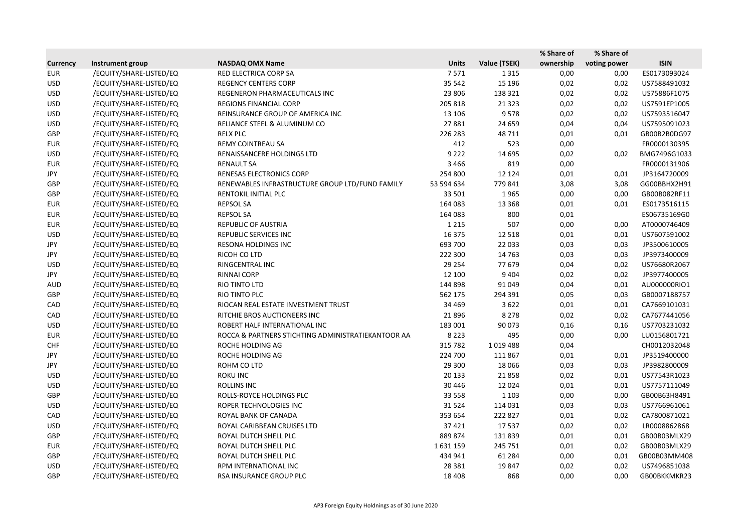|                 |                         |                                                    |              |              | % Share of | % Share of   |              |
|-----------------|-------------------------|----------------------------------------------------|--------------|--------------|------------|--------------|--------------|
| <b>Currency</b> | Instrument group        | <b>NASDAQ OMX Name</b>                             | <b>Units</b> | Value (TSEK) | ownership  | voting power | <b>ISIN</b>  |
| <b>EUR</b>      | /EQUITY/SHARE-LISTED/EQ | RED ELECTRICA CORP SA                              | 7571         | 1 3 1 5      | 0,00       | 0,00         | ES0173093024 |
| <b>USD</b>      | /EQUITY/SHARE-LISTED/EQ | <b>REGENCY CENTERS CORP</b>                        | 35 542       | 15 196       | 0,02       | 0,02         | US7588491032 |
| <b>USD</b>      | /EQUITY/SHARE-LISTED/EQ | REGENERON PHARMACEUTICALS INC                      | 23 806       | 138 321      | 0,02       | 0,02         | US75886F1075 |
| <b>USD</b>      | /EQUITY/SHARE-LISTED/EQ | <b>REGIONS FINANCIAL CORP</b>                      | 205 818      | 21 3 23      | 0,02       | 0,02         | US7591EP1005 |
| <b>USD</b>      | /EQUITY/SHARE-LISTED/EQ | REINSURANCE GROUP OF AMERICA INC                   | 13 10 6      | 9578         | 0,02       | 0,02         | US7593516047 |
| <b>USD</b>      | /EQUITY/SHARE-LISTED/EQ | RELIANCE STEEL & ALUMINUM CO                       | 27881        | 24 659       | 0,04       | 0,04         | US7595091023 |
| <b>GBP</b>      | /EQUITY/SHARE-LISTED/EQ | <b>RELX PLC</b>                                    | 226 283      | 48711        | 0,01       | 0,01         | GB00B2B0DG97 |
| <b>EUR</b>      | /EQUITY/SHARE-LISTED/EQ | REMY COINTREAU SA                                  | 412          | 523          | 0,00       |              | FR0000130395 |
| <b>USD</b>      | /EQUITY/SHARE-LISTED/EQ | RENAISSANCERE HOLDINGS LTD                         | 9 2 2 2      | 14 6 95      | 0,02       | 0,02         | BMG7496G1033 |
| <b>EUR</b>      | /EQUITY/SHARE-LISTED/EQ | <b>RENAULT SA</b>                                  | 3 4 6 6      | 819          | 0,00       |              | FR0000131906 |
| JPY             | /EQUITY/SHARE-LISTED/EQ | RENESAS ELECTRONICS CORP                           | 254 800      | 12 1 24      | 0,01       | 0,01         | JP3164720009 |
| GBP             | /EQUITY/SHARE-LISTED/EQ | RENEWABLES INFRASTRUCTURE GROUP LTD/FUND FAMILY    | 53 594 634   | 779 841      | 3,08       | 3,08         | GG00BBHX2H91 |
| GBP             | /EQUITY/SHARE-LISTED/EQ | RENTOKIL INITIAL PLC                               | 33 501       | 1965         | 0,00       | 0,00         | GB00B082RF11 |
| <b>EUR</b>      | /EQUITY/SHARE-LISTED/EQ | <b>REPSOL SA</b>                                   | 164 083      | 13 3 68      | 0,01       | 0,01         | ES0173516115 |
| <b>EUR</b>      | /EQUITY/SHARE-LISTED/EQ | <b>REPSOL SA</b>                                   | 164 083      | 800          | 0,01       |              | ES06735169G0 |
| <b>EUR</b>      | /EQUITY/SHARE-LISTED/EQ | REPUBLIC OF AUSTRIA                                | 1 2 1 5      | 507          | 0,00       | 0,00         | AT0000746409 |
| <b>USD</b>      | /EQUITY/SHARE-LISTED/EQ | REPUBLIC SERVICES INC                              | 16 3 7 5     | 12 5 18      | 0,01       | 0,01         | US7607591002 |
| JPY             | /EQUITY/SHARE-LISTED/EQ | RESONA HOLDINGS INC                                | 693 700      | 22 033       | 0,03       | 0,03         | JP3500610005 |
| JPY             | /EQUITY/SHARE-LISTED/EQ | RICOH CO LTD                                       | 222 300      | 14763        | 0,03       | 0,03         | JP3973400009 |
| <b>USD</b>      | /EQUITY/SHARE-LISTED/EQ | RINGCENTRAL INC                                    | 29 2 54      | 77 679       | 0,04       | 0,02         | US76680R2067 |
| JPY             | /EQUITY/SHARE-LISTED/EQ | RINNAI CORP                                        | 12 100       | 9404         | 0,02       | 0,02         | JP3977400005 |
| <b>AUD</b>      | /EQUITY/SHARE-LISTED/EQ | RIO TINTO LTD                                      | 144 898      | 91 049       | 0,04       | 0,01         | AU000000RIO1 |
| GBP             | /EQUITY/SHARE-LISTED/EQ | RIO TINTO PLC                                      | 562 175      | 294 391      | 0,05       | 0,03         | GB0007188757 |
| CAD             | /EQUITY/SHARE-LISTED/EQ | RIOCAN REAL ESTATE INVESTMENT TRUST                | 34 4 69      | 3622         | 0,01       | 0,01         | CA7669101031 |
| CAD             | /EQUITY/SHARE-LISTED/EQ | RITCHIE BROS AUCTIONEERS INC                       | 21896        | 8 2 7 8      | 0,02       | 0,02         | CA7677441056 |
| <b>USD</b>      | /EQUITY/SHARE-LISTED/EQ | ROBERT HALF INTERNATIONAL INC                      | 183 001      | 90 073       | 0,16       | 0,16         | US7703231032 |
| <b>EUR</b>      | /EQUITY/SHARE-LISTED/EQ | ROCCA & PARTNERS STICHTING ADMINISTRATIEKANTOOR AA | 8 2 2 3      | 495          | 0,00       | 0,00         | LU0156801721 |
| <b>CHF</b>      | /EQUITY/SHARE-LISTED/EQ | ROCHE HOLDING AG                                   | 315 782      | 1019488      | 0,04       |              | CH0012032048 |
| JPY             | /EQUITY/SHARE-LISTED/EQ | ROCHE HOLDING AG                                   | 224 700      | 111 867      | 0,01       | 0,01         | JP3519400000 |
| JPY             | /EQUITY/SHARE-LISTED/EQ | ROHM CO LTD                                        | 29 300       | 18 0 66      | 0,03       | 0,03         | JP3982800009 |
| <b>USD</b>      | /EQUITY/SHARE-LISTED/EQ | ROKU INC                                           | 20 133       | 21858        | 0,02       | 0,01         | US77543R1023 |
| <b>USD</b>      | /EQUITY/SHARE-LISTED/EQ | ROLLINS INC                                        | 30 4 46      | 12 0 24      | 0,01       | 0,01         | US7757111049 |
| GBP             | /EQUITY/SHARE-LISTED/EQ | ROLLS-ROYCE HOLDINGS PLC                           | 33 5 5 8     | 1 1 0 3      | 0,00       | 0,00         | GB00B63H8491 |
| <b>USD</b>      | /EQUITY/SHARE-LISTED/EQ | ROPER TECHNOLOGIES INC                             | 31524        | 114 031      | 0,03       | 0,03         | US7766961061 |
| CAD             | /EQUITY/SHARE-LISTED/EQ | ROYAL BANK OF CANADA                               | 353 654      | 222 827      | 0,01       | 0,02         | CA7800871021 |
| <b>USD</b>      | /EQUITY/SHARE-LISTED/EQ | ROYAL CARIBBEAN CRUISES LTD                        | 37421        | 17537        | 0,02       | 0,02         | LR0008862868 |
| GBP             | /EQUITY/SHARE-LISTED/EQ | ROYAL DUTCH SHELL PLC                              | 889 874      | 131839       | 0,01       | 0,01         | GB00B03MLX29 |
| <b>EUR</b>      | /EQUITY/SHARE-LISTED/EQ | ROYAL DUTCH SHELL PLC                              | 1631159      | 245 751      | 0,01       | 0,02         | GB00B03MLX29 |
| GBP             | /EQUITY/SHARE-LISTED/EQ | ROYAL DUTCH SHELL PLC                              | 434 941      | 61 284       | 0,00       | 0,01         | GB00B03MM408 |
| <b>USD</b>      | /EQUITY/SHARE-LISTED/EQ | RPM INTERNATIONAL INC                              | 28 3 8 1     | 19847        | 0,02       | 0,02         | US7496851038 |
| GBP             | /EQUITY/SHARE-LISTED/EQ | RSA INSURANCE GROUP PLC                            | 18 4 08      | 868          | 0,00       | 0,00         | GB00BKKMKR23 |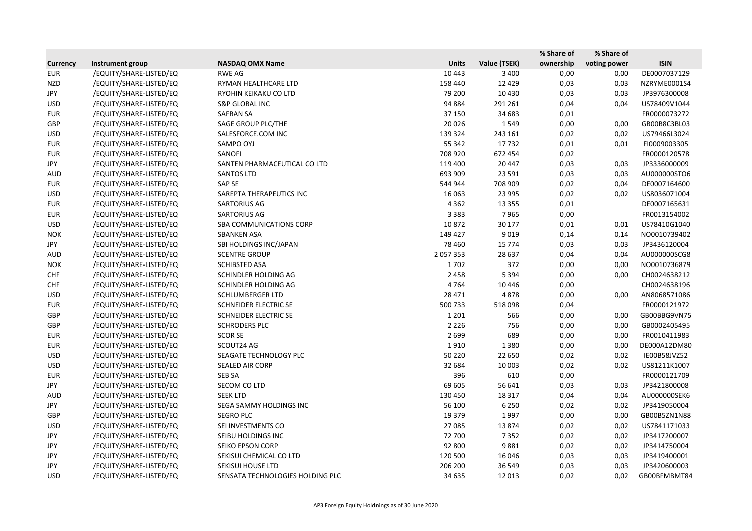|                 |                         |                                  |               |              | % Share of | % Share of   |              |
|-----------------|-------------------------|----------------------------------|---------------|--------------|------------|--------------|--------------|
| <b>Currency</b> | Instrument group        | <b>NASDAQ OMX Name</b>           | <b>Units</b>  | Value (TSEK) | ownership  | voting power | <b>ISIN</b>  |
| <b>EUR</b>      | /EQUITY/SHARE-LISTED/EQ | <b>RWE AG</b>                    | 10 4 43       | 3 4 0 0      | 0,00       | 0,00         | DE0007037129 |
| <b>NZD</b>      | /EQUITY/SHARE-LISTED/EQ | RYMAN HEALTHCARE LTD             | 158 440       | 12 4 29      | 0,03       | 0,03         | NZRYME0001S4 |
| JPY             | /EQUITY/SHARE-LISTED/EQ | RYOHIN KEIKAKU CO LTD            | 79 200        | 10 4 30      | 0,03       | 0,03         | JP3976300008 |
| <b>USD</b>      | /EQUITY/SHARE-LISTED/EQ | <b>S&amp;P GLOBAL INC</b>        | 94 884        | 291 261      | 0,04       | 0,04         | US78409V1044 |
| <b>EUR</b>      | /EQUITY/SHARE-LISTED/EQ | <b>SAFRAN SA</b>                 | 37 150        | 34 683       | 0,01       |              | FR0000073272 |
| GBP             | /EQUITY/SHARE-LISTED/EQ | SAGE GROUP PLC/THE               | 20 0 26       | 1549         | 0,00       | 0,00         | GB00B8C3BL03 |
| <b>USD</b>      | /EQUITY/SHARE-LISTED/EQ | SALESFORCE.COM INC               | 139 324       | 243 161      | 0,02       | 0,02         | US79466L3024 |
| <b>EUR</b>      | /EQUITY/SHARE-LISTED/EQ | SAMPO OYJ                        | 55 342        | 17732        | 0,01       | 0,01         | FI0009003305 |
| <b>EUR</b>      | /EQUITY/SHARE-LISTED/EQ | SANOFI                           | 708 920       | 672 454      | 0,02       |              | FR0000120578 |
| JPY             | /EQUITY/SHARE-LISTED/EQ | SANTEN PHARMACEUTICAL CO LTD     | 119 400       | 20 447       | 0,03       | 0,03         | JP3336000009 |
| <b>AUD</b>      | /EQUITY/SHARE-LISTED/EQ | <b>SANTOS LTD</b>                | 693 909       | 23 5 91      | 0,03       | 0,03         | AU000000STO6 |
| <b>EUR</b>      | /EQUITY/SHARE-LISTED/EQ | SAP SE                           | 544 944       | 708 909      | 0,02       | 0,04         | DE0007164600 |
| <b>USD</b>      | /EQUITY/SHARE-LISTED/EQ | SAREPTA THERAPEUTICS INC         | 16 063        | 23 995       | 0,02       | 0,02         | US8036071004 |
| <b>EUR</b>      | /EQUITY/SHARE-LISTED/EQ | SARTORIUS AG                     | 4 3 6 2       | 13 3 5 5     | 0,01       |              | DE0007165631 |
| <b>EUR</b>      | /EQUITY/SHARE-LISTED/EQ | <b>SARTORIUS AG</b>              | 3 3 8 3       | 7965         | 0,00       |              | FR0013154002 |
| <b>USD</b>      | /EQUITY/SHARE-LISTED/EQ | SBA COMMUNICATIONS CORP          | 10872         | 30 177       | 0,01       | 0,01         | US78410G1040 |
| <b>NOK</b>      | /EQUITY/SHARE-LISTED/EQ | <b>SBANKEN ASA</b>               | 149 427       | 9019         | 0,14       | 0,14         | NO0010739402 |
| JPY             | /EQUITY/SHARE-LISTED/EQ | SBI HOLDINGS INC/JAPAN           | 78 4 60       | 15 7 7 4     | 0,03       | 0,03         | JP3436120004 |
| <b>AUD</b>      | /EQUITY/SHARE-LISTED/EQ | <b>SCENTRE GROUP</b>             | 2 0 5 7 3 5 3 | 28 637       | 0,04       | 0,04         | AU000000SCG8 |
| <b>NOK</b>      | /EQUITY/SHARE-LISTED/EQ | <b>SCHIBSTED ASA</b>             | 1702          | 372          | 0,00       | 0,00         | NO0010736879 |
| <b>CHF</b>      | /EQUITY/SHARE-LISTED/EQ | SCHINDLER HOLDING AG             | 2 4 5 8       | 5 3 9 4      | 0,00       | 0,00         | CH0024638212 |
| <b>CHF</b>      | /EQUITY/SHARE-LISTED/EQ | SCHINDLER HOLDING AG             | 4764          | 10 4 46      | 0,00       |              | CH0024638196 |
| <b>USD</b>      | /EQUITY/SHARE-LISTED/EQ | <b>SCHLUMBERGER LTD</b>          | 28 4 7 1      | 4878         | 0,00       | 0,00         | AN8068571086 |
| <b>EUR</b>      | /EQUITY/SHARE-LISTED/EQ | SCHNEIDER ELECTRIC SE            | 500733        | 518098       | 0,04       |              | FR0000121972 |
| GBP             | /EQUITY/SHARE-LISTED/EQ | SCHNEIDER ELECTRIC SE            | 1 2 0 1       | 566          | 0,00       | 0,00         | GB00BBG9VN75 |
| GBP             | /EQUITY/SHARE-LISTED/EQ | <b>SCHRODERS PLC</b>             | 2 2 2 6       | 756          | 0,00       | 0,00         | GB0002405495 |
| <b>EUR</b>      | /EQUITY/SHARE-LISTED/EQ | <b>SCOR SE</b>                   | 2699          | 689          | 0,00       | 0,00         | FR0010411983 |
| <b>EUR</b>      | /EQUITY/SHARE-LISTED/EQ | SCOUT24 AG                       | 1910          | 1380         | 0,00       | 0,00         | DE000A12DM80 |
| <b>USD</b>      | /EQUITY/SHARE-LISTED/EQ | SEAGATE TECHNOLOGY PLC           | 50 2 20       | 22 650       | 0,02       | 0,02         | IE00B58JVZ52 |
| <b>USD</b>      | /EQUITY/SHARE-LISTED/EQ | SEALED AIR CORP                  | 32 684        | 10 003       | 0,02       | 0,02         | US81211K1007 |
| <b>EUR</b>      | /EQUITY/SHARE-LISTED/EQ | SEB SA                           | 396           | 610          | 0,00       |              | FR0000121709 |
| JPY             | /EQUITY/SHARE-LISTED/EQ | SECOM CO LTD                     | 69 605        | 56 641       | 0,03       | 0,03         | JP3421800008 |
| <b>AUD</b>      | /EQUITY/SHARE-LISTED/EQ | <b>SEEK LTD</b>                  | 130 450       | 18 3 17      | 0,04       | 0,04         | AU000000SEK6 |
| JPY             | /EQUITY/SHARE-LISTED/EQ | SEGA SAMMY HOLDINGS INC          | 56 100        | 6 2 5 0      | 0,02       | 0,02         | JP3419050004 |
| GBP             | /EQUITY/SHARE-LISTED/EQ | <b>SEGRO PLC</b>                 | 19 3 7 9      | 1997         | 0,00       | 0,00         | GB00B5ZN1N88 |
| <b>USD</b>      | /EQUITY/SHARE-LISTED/EQ | SEI INVESTMENTS CO               | 27 085        | 13874        | 0,02       | 0,02         | US7841171033 |
| JPY             | /EQUITY/SHARE-LISTED/EQ | SEIBU HOLDINGS INC               | 72 700        | 7352         | 0,02       | 0,02         | JP3417200007 |
| JPY             | /EQUITY/SHARE-LISTED/EQ | SEIKO EPSON CORP                 | 92 800        | 9881         | 0,02       | 0,02         | JP3414750004 |
| JPY             | /EQUITY/SHARE-LISTED/EQ | SEKISUI CHEMICAL CO LTD          | 120 500       | 16 04 6      | 0,03       | 0,03         | JP3419400001 |
| JPY             | /EQUITY/SHARE-LISTED/EQ | <b>SEKISUI HOUSE LTD</b>         | 206 200       | 36 549       | 0,03       | 0,03         | JP3420600003 |
| <b>USD</b>      | /EQUITY/SHARE-LISTED/EQ | SENSATA TECHNOLOGIES HOLDING PLC | 34 635        | 12 013       | 0,02       | 0,02         | GB00BFMBMT84 |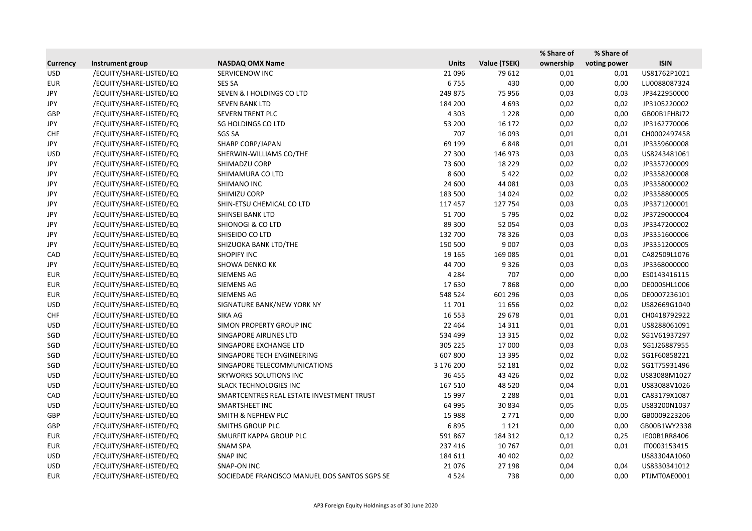|                 |                         |                                               |              |                     | % Share of | % Share of   |              |
|-----------------|-------------------------|-----------------------------------------------|--------------|---------------------|------------|--------------|--------------|
| <b>Currency</b> | Instrument group        | <b>NASDAQ OMX Name</b>                        | <b>Units</b> | <b>Value (TSEK)</b> | ownership  | voting power | <b>ISIN</b>  |
| <b>USD</b>      | /EQUITY/SHARE-LISTED/EQ | SERVICENOW INC                                | 21 0 96      | 79 612              | 0,01       | 0,01         | US81762P1021 |
| <b>EUR</b>      | /EQUITY/SHARE-LISTED/EQ | <b>SES SA</b>                                 | 6755         | 430                 | 0,00       | 0,00         | LU0088087324 |
| JPY             | /EQUITY/SHARE-LISTED/EQ | SEVEN & I HOLDINGS CO LTD                     | 249 875      | 75 956              | 0,03       | 0,03         | JP3422950000 |
| JPY             | /EQUITY/SHARE-LISTED/EQ | <b>SEVEN BANK LTD</b>                         | 184 200      | 4693                | 0,02       | 0,02         | JP3105220002 |
| GBP             | /EQUITY/SHARE-LISTED/EQ | SEVERN TRENT PLC                              | 4 3 0 3      | 1 2 2 8             | 0,00       | 0,00         | GB00B1FH8J72 |
| JPY             | /EQUITY/SHARE-LISTED/EQ | SG HOLDINGS CO LTD                            | 53 200       | 16 172              | 0,02       | 0,02         | JP3162770006 |
| <b>CHF</b>      | /EQUITY/SHARE-LISTED/EQ | <b>SGS SA</b>                                 | 707          | 16 093              | 0,01       | 0,01         | CH0002497458 |
| JPY             | /EQUITY/SHARE-LISTED/EQ | <b>SHARP CORP/JAPAN</b>                       | 69 199       | 6848                | 0,01       | 0,01         | JP3359600008 |
| <b>USD</b>      | /EQUITY/SHARE-LISTED/EQ | SHERWIN-WILLIAMS CO/THE                       | 27 300       | 146 973             | 0,03       | 0,03         | US8243481061 |
| JPY             | /EQUITY/SHARE-LISTED/EQ | SHIMADZU CORP                                 | 73 600       | 18 2 2 9            | 0,02       | 0,02         | JP3357200009 |
| JPY             | /EQUITY/SHARE-LISTED/EQ | SHIMAMURA CO LTD                              | 8600         | 5422                | 0,02       | 0,02         | JP3358200008 |
| JPY             | /EQUITY/SHARE-LISTED/EQ | SHIMANO INC                                   | 24 600       | 44 081              | 0,03       | 0,03         | JP3358000002 |
| JPY             | /EQUITY/SHARE-LISTED/EQ | SHIMIZU CORP                                  | 183 500      | 14 0 24             | 0,02       | 0,02         | JP3358800005 |
| JPY             | /EQUITY/SHARE-LISTED/EQ | SHIN-ETSU CHEMICAL CO LTD                     | 117 457      | 127 754             | 0,03       | 0,03         | JP3371200001 |
| JPY             | /EQUITY/SHARE-LISTED/EQ | SHINSEI BANK LTD                              | 51700        | 5795                | 0,02       | 0,02         | JP3729000004 |
| JPY             | /EQUITY/SHARE-LISTED/EQ | <b>SHIONOGI &amp; CO LTD</b>                  | 89 300       | 52 054              | 0,03       | 0,03         | JP3347200002 |
| JPY             | /EQUITY/SHARE-LISTED/EQ | SHISEIDO CO LTD                               | 132 700      | 78 3 26             | 0,03       | 0,03         | JP3351600006 |
| JPY             | /EQUITY/SHARE-LISTED/EQ | SHIZUOKA BANK LTD/THE                         | 150 500      | 9 0 0 7             | 0,03       | 0,03         | JP3351200005 |
| CAD             | /EQUITY/SHARE-LISTED/EQ | <b>SHOPIFY INC</b>                            | 19 165       | 169 085             | 0,01       | 0,01         | CA82509L1076 |
| JPY             | /EQUITY/SHARE-LISTED/EQ | <b>SHOWA DENKO KK</b>                         | 44 700       | 9326                | 0,03       | 0,03         | JP3368000000 |
| <b>EUR</b>      | /EQUITY/SHARE-LISTED/EQ | SIEMENS AG                                    | 4 2 8 4      | 707                 | 0,00       | 0,00         | ES0143416115 |
| <b>EUR</b>      | /EQUITY/SHARE-LISTED/EQ | <b>SIEMENS AG</b>                             | 17630        | 7868                | 0,00       | 0,00         | DE000SHL1006 |
| <b>EUR</b>      | /EQUITY/SHARE-LISTED/EQ | SIEMENS AG                                    | 548 524      | 601 296             | 0,03       | 0,06         | DE0007236101 |
| <b>USD</b>      | /EQUITY/SHARE-LISTED/EQ | SIGNATURE BANK/NEW YORK NY                    | 11 701       | 11 656              | 0,02       | 0,02         | US82669G1040 |
| <b>CHF</b>      | /EQUITY/SHARE-LISTED/EQ | SIKA AG                                       | 16 5 53      | 29 678              | 0,01       | 0,01         | CH0418792922 |
| <b>USD</b>      | /EQUITY/SHARE-LISTED/EQ | SIMON PROPERTY GROUP INC                      | 22 4 64      | 14 3 11             | 0,01       | 0,01         | US8288061091 |
| SGD             | /EQUITY/SHARE-LISTED/EQ | SINGAPORE AIRLINES LTD                        | 534 499      | 13 3 15             | 0,02       | 0,02         | SG1V61937297 |
| SGD             | /EQUITY/SHARE-LISTED/EQ | SINGAPORE EXCHANGE LTD                        | 305 225      | 17 000              | 0,03       | 0,03         | SG1J26887955 |
| SGD             | /EQUITY/SHARE-LISTED/EQ | SINGAPORE TECH ENGINEERING                    | 607 800      | 13 3 95             | 0,02       | 0,02         | SG1F60858221 |
| SGD             | /EQUITY/SHARE-LISTED/EQ | SINGAPORE TELECOMMUNICATIONS                  | 3 176 200    | 52 181              | 0,02       | 0,02         | SG1T75931496 |
| <b>USD</b>      | /EQUITY/SHARE-LISTED/EQ | <b>SKYWORKS SOLUTIONS INC</b>                 | 36 455       | 43 4 26             | 0,02       | 0,02         | US83088M1027 |
| USD             | /EQUITY/SHARE-LISTED/EQ | <b>SLACK TECHNOLOGIES INC</b>                 | 167 510      | 48 5 20             | 0,04       | 0,01         | US83088V1026 |
| CAD             | /EQUITY/SHARE-LISTED/EQ | SMARTCENTRES REAL ESTATE INVESTMENT TRUST     | 15 9 97      | 2 2 8 8             | 0,01       | 0,01         | CA83179X1087 |
| <b>USD</b>      | /EQUITY/SHARE-LISTED/EQ | SMARTSHEET INC                                | 64 995       | 30834               | 0,05       | 0,05         | US83200N1037 |
| GBP             | /EQUITY/SHARE-LISTED/EQ | <b>SMITH &amp; NEPHEW PLC</b>                 | 15 988       | 2 7 7 1             | 0,00       | 0,00         | GB0009223206 |
| GBP             | /EQUITY/SHARE-LISTED/EQ | <b>SMITHS GROUP PLC</b>                       | 6895         | 1 1 2 1             | 0,00       | 0,00         | GB00B1WY2338 |
| EUR             | /EQUITY/SHARE-LISTED/EQ | SMURFIT KAPPA GROUP PLC                       | 591 867      | 184 312             | 0,12       | 0,25         | IE00B1RR8406 |
| <b>EUR</b>      | /EQUITY/SHARE-LISTED/EQ | SNAM SPA                                      | 237 416      | 10767               | 0,01       | 0,01         | IT0003153415 |
| <b>USD</b>      | /EQUITY/SHARE-LISTED/EQ | <b>SNAP INC</b>                               | 184 611      | 40 40 2             | 0,02       |              | US83304A1060 |
| <b>USD</b>      | /EQUITY/SHARE-LISTED/EQ | SNAP-ON INC                                   | 21076        | 27 198              | 0,04       | 0,04         | US8330341012 |
| <b>EUR</b>      | /EQUITY/SHARE-LISTED/EQ | SOCIEDADE FRANCISCO MANUEL DOS SANTOS SGPS SE | 4524         | 738                 | 0,00       | 0,00         | PTJMT0AE0001 |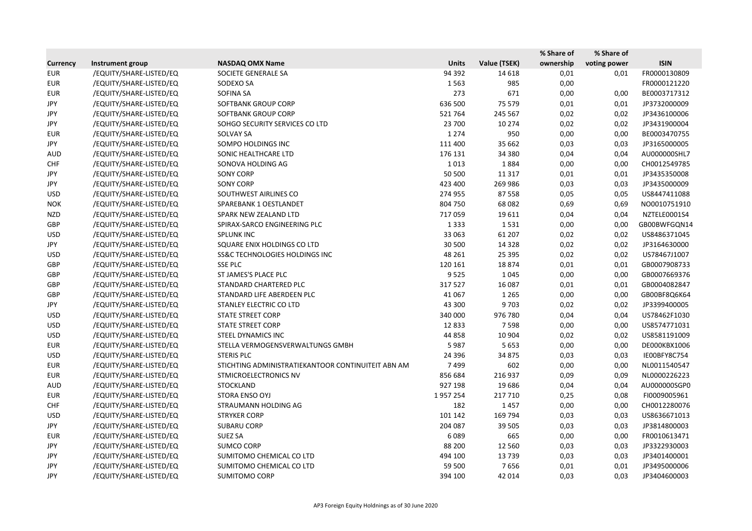|                 |                         |                                                    |              |              | % Share of | % Share of   |              |
|-----------------|-------------------------|----------------------------------------------------|--------------|--------------|------------|--------------|--------------|
| <b>Currency</b> | Instrument group        | <b>NASDAQ OMX Name</b>                             | <b>Units</b> | Value (TSEK) | ownership  | voting power | <b>ISIN</b>  |
| <b>EUR</b>      | /EQUITY/SHARE-LISTED/EQ | SOCIETE GENERALE SA                                | 94 392       | 14 6 18      | 0,01       | 0,01         | FR0000130809 |
| <b>EUR</b>      | /EQUITY/SHARE-LISTED/EQ | SODEXO SA                                          | 1563         | 985          | 0,00       |              | FR0000121220 |
| <b>EUR</b>      | /EQUITY/SHARE-LISTED/EQ | SOFINA SA                                          | 273          | 671          | 0,00       | 0,00         | BE0003717312 |
| JPY             | /EQUITY/SHARE-LISTED/EQ | SOFTBANK GROUP CORP                                | 636 500      | 75 579       | 0,01       | 0,01         | JP3732000009 |
| JPY             | /EQUITY/SHARE-LISTED/EQ | SOFTBANK GROUP CORP                                | 521764       | 245 567      | 0,02       | 0,02         | JP3436100006 |
| JPY             | /EQUITY/SHARE-LISTED/EQ | SOHGO SECURITY SERVICES CO LTD                     | 23 700       | 10 274       | 0,02       | 0,02         | JP3431900004 |
| <b>EUR</b>      | /EQUITY/SHARE-LISTED/EQ | <b>SOLVAY SA</b>                                   | 1 2 7 4      | 950          | 0,00       | 0,00         | BE0003470755 |
| JPY             | /EQUITY/SHARE-LISTED/EQ | SOMPO HOLDINGS INC                                 | 111 400      | 35 662       | 0,03       | 0,03         | JP3165000005 |
| <b>AUD</b>      | /EQUITY/SHARE-LISTED/EQ | SONIC HEALTHCARE LTD                               | 176 131      | 34 380       | 0,04       | 0,04         | AU000000SHL7 |
| <b>CHF</b>      | /EQUITY/SHARE-LISTED/EQ | SONOVA HOLDING AG                                  | 1013         | 1884         | 0,00       | 0,00         | CH0012549785 |
| JPY             | /EQUITY/SHARE-LISTED/EQ | <b>SONY CORP</b>                                   | 50 500       | 11 3 17      | 0,01       | 0,01         | JP3435350008 |
| JPY             | /EQUITY/SHARE-LISTED/EQ | <b>SONY CORP</b>                                   | 423 400      | 269 986      | 0,03       | 0,03         | JP3435000009 |
| <b>USD</b>      | /EQUITY/SHARE-LISTED/EQ | SOUTHWEST AIRLINES CO                              | 274 955      | 87558        | 0,05       | 0,05         | US8447411088 |
| <b>NOK</b>      | /EQUITY/SHARE-LISTED/EQ | SPAREBANK 1 OESTLANDET                             | 804 750      | 68 0 82      | 0,69       | 0,69         | NO0010751910 |
| <b>NZD</b>      | /EQUITY/SHARE-LISTED/EQ | SPARK NEW ZEALAND LTD                              | 717059       | 19611        | 0,04       | 0,04         | NZTELE0001S4 |
| GBP             | /EQUITY/SHARE-LISTED/EQ | SPIRAX-SARCO ENGINEERING PLC                       | 1 3 3 3      | 1531         | 0,00       | 0,00         | GB00BWFGQN14 |
| <b>USD</b>      | /EQUITY/SHARE-LISTED/EQ | <b>SPLUNK INC</b>                                  | 33 063       | 61 207       | 0,02       | 0,02         | US8486371045 |
| JPY             | /EQUITY/SHARE-LISTED/EQ | SQUARE ENIX HOLDINGS CO LTD                        | 30 500       | 14 3 28      | 0,02       | 0,02         | JP3164630000 |
| <b>USD</b>      | /EQUITY/SHARE-LISTED/EQ | <b>SS&amp;C TECHNOLOGIES HOLDINGS INC</b>          | 48 261       | 25 395       | 0,02       | 0,02         | US78467J1007 |
| GBP             | /EQUITY/SHARE-LISTED/EQ | <b>SSE PLC</b>                                     | 120 161      | 18874        | 0,01       | 0,01         | GB0007908733 |
| GBP             | /EQUITY/SHARE-LISTED/EQ | ST JAMES'S PLACE PLC                               | 9525         | 1045         | 0,00       | 0,00         | GB0007669376 |
| GBP             | /EQUITY/SHARE-LISTED/EQ | STANDARD CHARTERED PLC                             | 317527       | 16 087       | 0,01       | 0,01         | GB0004082847 |
| GBP             | /EQUITY/SHARE-LISTED/EQ | STANDARD LIFE ABERDEEN PLC                         | 41 0 67      | 1 2 6 5      | 0,00       | 0,00         | GB00BF8Q6K64 |
| JPY             | /EQUITY/SHARE-LISTED/EQ | STANLEY ELECTRIC CO LTD                            | 43 300       | 9703         | 0,02       | 0,02         | JP3399400005 |
| <b>USD</b>      | /EQUITY/SHARE-LISTED/EQ | <b>STATE STREET CORP</b>                           | 340 000      | 976 780      | 0,04       | 0,04         | US78462F1030 |
| <b>USD</b>      | /EQUITY/SHARE-LISTED/EQ | <b>STATE STREET CORP</b>                           | 12833        | 7598         | 0,00       | 0,00         | US8574771031 |
| <b>USD</b>      | /EQUITY/SHARE-LISTED/EQ | STEEL DYNAMICS INC                                 | 44 8 58      | 10 904       | 0,02       | 0,02         | US8581191009 |
| <b>EUR</b>      | /EQUITY/SHARE-LISTED/EQ | STELLA VERMOGENSVERWALTUNGS GMBH                   | 5987         | 5 6 5 3      | 0,00       | 0,00         | DE000KBX1006 |
| <b>USD</b>      | /EQUITY/SHARE-LISTED/EQ | <b>STERIS PLC</b>                                  | 24 3 96      | 34 875       | 0,03       | 0,03         | IE00BFY8C754 |
| <b>EUR</b>      | /EQUITY/SHARE-LISTED/EQ | STICHTING ADMINISTRATIEKANTOOR CONTINUITEIT ABN AM | 7499         | 602          | 0,00       | 0,00         | NL0011540547 |
| <b>EUR</b>      | /EQUITY/SHARE-LISTED/EQ | STMICROELECTRONICS NV                              | 856 684      | 216 937      | 0,09       | 0,09         | NL0000226223 |
| AUD             | /EQUITY/SHARE-LISTED/EQ | <b>STOCKLAND</b>                                   | 927 198      | 19686        | 0,04       | 0,04         | AU000000SGP0 |
| <b>EUR</b>      | /EQUITY/SHARE-LISTED/EQ | STORA ENSO OYJ                                     | 1957254      | 217 710      | 0,25       | 0,08         | FI0009005961 |
| <b>CHF</b>      | /EQUITY/SHARE-LISTED/EQ | STRAUMANN HOLDING AG                               | 182          | 1457         | 0,00       | 0,00         | CH0012280076 |
| <b>USD</b>      | /EQUITY/SHARE-LISTED/EQ | <b>STRYKER CORP</b>                                | 101 142      | 169 794      | 0,03       | 0,03         | US8636671013 |
| JPY             | /EQUITY/SHARE-LISTED/EQ | <b>SUBARU CORP</b>                                 | 204 087      | 39 505       | 0,03       | 0,03         | JP3814800003 |
| <b>EUR</b>      | /EQUITY/SHARE-LISTED/EQ | <b>SUEZ SA</b>                                     | 6089         | 665          | 0,00       | 0,00         | FR0010613471 |
| JPY             | /EQUITY/SHARE-LISTED/EQ | <b>SUMCO CORP</b>                                  | 88 200       | 12 5 6 0     | 0,03       | 0,03         | JP3322930003 |
| JPY             | /EQUITY/SHARE-LISTED/EQ | SUMITOMO CHEMICAL CO LTD                           | 494 100      | 13739        | 0,03       | 0,03         | JP3401400001 |
| JPY             | /EQUITY/SHARE-LISTED/EQ | SUMITOMO CHEMICAL CO LTD                           | 59 500       | 7656         | 0,01       | 0,01         | JP3495000006 |
| JPY             | /EQUITY/SHARE-LISTED/EQ | SUMITOMO CORP                                      | 394 100      | 42 014       | 0,03       | 0,03         | JP3404600003 |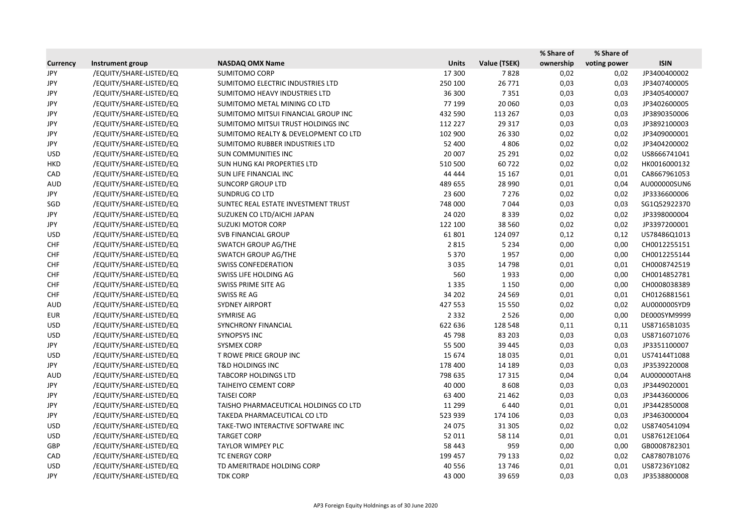|                 |                         |                                       |              |              | % Share of | % Share of   |              |
|-----------------|-------------------------|---------------------------------------|--------------|--------------|------------|--------------|--------------|
| <b>Currency</b> | Instrument group        | <b>NASDAQ OMX Name</b>                | <b>Units</b> | Value (TSEK) | ownership  | voting power | <b>ISIN</b>  |
| <b>JPY</b>      | /EQUITY/SHARE-LISTED/EQ | <b>SUMITOMO CORP</b>                  | 17 300       | 7828         | 0,02       | 0,02         | JP3400400002 |
| JPY             | /EQUITY/SHARE-LISTED/EQ | SUMITOMO ELECTRIC INDUSTRIES LTD      | 250 100      | 26 771       | 0,03       | 0,03         | JP3407400005 |
| JPY             | /EQUITY/SHARE-LISTED/EQ | SUMITOMO HEAVY INDUSTRIES LTD         | 36 300       | 7351         | 0,03       | 0,03         | JP3405400007 |
| JPY             | /EQUITY/SHARE-LISTED/EQ | SUMITOMO METAL MINING CO LTD          | 77 199       | 20 060       | 0,03       | 0,03         | JP3402600005 |
| JPY             | /EQUITY/SHARE-LISTED/EQ | SUMITOMO MITSUI FINANCIAL GROUP INC   | 432 590      | 113 267      | 0,03       | 0,03         | JP3890350006 |
| JPY             | /EQUITY/SHARE-LISTED/EQ | SUMITOMO MITSUI TRUST HOLDINGS INC    | 112 227      | 29 317       | 0,03       | 0,03         | JP3892100003 |
| JPY             | /EQUITY/SHARE-LISTED/EQ | SUMITOMO REALTY & DEVELOPMENT CO LTD  | 102 900      | 26 330       | 0,02       | 0,02         | JP3409000001 |
| JPY             | /EQUITY/SHARE-LISTED/EQ | SUMITOMO RUBBER INDUSTRIES LTD        | 52 400       | 4 8 0 6      | 0,02       | 0,02         | JP3404200002 |
| <b>USD</b>      | /EQUITY/SHARE-LISTED/EQ | <b>SUN COMMUNITIES INC</b>            | 20 007       | 25 291       | 0,02       | 0,02         | US8666741041 |
| <b>HKD</b>      | /EQUITY/SHARE-LISTED/EQ | SUN HUNG KAI PROPERTIES LTD           | 510 500      | 60722        | 0,02       | 0,02         | HK0016000132 |
| CAD             | /EQUITY/SHARE-LISTED/EQ | SUN LIFE FINANCIAL INC                | 44 444       | 15 167       | 0,01       | 0,01         | CA8667961053 |
| <b>AUD</b>      | /EQUITY/SHARE-LISTED/EQ | <b>SUNCORP GROUP LTD</b>              | 489 655      | 28 990       | 0,01       | 0,04         | AU000000SUN6 |
| JPY             | /EQUITY/SHARE-LISTED/EQ | SUNDRUG CO LTD                        | 23 600       | 7 2 7 6      | 0,02       | 0,02         | JP3336600006 |
| SGD             | /EQUITY/SHARE-LISTED/EQ | SUNTEC REAL ESTATE INVESTMENT TRUST   | 748 000      | 7044         | 0,03       | 0,03         | SG1Q52922370 |
| JPY             | /EQUITY/SHARE-LISTED/EQ | SUZUKEN CO LTD/AICHI JAPAN            | 24 0 20      | 8339         | 0,02       | 0,02         | JP3398000004 |
| JPY             | /EQUITY/SHARE-LISTED/EQ | <b>SUZUKI MOTOR CORP</b>              | 122 100      | 38 5 60      | 0,02       | 0,02         | JP3397200001 |
| <b>USD</b>      | /EQUITY/SHARE-LISTED/EQ | SVB FINANCIAL GROUP                   | 61801        | 124 097      | 0,12       | 0,12         | US78486Q1013 |
| <b>CHF</b>      | /EQUITY/SHARE-LISTED/EQ | <b>SWATCH GROUP AG/THE</b>            | 2815         | 5 2 3 4      | 0,00       | 0,00         | CH0012255151 |
| <b>CHF</b>      | /EQUITY/SHARE-LISTED/EQ | <b>SWATCH GROUP AG/THE</b>            | 5 3 7 0      | 1957         | 0,00       | 0,00         | CH0012255144 |
| <b>CHF</b>      | /EQUITY/SHARE-LISTED/EQ | <b>SWISS CONFEDERATION</b>            | 3 0 3 5      | 14 7 98      | 0,01       | 0,01         | CH0008742519 |
| <b>CHF</b>      | /EQUITY/SHARE-LISTED/EQ | SWISS LIFE HOLDING AG                 | 560          | 1933         | 0,00       | 0,00         | CH0014852781 |
| <b>CHF</b>      | /EQUITY/SHARE-LISTED/EQ | SWISS PRIME SITE AG                   | 1335         | 1 1 5 0      | 0,00       | 0,00         | CH0008038389 |
| <b>CHF</b>      | /EQUITY/SHARE-LISTED/EQ | SWISS RE AG                           | 34 202       | 24 5 69      | 0,01       | 0,01         | CH0126881561 |
| <b>AUD</b>      | /EQUITY/SHARE-LISTED/EQ | <b>SYDNEY AIRPORT</b>                 | 427 553      | 15 5 5 0     | 0,02       | 0,02         | AU000000SYD9 |
| <b>EUR</b>      | /EQUITY/SHARE-LISTED/EQ | SYMRISE AG                            | 2 3 3 2      | 2526         | 0,00       | 0,00         | DE000SYM9999 |
| <b>USD</b>      | /EQUITY/SHARE-LISTED/EQ | SYNCHRONY FINANCIAL                   | 622 636      | 128 548      | 0,11       | 0,11         | US87165B1035 |
| <b>USD</b>      | /EQUITY/SHARE-LISTED/EQ | <b>SYNOPSYS INC</b>                   | 45 798       | 83 203       | 0,03       | 0,03         | US8716071076 |
| JPY             | /EQUITY/SHARE-LISTED/EQ | <b>SYSMEX CORP</b>                    | 55 500       | 39 4 45      | 0,03       | 0,03         | JP3351100007 |
| <b>USD</b>      | /EQUITY/SHARE-LISTED/EQ | T ROWE PRICE GROUP INC                | 15 674       | 18 0 35      | 0,01       | 0,01         | US74144T1088 |
| JPY             | /EQUITY/SHARE-LISTED/EQ | <b>T&amp;D HOLDINGS INC</b>           | 178 400      | 14 189       | 0,03       | 0,03         | JP3539220008 |
| <b>AUD</b>      | /EQUITY/SHARE-LISTED/EQ | <b>TABCORP HOLDINGS LTD</b>           | 798 635      | 17 3 15      | 0,04       | 0,04         | AU000000TAH8 |
| JPY             | /EQUITY/SHARE-LISTED/EQ | TAIHEIYO CEMENT CORP                  | 40 000       | 8608         | 0,03       | 0,03         | JP3449020001 |
| JPY             | /EQUITY/SHARE-LISTED/EQ | <b>TAISEI CORP</b>                    | 63 400       | 21 4 62      | 0,03       | 0,03         | JP3443600006 |
| JPY             | /EQUITY/SHARE-LISTED/EQ | TAISHO PHARMACEUTICAL HOLDINGS CO LTD | 11 299       | 6440         | 0,01       | 0,01         | JP3442850008 |
| JPY             | /EQUITY/SHARE-LISTED/EQ | TAKEDA PHARMACEUTICAL CO LTD          | 523 939      | 174 106      | 0,03       | 0,03         | JP3463000004 |
| <b>USD</b>      | /EQUITY/SHARE-LISTED/EQ | TAKE-TWO INTERACTIVE SOFTWARE INC     | 24 0 75      | 31 30 5      | 0,02       | 0,02         | US8740541094 |
| <b>USD</b>      | /EQUITY/SHARE-LISTED/EQ | <b>TARGET CORP</b>                    | 52 011       | 58 114       | 0,01       | 0,01         | US87612E1064 |
| GBP             | /EQUITY/SHARE-LISTED/EQ | TAYLOR WIMPEY PLC                     | 58 4 43      | 959          | 0,00       | 0,00         | GB0008782301 |
| CAD             | /EQUITY/SHARE-LISTED/EQ | <b>TC ENERGY CORP</b>                 | 199 457      | 79 133       | 0,02       | 0,02         | CA87807B1076 |
| <b>USD</b>      | /EQUITY/SHARE-LISTED/EQ | TD AMERITRADE HOLDING CORP            | 40 5 56      | 13746        | 0,01       | 0,01         | US87236Y1082 |
| JPY             | /EQUITY/SHARE-LISTED/EQ | <b>TDK CORP</b>                       | 43 000       | 39 659       | 0,03       | 0,03         | JP3538800008 |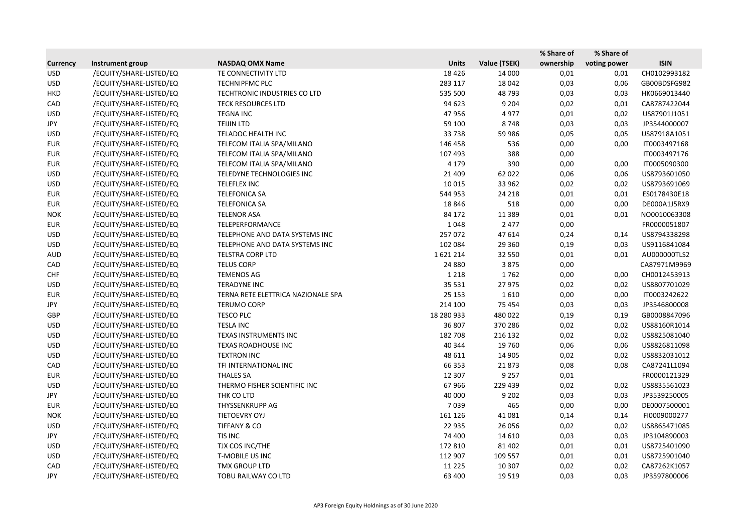|                 |                         |                                    |              |              | % Share of | % Share of   |              |
|-----------------|-------------------------|------------------------------------|--------------|--------------|------------|--------------|--------------|
| <b>Currency</b> | Instrument group        | <b>NASDAQ OMX Name</b>             | <b>Units</b> | Value (TSEK) | ownership  | voting power | <b>ISIN</b>  |
| <b>USD</b>      | /EQUITY/SHARE-LISTED/EQ | TE CONNECTIVITY LTD                | 18 4 26      | 14 000       | 0,01       | 0,01         | CH0102993182 |
| <b>USD</b>      | /EQUITY/SHARE-LISTED/EQ | <b>TECHNIPFMC PLC</b>              | 283 117      | 18 042       | 0,03       | 0,06         | GB00BDSFG982 |
| <b>HKD</b>      | /EQUITY/SHARE-LISTED/EQ | TECHTRONIC INDUSTRIES CO LTD       | 535 500      | 48793        | 0,03       | 0,03         | HK0669013440 |
| CAD             | /EQUITY/SHARE-LISTED/EQ | <b>TECK RESOURCES LTD</b>          | 94 623       | 9 2 0 4      | 0,02       | 0,01         | CA8787422044 |
| <b>USD</b>      | /EQUITY/SHARE-LISTED/EQ | <b>TEGNA INC</b>                   | 47956        | 4977         | 0,01       | 0,02         | US87901J1051 |
| JPY             | /EQUITY/SHARE-LISTED/EQ | <b>TEIJIN LTD</b>                  | 59 100       | 8748         | 0,03       | 0,03         | JP3544000007 |
| <b>USD</b>      | /EQUITY/SHARE-LISTED/EQ | TELADOC HEALTH INC                 | 33738        | 59 986       | 0,05       | 0,05         | US87918A1051 |
| <b>EUR</b>      | /EQUITY/SHARE-LISTED/EQ | TELECOM ITALIA SPA/MILANO          | 146 458      | 536          | 0,00       | 0,00         | IT0003497168 |
| <b>EUR</b>      | /EQUITY/SHARE-LISTED/EQ | TELECOM ITALIA SPA/MILANO          | 107 493      | 388          | 0,00       |              | IT0003497176 |
| <b>EUR</b>      | /EQUITY/SHARE-LISTED/EQ | TELECOM ITALIA SPA/MILANO          | 4 1 7 9      | 390          | 0,00       | 0,00         | IT0005090300 |
| <b>USD</b>      | /EQUITY/SHARE-LISTED/EQ | TELEDYNE TECHNOLOGIES INC          | 21 4 09      | 62 022       | 0,06       | 0,06         | US8793601050 |
| <b>USD</b>      | /EQUITY/SHARE-LISTED/EQ | TELEFLEX INC                       | 10 0 15      | 33 962       | 0,02       | 0,02         | US8793691069 |
| <b>EUR</b>      | /EQUITY/SHARE-LISTED/EQ | <b>TELEFONICA SA</b>               | 544 953      | 24 218       | 0,01       | 0,01         | ES0178430E18 |
| <b>EUR</b>      | /EQUITY/SHARE-LISTED/EQ | <b>TELEFONICA SA</b>               | 18846        | 518          | 0,00       | 0,00         | DE000A1J5RX9 |
| <b>NOK</b>      | /EQUITY/SHARE-LISTED/EQ | <b>TELENOR ASA</b>                 | 84 172       | 11 3 8 9     | 0,01       | 0,01         | NO0010063308 |
| <b>EUR</b>      | /EQUITY/SHARE-LISTED/EQ | TELEPERFORMANCE                    | 1048         | 2 4 7 7      | 0,00       |              | FR0000051807 |
| <b>USD</b>      | /EQUITY/SHARE-LISTED/EQ | TELEPHONE AND DATA SYSTEMS INC     | 257072       | 47614        | 0,24       | 0,14         | US8794338298 |
| <b>USD</b>      | /EQUITY/SHARE-LISTED/EQ | TELEPHONE AND DATA SYSTEMS INC     | 102 084      | 29 3 60      | 0,19       | 0,03         | US9116841084 |
| <b>AUD</b>      | /EQUITY/SHARE-LISTED/EQ | <b>TELSTRA CORP LTD</b>            | 1621214      | 32 550       | 0,01       | 0,01         | AU000000TLS2 |
| CAD             | /EQUITY/SHARE-LISTED/EQ | <b>TELUS CORP</b>                  | 24 8 8 0     | 3875         | 0,00       |              | CA87971M9969 |
| <b>CHF</b>      | /EQUITY/SHARE-LISTED/EQ | <b>TEMENOS AG</b>                  | 1 2 1 8      | 1762         | 0,00       | 0,00         | CH0012453913 |
| <b>USD</b>      | /EQUITY/SHARE-LISTED/EQ | <b>TERADYNE INC</b>                | 35 5 31      | 27 975       | 0,02       | 0,02         | US8807701029 |
| <b>EUR</b>      | /EQUITY/SHARE-LISTED/EQ | TERNA RETE ELETTRICA NAZIONALE SPA | 25 153       | 1610         | 0,00       | 0,00         | IT0003242622 |
| JPY             | /EQUITY/SHARE-LISTED/EQ | <b>TERUMO CORP</b>                 | 214 100      | 75 4 54      | 0,03       | 0,03         | JP3546800008 |
| <b>GBP</b>      | /EQUITY/SHARE-LISTED/EQ | <b>TESCO PLC</b>                   | 18 280 933   | 480 022      | 0,19       | 0,19         | GB0008847096 |
| <b>USD</b>      | /EQUITY/SHARE-LISTED/EQ | <b>TESLA INC</b>                   | 36 807       | 370 286      | 0,02       | 0,02         | US88160R1014 |
| <b>USD</b>      | /EQUITY/SHARE-LISTED/EQ | TEXAS INSTRUMENTS INC              | 182 708      | 216 132      | 0,02       | 0,02         | US8825081040 |
| <b>USD</b>      | /EQUITY/SHARE-LISTED/EQ | TEXAS ROADHOUSE INC                | 40 344       | 19 760       | 0,06       | 0,06         | US8826811098 |
| <b>USD</b>      | /EQUITY/SHARE-LISTED/EQ | <b>TEXTRON INC</b>                 | 48 611       | 14 905       | 0,02       | 0,02         | US8832031012 |
| CAD             | /EQUITY/SHARE-LISTED/EQ | TFI INTERNATIONAL INC              | 66 353       | 21873        | 0,08       | 0,08         | CA87241L1094 |
| <b>EUR</b>      | /EQUITY/SHARE-LISTED/EQ | <b>THALES SA</b>                   | 12 307       | 9 2 5 7      | 0,01       |              | FR0000121329 |
| <b>USD</b>      | /EQUITY/SHARE-LISTED/EQ | THERMO FISHER SCIENTIFIC INC       | 67966        | 229 439      | 0,02       | 0,02         | US8835561023 |
| JPY             | /EQUITY/SHARE-LISTED/EQ | THK CO LTD                         | 40 000       | 9 2 0 2      | 0,03       | 0,03         | JP3539250005 |
| EUR             | /EQUITY/SHARE-LISTED/EQ | THYSSENKRUPP AG                    | 7039         | 465          | 0,00       | 0,00         | DE0007500001 |
| <b>NOK</b>      | /EQUITY/SHARE-LISTED/EQ | TIETOEVRY OYJ                      | 161 126      | 41 081       | 0,14       | 0,14         | FI0009000277 |
| <b>USD</b>      | /EQUITY/SHARE-LISTED/EQ | <b>TIFFANY &amp; CO</b>            | 22 9 35      | 26 056       | 0,02       | 0,02         | US8865471085 |
| JPY             | /EQUITY/SHARE-LISTED/EQ | TIS INC                            | 74 400       | 14 6 10      | 0,03       | 0,03         | JP3104890003 |
| <b>USD</b>      | /EQUITY/SHARE-LISTED/EQ | TJX COS INC/THE                    | 172 810      | 81 402       | 0,01       | 0,01         | US8725401090 |
| <b>USD</b>      | /EQUITY/SHARE-LISTED/EQ | T-MOBILE US INC                    | 112 907      | 109 557      | 0,01       | 0,01         | US8725901040 |
| CAD             | /EQUITY/SHARE-LISTED/EQ | <b>TMX GROUP LTD</b>               | 11 2 2 5     | 10 307       | 0,02       | 0,02         | CA87262K1057 |
| JPY             | /EQUITY/SHARE-LISTED/EQ | TOBU RAILWAY CO LTD                | 63 400       | 19 5 19      | 0,03       | 0,03         | JP3597800006 |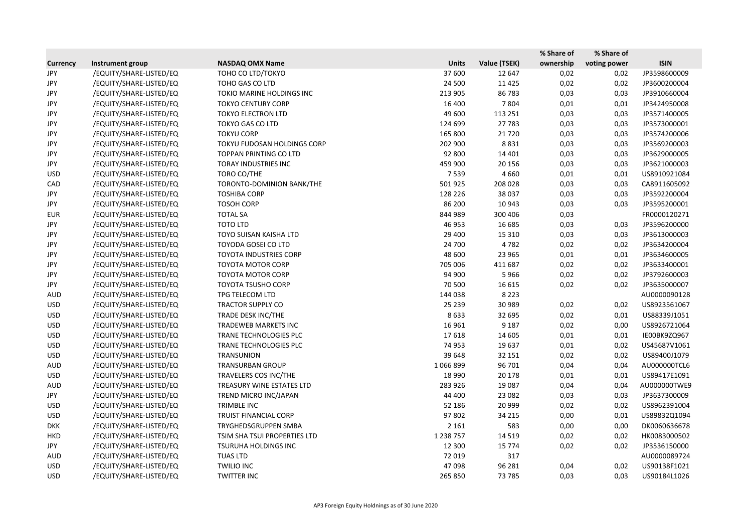|                 |                         |                               |               |              | % Share of | % Share of   |              |
|-----------------|-------------------------|-------------------------------|---------------|--------------|------------|--------------|--------------|
| <b>Currency</b> | Instrument group        | <b>NASDAQ OMX Name</b>        | <b>Units</b>  | Value (TSEK) | ownership  | voting power | <b>ISIN</b>  |
| JPY             | /EQUITY/SHARE-LISTED/EQ | TOHO CO LTD/TOKYO             | 37 600        | 12 647       | 0,02       | 0,02         | JP3598600009 |
| JPY             | /EQUITY/SHARE-LISTED/EQ | TOHO GAS CO LTD               | 24 500        | 11 4 25      | 0,02       | 0,02         | JP3600200004 |
| JPY             | /EQUITY/SHARE-LISTED/EQ | TOKIO MARINE HOLDINGS INC     | 213 905       | 86783        | 0,03       | 0,03         | JP3910660004 |
| JPY             | /EQUITY/SHARE-LISTED/EQ | <b>TOKYO CENTURY CORP</b>     | 16 400        | 7804         | 0,01       | 0,01         | JP3424950008 |
| JPY             | /EQUITY/SHARE-LISTED/EQ | <b>TOKYO ELECTRON LTD</b>     | 49 600        | 113 251      | 0,03       | 0,03         | JP3571400005 |
| JPY             | /EQUITY/SHARE-LISTED/EQ | <b>TOKYO GAS CO LTD</b>       | 124 699       | 27783        | 0,03       | 0,03         | JP3573000001 |
| JPY             | /EQUITY/SHARE-LISTED/EQ | <b>TOKYU CORP</b>             | 165 800       | 21720        | 0,03       | 0,03         | JP3574200006 |
| JPY             | /EQUITY/SHARE-LISTED/EQ | TOKYU FUDOSAN HOLDINGS CORP   | 202 900       | 8831         | 0,03       | 0,03         | JP3569200003 |
| JPY             | /EQUITY/SHARE-LISTED/EQ | <b>TOPPAN PRINTING CO LTD</b> | 92 800        | 14 401       | 0,03       | 0,03         | JP3629000005 |
| JPY             | /EQUITY/SHARE-LISTED/EQ | TORAY INDUSTRIES INC          | 459 900       | 20 15 6      | 0,03       | 0,03         | JP3621000003 |
| <b>USD</b>      | /EQUITY/SHARE-LISTED/EQ | TORO CO/THE                   | 7539          | 4 6 6 0      | 0,01       | 0,01         | US8910921084 |
| CAD             | /EQUITY/SHARE-LISTED/EQ | TORONTO-DOMINION BANK/THE     | 501925        | 208 028      | 0,03       | 0,03         | CA8911605092 |
| JPY             | /EQUITY/SHARE-LISTED/EQ | <b>TOSHIBA CORP</b>           | 128 226       | 38 037       | 0,03       | 0,03         | JP3592200004 |
| JPY             | /EQUITY/SHARE-LISTED/EQ | <b>TOSOH CORP</b>             | 86 200        | 10 943       | 0,03       | 0,03         | JP3595200001 |
| <b>EUR</b>      | /EQUITY/SHARE-LISTED/EQ | <b>TOTAL SA</b>               | 844 989       | 300 406      | 0,03       |              | FR0000120271 |
| JPY             | /EQUITY/SHARE-LISTED/EQ | <b>TOTO LTD</b>               | 46 953        | 16 685       | 0,03       | 0,03         | JP3596200000 |
| JPY             | /EQUITY/SHARE-LISTED/EQ | TOYO SUISAN KAISHA LTD        | 29 400        | 15 3 10      | 0,03       | 0,03         | JP3613000003 |
| JPY             | /EQUITY/SHARE-LISTED/EQ | TOYODA GOSEI CO LTD           | 24 700        | 4782         | 0,02       | 0,02         | JP3634200004 |
| JPY             | /EQUITY/SHARE-LISTED/EQ | <b>TOYOTA INDUSTRIES CORP</b> | 48 600        | 23 965       | 0,01       | 0,01         | JP3634600005 |
| JPY             | /EQUITY/SHARE-LISTED/EQ | <b>TOYOTA MOTOR CORP</b>      | 705 006       | 411 687      | 0,02       | 0,02         | JP3633400001 |
| JPY             | /EQUITY/SHARE-LISTED/EQ | <b>TOYOTA MOTOR CORP</b>      | 94 900        | 5966         | 0,02       | 0,02         | JP3792600003 |
| JPY             | /EQUITY/SHARE-LISTED/EQ | <b>TOYOTA TSUSHO CORP</b>     | 70 500        | 16 615       | 0,02       | 0,02         | JP3635000007 |
| <b>AUD</b>      | /EQUITY/SHARE-LISTED/EQ | TPG TELECOM LTD               | 144 038       | 8 2 2 3      |            |              | AU0000090128 |
| <b>USD</b>      | /EQUITY/SHARE-LISTED/EQ | <b>TRACTOR SUPPLY CO</b>      | 25 2 39       | 30 989       | 0,02       | 0,02         | US8923561067 |
| <b>USD</b>      | /EQUITY/SHARE-LISTED/EQ | TRADE DESK INC/THE            | 8633          | 32 695       | 0,02       | 0,01         | US88339J1051 |
| <b>USD</b>      | /EQUITY/SHARE-LISTED/EQ | TRADEWEB MARKETS INC          | 16 961        | 9 1 8 7      | 0,02       | 0,00         | US8926721064 |
| <b>USD</b>      | /EQUITY/SHARE-LISTED/EQ | TRANE TECHNOLOGIES PLC        | 17618         | 14 605       | 0,01       | 0,01         | IE00BK9ZQ967 |
| <b>USD</b>      | /EQUITY/SHARE-LISTED/EQ | TRANE TECHNOLOGIES PLC        | 74 953        | 19637        | 0,01       | 0,02         | US45687V1061 |
| <b>USD</b>      | /EQUITY/SHARE-LISTED/EQ | <b>TRANSUNION</b>             | 39 648        | 32 151       | 0,02       | 0,02         | US89400J1079 |
| <b>AUD</b>      | /EQUITY/SHARE-LISTED/EQ | <b>TRANSURBAN GROUP</b>       | 1066899       | 96 701       | 0,04       | 0,04         | AU000000TCL6 |
| <b>USD</b>      | /EQUITY/SHARE-LISTED/EQ | TRAVELERS COS INC/THE         | 18 9 90       | 20 178       | 0,01       | 0,01         | US89417E1091 |
| AUD             | /EQUITY/SHARE-LISTED/EQ | TREASURY WINE ESTATES LTD     | 283 926       | 19 087       | 0,04       | 0,04         | AU000000TWE9 |
| JPY             | /EQUITY/SHARE-LISTED/EQ | TREND MICRO INC/JAPAN         | 44 400        | 23 082       | 0,03       | 0,03         | JP3637300009 |
| USD             | /EQUITY/SHARE-LISTED/EQ | TRIMBLE INC                   | 52 186        | 20 999       | 0,02       | 0,02         | US8962391004 |
| <b>USD</b>      | /EQUITY/SHARE-LISTED/EQ | TRUIST FINANCIAL CORP         | 97802         | 34 215       | 0,00       | 0,01         | US89832Q1094 |
| <b>DKK</b>      | /EQUITY/SHARE-LISTED/EQ | TRYGHEDSGRUPPEN SMBA          | 2 1 6 1       | 583          | 0,00       | 0,00         | DK0060636678 |
| HKD             | /EQUITY/SHARE-LISTED/EQ | TSIM SHA TSUI PROPERTIES LTD  | 1 2 3 8 7 5 7 | 14 5 19      | 0,02       | 0,02         | HK0083000502 |
| JPY             | /EQUITY/SHARE-LISTED/EQ | <b>TSURUHA HOLDINGS INC</b>   | 12 300        | 15 7 7 4     | 0,02       | 0,02         | JP3536150000 |
| AUD             | /EQUITY/SHARE-LISTED/EQ | <b>TUAS LTD</b>               | 72 019        | 317          |            |              | AU0000089724 |
| <b>USD</b>      | /EQUITY/SHARE-LISTED/EQ | <b>TWILIO INC</b>             | 47098         | 96 281       | 0,04       | 0,02         | US90138F1021 |
| <b>USD</b>      | /EQUITY/SHARE-LISTED/EQ | <b>TWITTER INC</b>            | 265 850       | 73 785       | 0,03       | 0,03         | US90184L1026 |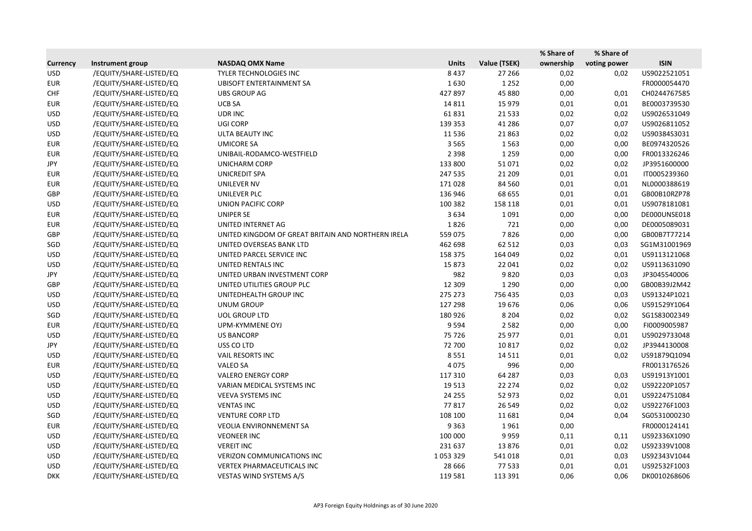|                 |                         |                                                    |              |              | % Share of | % Share of   |              |
|-----------------|-------------------------|----------------------------------------------------|--------------|--------------|------------|--------------|--------------|
| <b>Currency</b> | Instrument group        | <b>NASDAQ OMX Name</b>                             | <b>Units</b> | Value (TSEK) | ownership  | voting power | <b>ISIN</b>  |
| <b>USD</b>      | /EQUITY/SHARE-LISTED/EQ | TYLER TECHNOLOGIES INC                             | 8437         | 27 26 6      | 0,02       | 0,02         | US9022521051 |
| <b>EUR</b>      | /EQUITY/SHARE-LISTED/EQ | <b>UBISOFT ENTERTAINMENT SA</b>                    | 1630         | 1 2 5 2      | 0,00       |              | FR0000054470 |
| <b>CHF</b>      | /EQUITY/SHARE-LISTED/EQ | <b>UBS GROUP AG</b>                                | 427897       | 45 880       | 0,00       | 0,01         | CH0244767585 |
| <b>EUR</b>      | /EQUITY/SHARE-LISTED/EQ | <b>UCB SA</b>                                      | 14 8 11      | 15 9 79      | 0,01       | 0,01         | BE0003739530 |
| <b>USD</b>      | /EQUITY/SHARE-LISTED/EQ | <b>UDRINC</b>                                      | 61831        | 21 5 33      | 0,02       | 0,02         | US9026531049 |
| <b>USD</b>      | /EQUITY/SHARE-LISTED/EQ | <b>UGI CORP</b>                                    | 139 353      | 41 2 8 6     | 0,07       | 0,07         | US9026811052 |
| <b>USD</b>      | /EQUITY/SHARE-LISTED/EQ | ULTA BEAUTY INC                                    | 11 5 3 6     | 21863        | 0,02       | 0,02         | US90384S3031 |
| <b>EUR</b>      | /EQUITY/SHARE-LISTED/EQ | <b>UMICORE SA</b>                                  | 3 5 6 5      | 1563         | 0,00       | 0,00         | BE0974320526 |
| <b>EUR</b>      | /EQUITY/SHARE-LISTED/EQ | UNIBAIL-RODAMCO-WESTFIELD                          | 2 3 9 8      | 1 2 5 9      | 0,00       | 0,00         | FR0013326246 |
| JPY             | /EQUITY/SHARE-LISTED/EQ | <b>UNICHARM CORP</b>                               | 133 800      | 51071        | 0,02       | 0,02         | JP3951600000 |
| <b>EUR</b>      | /EQUITY/SHARE-LISTED/EQ | <b>UNICREDIT SPA</b>                               | 247 535      | 21 209       | 0,01       | 0,01         | IT0005239360 |
| <b>EUR</b>      | /EQUITY/SHARE-LISTED/EQ | UNILEVER NV                                        | 171028       | 84 5 60      | 0,01       | 0,01         | NL0000388619 |
| GBP             | /EQUITY/SHARE-LISTED/EQ | UNILEVER PLC                                       | 136 946      | 68 655       | 0,01       | 0,01         | GB00B10RZP78 |
| <b>USD</b>      | /EQUITY/SHARE-LISTED/EQ | <b>UNION PACIFIC CORP</b>                          | 100 382      | 158 118      | 0,01       | 0,01         | US9078181081 |
| <b>EUR</b>      | /EQUITY/SHARE-LISTED/EQ | <b>UNIPER SE</b>                                   | 3634         | 1091         | 0,00       | 0,00         | DE000UNSE018 |
| <b>EUR</b>      | /EQUITY/SHARE-LISTED/EQ | UNITED INTERNET AG                                 | 1826         | 721          | 0,00       | 0,00         | DE0005089031 |
| GBP             | /EQUITY/SHARE-LISTED/EQ | UNITED KINGDOM OF GREAT BRITAIN AND NORTHERN IRELA | 559 075      | 7826         | 0,00       | 0,00         | GB00B7T77214 |
| SGD             | /EQUITY/SHARE-LISTED/EQ | UNITED OVERSEAS BANK LTD                           | 462 698      | 62 512       | 0,03       | 0,03         | SG1M31001969 |
| <b>USD</b>      | /EQUITY/SHARE-LISTED/EQ | UNITED PARCEL SERVICE INC                          | 158 375      | 164 049      | 0,02       | 0,01         | US9113121068 |
| <b>USD</b>      | /EQUITY/SHARE-LISTED/EQ | UNITED RENTALS INC                                 | 15873        | 22 041       | 0,02       | 0,02         | US9113631090 |
| JPY             | /EQUITY/SHARE-LISTED/EQ | UNITED URBAN INVESTMENT CORP                       | 982          | 9820         | 0,03       | 0,03         | JP3045540006 |
| GBP             | /EQUITY/SHARE-LISTED/EQ | UNITED UTILITIES GROUP PLC                         | 12 3 0 9     | 1 2 9 0      | 0,00       | 0,00         | GB00B39J2M42 |
| <b>USD</b>      | /EQUITY/SHARE-LISTED/EQ | UNITEDHEALTH GROUP INC                             | 275 273      | 756 435      | 0,03       | 0,03         | US91324P1021 |
| <b>USD</b>      | /EQUITY/SHARE-LISTED/EQ | UNUM GROUP                                         | 127 298      | 19676        | 0,06       | 0,06         | US91529Y1064 |
| SGD             | /EQUITY/SHARE-LISTED/EQ | <b>UOL GROUP LTD</b>                               | 180 926      | 8 2 0 4      | 0,02       | 0,02         | SG1S83002349 |
| <b>EUR</b>      | /EQUITY/SHARE-LISTED/EQ | <b>UPM-KYMMENE OYJ</b>                             | 9594         | 2582         | 0,00       | 0,00         | FI0009005987 |
| <b>USD</b>      | /EQUITY/SHARE-LISTED/EQ | <b>US BANCORP</b>                                  | 75 726       | 25 977       | 0,01       | 0,01         | US9029733048 |
| JPY             | /EQUITY/SHARE-LISTED/EQ | USS CO LTD                                         | 72 700       | 10817        | 0,02       | 0,02         | JP3944130008 |
| <b>USD</b>      | /EQUITY/SHARE-LISTED/EQ | VAIL RESORTS INC                                   | 8551         | 14 5 11      | 0,01       | 0,02         | US91879Q1094 |
| <b>EUR</b>      | /EQUITY/SHARE-LISTED/EQ | VALEO SA                                           | 4075         | 996          | 0,00       |              | FR0013176526 |
| <b>USD</b>      | /EQUITY/SHARE-LISTED/EQ | <b>VALERO ENERGY CORP</b>                          | 117 310      | 64 287       | 0,03       | 0,03         | US91913Y1001 |
| <b>USD</b>      | /EQUITY/SHARE-LISTED/EQ | VARIAN MEDICAL SYSTEMS INC                         | 19513        | 22 274       | 0,02       | 0,02         | US92220P1057 |
| <b>USD</b>      | /EQUITY/SHARE-LISTED/EQ | <b>VEEVA SYSTEMS INC</b>                           | 24 255       | 52 973       | 0,02       | 0,01         | US9224751084 |
| <b>USD</b>      | /EQUITY/SHARE-LISTED/EQ | <b>VENTAS INC</b>                                  | 77817        | 26 549       | 0,02       | 0,02         | US92276F1003 |
| SGD             | /EQUITY/SHARE-LISTED/EQ | <b>VENTURE CORP LTD</b>                            | 108 100      | 11 681       | 0,04       | 0,04         | SG0531000230 |
| <b>EUR</b>      | /EQUITY/SHARE-LISTED/EQ | VEOLIA ENVIRONNEMENT SA                            | 9 3 6 3      | 1961         | 0,00       |              | FR0000124141 |
| <b>USD</b>      | /EQUITY/SHARE-LISTED/EQ | <b>VEONEER INC</b>                                 | 100 000      | 9959         | 0,11       | 0,11         | US92336X1090 |
| <b>USD</b>      | /EQUITY/SHARE-LISTED/EQ | <b>VEREIT INC</b>                                  | 231 637      | 13876        | 0,01       | 0,02         | US92339V1008 |
| <b>USD</b>      | /EQUITY/SHARE-LISTED/EQ | <b>VERIZON COMMUNICATIONS INC</b>                  | 1053329      | 541018       | 0,01       | 0,03         | US92343V1044 |
| <b>USD</b>      | /EQUITY/SHARE-LISTED/EQ | <b>VERTEX PHARMACEUTICALS INC</b>                  | 28 6 66      | 77 533       | 0,01       | 0,01         | US92532F1003 |
| <b>DKK</b>      | /EQUITY/SHARE-LISTED/EQ | VESTAS WIND SYSTEMS A/S                            | 119 581      | 113 391      | 0,06       | 0,06         | DK0010268606 |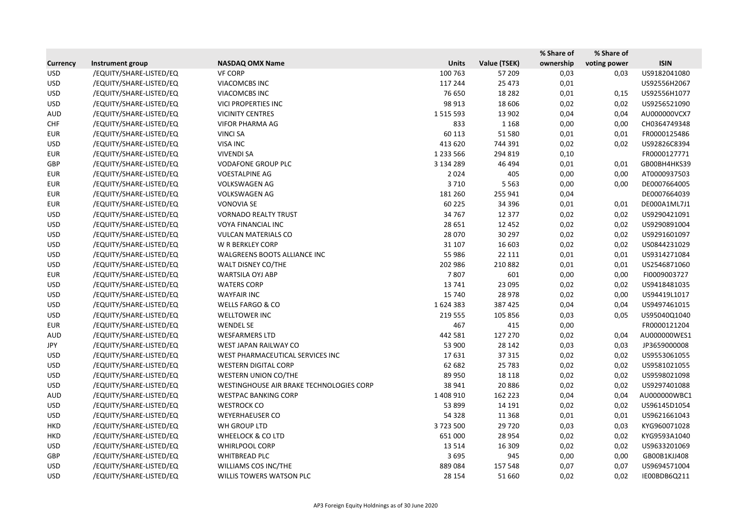|                 |                         |                                          |               |              | % Share of | % Share of   |              |
|-----------------|-------------------------|------------------------------------------|---------------|--------------|------------|--------------|--------------|
| <b>Currency</b> | Instrument group        | <b>NASDAQ OMX Name</b>                   | <b>Units</b>  | Value (TSEK) | ownership  | voting power | <b>ISIN</b>  |
| <b>USD</b>      | /EQUITY/SHARE-LISTED/EQ | <b>VF CORP</b>                           | 100 763       | 57 209       | 0,03       | 0,03         | US9182041080 |
| <b>USD</b>      | /EQUITY/SHARE-LISTED/EQ | VIACOMCBS INC                            | 117 244       | 25 4 73      | 0,01       |              | US92556H2067 |
| <b>USD</b>      | /EQUITY/SHARE-LISTED/EQ | VIACOMCBS INC                            | 76 650        | 18 2 8 2     | 0,01       | 0,15         | US92556H1077 |
| <b>USD</b>      | /EQUITY/SHARE-LISTED/EQ | <b>VICI PROPERTIES INC</b>               | 98 913        | 18 606       | 0,02       | 0,02         | US9256521090 |
| <b>AUD</b>      | /EQUITY/SHARE-LISTED/EQ | <b>VICINITY CENTRES</b>                  | 1 5 1 5 5 9 3 | 13 902       | 0,04       | 0,04         | AU000000VCX7 |
| <b>CHF</b>      | /EQUITY/SHARE-LISTED/EQ | <b>VIFOR PHARMA AG</b>                   | 833           | 1 1 6 8      | 0,00       | 0,00         | CH0364749348 |
| <b>EUR</b>      | /EQUITY/SHARE-LISTED/EQ | <b>VINCI SA</b>                          | 60 113        | 51 580       | 0,01       | 0,01         | FR0000125486 |
| <b>USD</b>      | /EQUITY/SHARE-LISTED/EQ | <b>VISA INC</b>                          | 413 620       | 744 391      | 0,02       | 0,02         | US92826C8394 |
| <b>EUR</b>      | /EQUITY/SHARE-LISTED/EQ | <b>VIVENDI SA</b>                        | 1 2 3 5 5 6 6 | 294 819      | 0,10       |              | FR0000127771 |
| GBP             | /EQUITY/SHARE-LISTED/EQ | <b>VODAFONE GROUP PLC</b>                | 3 134 289     | 46 494       | 0,01       | 0,01         | GB00BH4HKS39 |
| <b>EUR</b>      | /EQUITY/SHARE-LISTED/EQ | <b>VOESTALPINE AG</b>                    | 2024          | 405          | 0,00       | 0,00         | AT0000937503 |
| <b>EUR</b>      | /EQUITY/SHARE-LISTED/EQ | <b>VOLKSWAGEN AG</b>                     | 3710          | 5 5 6 3      | 0,00       | 0,00         | DE0007664005 |
| <b>EUR</b>      | /EQUITY/SHARE-LISTED/EQ | <b>VOLKSWAGEN AG</b>                     | 181 260       | 255 941      | 0,04       |              | DE0007664039 |
| <b>EUR</b>      | /EQUITY/SHARE-LISTED/EQ | <b>VONOVIA SE</b>                        | 60 2 25       | 34 396       | 0,01       | 0,01         | DE000A1ML7J1 |
| <b>USD</b>      | /EQUITY/SHARE-LISTED/EQ | <b>VORNADO REALTY TRUST</b>              | 34 7 67       | 12 377       | 0,02       | 0,02         | US9290421091 |
| <b>USD</b>      | /EQUITY/SHARE-LISTED/EQ | VOYA FINANCIAL INC                       | 28 651        | 12 4 52      | 0,02       | 0,02         | US9290891004 |
| <b>USD</b>      | /EQUITY/SHARE-LISTED/EQ | <b>VULCAN MATERIALS CO</b>               | 28 0 70       | 30 297       | 0,02       | 0,02         | US9291601097 |
| <b>USD</b>      | /EQUITY/SHARE-LISTED/EQ | W R BERKLEY CORP                         | 31 107        | 16 603       | 0,02       | 0,02         | US0844231029 |
| <b>USD</b>      | /EQUITY/SHARE-LISTED/EQ | WALGREENS BOOTS ALLIANCE INC             | 55 986        | 22 111       | 0,01       | 0,01         | US9314271084 |
| <b>USD</b>      | /EQUITY/SHARE-LISTED/EQ | WALT DISNEY CO/THE                       | 202 986       | 210 882      | 0,01       | 0,01         | US2546871060 |
| <b>EUR</b>      | /EQUITY/SHARE-LISTED/EQ | <b>WARTSILA OYJ ABP</b>                  | 7807          | 601          | 0,00       | 0,00         | FI0009003727 |
| <b>USD</b>      | /EQUITY/SHARE-LISTED/EQ | <b>WATERS CORP</b>                       | 13741         | 23 095       | 0,02       | 0,02         | US9418481035 |
| <b>USD</b>      | /EQUITY/SHARE-LISTED/EQ | <b>WAYFAIR INC</b>                       | 15 740        | 28 978       | 0,02       | 0,00         | US94419L1017 |
| <b>USD</b>      | /EQUITY/SHARE-LISTED/EQ | <b>WELLS FARGO &amp; CO</b>              | 1624383       | 387 425      | 0,04       | 0,04         | US9497461015 |
| <b>USD</b>      | /EQUITY/SHARE-LISTED/EQ | <b>WELLTOWER INC</b>                     | 219 555       | 105 856      | 0,03       | 0,05         | US95040Q1040 |
| <b>EUR</b>      | /EQUITY/SHARE-LISTED/EQ | <b>WENDEL SE</b>                         | 467           | 415          | 0,00       |              | FR0000121204 |
| <b>AUD</b>      | /EQUITY/SHARE-LISTED/EQ | <b>WESFARMERS LTD</b>                    | 442 581       | 127 270      | 0,02       | 0,04         | AU000000WES1 |
| JPY             | /EQUITY/SHARE-LISTED/EQ | WEST JAPAN RAILWAY CO                    | 53 900        | 28 14 2      | 0,03       | 0,03         | JP3659000008 |
| <b>USD</b>      | /EQUITY/SHARE-LISTED/EQ | WEST PHARMACEUTICAL SERVICES INC         | 17631         | 37 315       | 0,02       | 0,02         | US9553061055 |
| <b>USD</b>      | /EQUITY/SHARE-LISTED/EQ | <b>WESTERN DIGITAL CORP</b>              | 62 682        | 25 7 83      | 0,02       | 0,02         | US9581021055 |
| <b>USD</b>      | /EQUITY/SHARE-LISTED/EQ | <b>WESTERN UNION CO/THE</b>              | 89 950        | 18 1 18      | 0,02       | 0,02         | US9598021098 |
| <b>USD</b>      | /EQUITY/SHARE-LISTED/EQ | WESTINGHOUSE AIR BRAKE TECHNOLOGIES CORP | 38 941        | 20886        | 0,02       | 0,02         | US9297401088 |
| <b>AUD</b>      | /EQUITY/SHARE-LISTED/EQ | <b>WESTPAC BANKING CORP</b>              | 1 408 910     | 162 223      | 0,04       | 0,04         | AU000000WBC1 |
| <b>USD</b>      | /EQUITY/SHARE-LISTED/EQ | <b>WESTROCK CO</b>                       | 53 899        | 14 191       | 0,02       | 0,02         | US96145D1054 |
| <b>USD</b>      | /EQUITY/SHARE-LISTED/EQ | <b>WEYERHAEUSER CO</b>                   | 54 3 28       | 11 3 68      | 0,01       | 0,01         | US9621661043 |
| <b>HKD</b>      | /EQUITY/SHARE-LISTED/EQ | WH GROUP LTD                             | 3723500       | 29 7 20      | 0,03       | 0,03         | KYG960071028 |
| HKD             | /EQUITY/SHARE-LISTED/EQ | <b>WHEELOCK &amp; CO LTD</b>             | 651 000       | 28 9 54      | 0,02       | 0,02         | KYG9593A1040 |
| <b>USD</b>      | /EQUITY/SHARE-LISTED/EQ | <b>WHIRLPOOL CORP</b>                    | 13514         | 16 309       | 0,02       | 0,02         | US9633201069 |
| GBP             | /EQUITY/SHARE-LISTED/EQ | <b>WHITBREAD PLC</b>                     | 3695          | 945          | 0,00       | 0,00         | GB00B1KJJ408 |
| <b>USD</b>      | /EQUITY/SHARE-LISTED/EQ | WILLIAMS COS INC/THE                     | 889084        | 157 548      | 0,07       | 0,07         | US9694571004 |
| <b>USD</b>      | /EQUITY/SHARE-LISTED/EQ | WILLIS TOWERS WATSON PLC                 | 28 154        | 51 660       | 0,02       | 0,02         | IE00BDB6Q211 |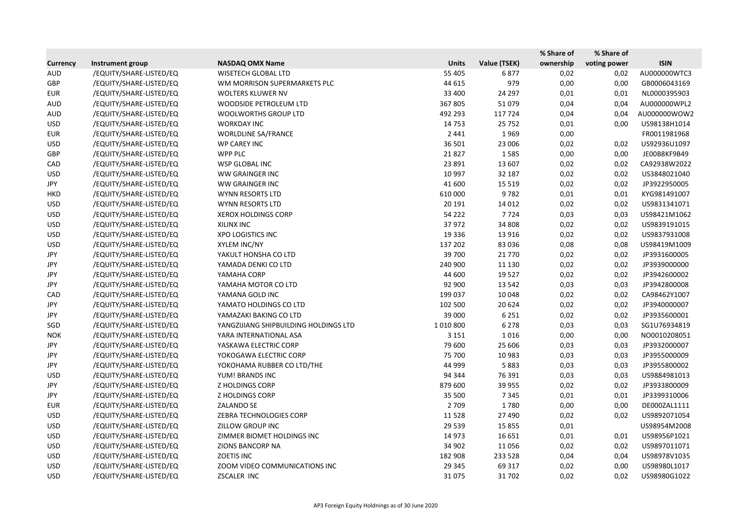|                 |                         |                                       |              |              | % Share of | % Share of   |              |
|-----------------|-------------------------|---------------------------------------|--------------|--------------|------------|--------------|--------------|
| <b>Currency</b> | Instrument group        | <b>NASDAQ OMX Name</b>                | <b>Units</b> | Value (TSEK) | ownership  | voting power | <b>ISIN</b>  |
| <b>AUD</b>      | /EQUITY/SHARE-LISTED/EQ | <b>WISETECH GLOBAL LTD</b>            | 55 405       | 6877         | 0,02       | 0,02         | AU000000WTC3 |
| GBP             | /EQUITY/SHARE-LISTED/EQ | WM MORRISON SUPERMARKETS PLC          | 44 615       | 979          | 0,00       | 0,00         | GB0006043169 |
| <b>EUR</b>      | /EQUITY/SHARE-LISTED/EQ | WOLTERS KLUWER NV                     | 33 400       | 24 297       | 0,01       | 0,01         | NL0000395903 |
| <b>AUD</b>      | /EQUITY/SHARE-LISTED/EQ | WOODSIDE PETROLEUM LTD                | 367 805      | 51079        | 0,04       | 0,04         | AU000000WPL2 |
| <b>AUD</b>      | /EQUITY/SHARE-LISTED/EQ | <b>WOOLWORTHS GROUP LTD</b>           | 492 293      | 117724       | 0,04       | 0,04         | AU000000WOW2 |
| <b>USD</b>      | /EQUITY/SHARE-LISTED/EQ | <b>WORKDAY INC</b>                    | 14753        | 25 7 52      | 0,01       | 0,00         | US98138H1014 |
| <b>EUR</b>      | /EQUITY/SHARE-LISTED/EQ | WORLDLINE SA/FRANCE                   | 2 4 4 1      | 1969         | 0,00       |              | FR0011981968 |
| <b>USD</b>      | /EQUITY/SHARE-LISTED/EQ | <b>WP CAREY INC</b>                   | 36 501       | 23 006       | 0,02       | 0,02         | US92936U1097 |
| GBP             | /EQUITY/SHARE-LISTED/EQ | <b>WPP PLC</b>                        | 21827        | 1585         | 0,00       | 0,00         | JE00B8KF9B49 |
| CAD             | /EQUITY/SHARE-LISTED/EQ | WSP GLOBAL INC                        | 23 891       | 13 607       | 0,02       | 0,02         | CA92938W2022 |
| <b>USD</b>      | /EQUITY/SHARE-LISTED/EQ | WW GRAINGER INC                       | 10 997       | 32 187       | 0,02       | 0,02         | US3848021040 |
| JPY             | /EQUITY/SHARE-LISTED/EQ | WW GRAINGER INC                       | 41 600       | 15 5 19      | 0,02       | 0,02         | JP3922950005 |
| <b>HKD</b>      | /EQUITY/SHARE-LISTED/EQ | WYNN RESORTS LTD                      | 610 000      | 9782         | 0,01       | 0,01         | KYG981491007 |
| <b>USD</b>      | /EQUITY/SHARE-LISTED/EQ | WYNN RESORTS LTD                      | 20 19 1      | 14 0 12      | 0,02       | 0,02         | US9831341071 |
| <b>USD</b>      | /EQUITY/SHARE-LISTED/EQ | <b>XEROX HOLDINGS CORP</b>            | 54 2 2 2     | 7724         | 0,03       | 0,03         | US98421M1062 |
| <b>USD</b>      | /EQUITY/SHARE-LISTED/EQ | XILINX INC                            | 37972        | 34 808       | 0,02       | 0,02         | US9839191015 |
| <b>USD</b>      | /EQUITY/SHARE-LISTED/EQ | <b>XPO LOGISTICS INC</b>              | 19 3 36      | 13 9 16      | 0,02       | 0,02         | US9837931008 |
| <b>USD</b>      | /EQUITY/SHARE-LISTED/EQ | XYLEM INC/NY                          | 137 202      | 83 0 36      | 0,08       | 0,08         | US98419M1009 |
| JPY             | /EQUITY/SHARE-LISTED/EQ | YAKULT HONSHA CO LTD                  | 39 700       | 21 7 7 0     | 0,02       | 0,02         | JP3931600005 |
| JPY             | /EQUITY/SHARE-LISTED/EQ | YAMADA DENKI CO LTD                   | 240 900      | 11 130       | 0,02       | 0,02         | JP3939000000 |
| JPY             | /EQUITY/SHARE-LISTED/EQ | YAMAHA CORP                           | 44 600       | 19527        | 0,02       | 0,02         | JP3942600002 |
| JPY             | /EQUITY/SHARE-LISTED/EQ | YAMAHA MOTOR CO LTD                   | 92 900       | 13 5 42      | 0,03       | 0,03         | JP3942800008 |
| CAD             | /EQUITY/SHARE-LISTED/EQ | YAMANA GOLD INC                       | 199 037      | 10 048       | 0,02       | 0,02         | CA98462Y1007 |
| JPY             | /EQUITY/SHARE-LISTED/EQ | YAMATO HOLDINGS CO LTD                | 102 500      | 20 6 24      | 0,02       | 0,02         | JP3940000007 |
| JPY             | /EQUITY/SHARE-LISTED/EQ | YAMAZAKI BAKING CO LTD                | 39 000       | 6 2 5 1      | 0,02       | 0,02         | JP3935600001 |
| SGD             | /EQUITY/SHARE-LISTED/EQ | YANGZIJIANG SHIPBUILDING HOLDINGS LTD | 1010800      | 6 2 7 8      | 0,03       | 0,03         | SG1U76934819 |
| <b>NOK</b>      | /EQUITY/SHARE-LISTED/EQ | YARA INTERNATIONAL ASA                | 3 1 5 1      | 1016         | 0,00       | 0,00         | NO0010208051 |
| JPY             | /EQUITY/SHARE-LISTED/EQ | YASKAWA ELECTRIC CORP                 | 79 600       | 25 606       | 0,03       | 0,03         | JP3932000007 |
| JPY             | /EQUITY/SHARE-LISTED/EQ | YOKOGAWA ELECTRIC CORP                | 75 700       | 10 983       | 0,03       | 0,03         | JP3955000009 |
| JPY             | /EQUITY/SHARE-LISTED/EQ | YOKOHAMA RUBBER CO LTD/THE            | 44 999       | 5883         | 0,03       | 0,03         | JP3955800002 |
| <b>USD</b>      | /EQUITY/SHARE-LISTED/EQ | YUM! BRANDS INC                       | 94 344       | 76 391       | 0,03       | 0,03         | US9884981013 |
| JPY             | /EQUITY/SHARE-LISTED/EQ | <b>Z HOLDINGS CORP</b>                | 879 600      | 39 955       | 0,02       | 0,02         | JP3933800009 |
| JPY             | /EQUITY/SHARE-LISTED/EQ | <b>Z HOLDINGS CORP</b>                | 35 500       | 7 3 4 5      | 0,01       | 0,01         | JP3399310006 |
| <b>EUR</b>      | /EQUITY/SHARE-LISTED/EQ | <b>ZALANDO SE</b>                     | 2 7 0 9      | 1780         | 0,00       | 0,00         | DE000ZAL1111 |
| <b>USD</b>      | /EQUITY/SHARE-LISTED/EQ | ZEBRA TECHNOLOGIES CORP               | 11528        | 27 490       | 0,02       | 0,02         | US9892071054 |
| <b>USD</b>      | /EQUITY/SHARE-LISTED/EQ | ZILLOW GROUP INC                      | 29 5 39      | 15 8 55      | 0,01       |              | US98954M2008 |
| USD             | /EQUITY/SHARE-LISTED/EQ | ZIMMER BIOMET HOLDINGS INC            | 14 973       | 16 651       | 0,01       | 0,01         | US98956P1021 |
| <b>USD</b>      | /EQUITY/SHARE-LISTED/EQ | ZIONS BANCORP NA                      | 34 902       | 11056        | 0,02       | 0,02         | US9897011071 |
| <b>USD</b>      | /EQUITY/SHARE-LISTED/EQ | <b>ZOETIS INC</b>                     | 182 908      | 233 528      | 0,04       | 0,04         | US98978V1035 |
| <b>USD</b>      | /EQUITY/SHARE-LISTED/EQ | ZOOM VIDEO COMMUNICATIONS INC         | 29 345       | 69 317       | 0,02       | 0,00         | US98980L1017 |
| <b>USD</b>      | /EQUITY/SHARE-LISTED/EQ | ZSCALER INC                           | 31075        | 31 702       | 0,02       | 0,02         | US98980G1022 |